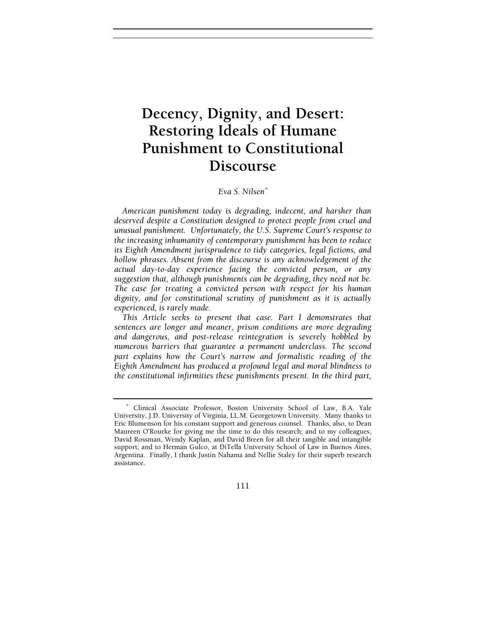# **Decency, Dignity, and Desert: Restoring Ideals of Humane Punishment to Constitutional Discourse**

# *Eva S. Nilsen*<sup>∗</sup>

*American punishment today is degrading, indecent, and harsher than deserved despite a Constitution designed to protect people from cruel and unusual punishment. Unfortunately, the U.S. Supreme Court's response to the increasing inhumanity of contemporary punishment has been to reduce its Eighth Amendment jurisprudence to tidy categories, legal fictions, and hollow phrases. Absent from the discourse is any acknowledgement of the actual day-to-day experience facing the convicted person, or any suggestion that, although punishments can be degrading, they need not be. The case for treating a convicted person with respect for his human dignity, and for constitutional scrutiny of punishment as it is actually experienced, is rarely made.* 

*This Article seeks to present that case. Part I demonstrates that sentences are longer and meaner, prison conditions are more degrading and dangerous, and post-release reintegration is severely hobbled by numerous barriers that guarantee a permanent underclass. The second part explains how the Court's narrow and formalistic reading of the Eighth Amendment has produced a profound legal and moral blindness to the constitutional infirmities these punishments present. In the third part,* 

111

<sup>∗</sup> Clinical Associate Professor, Boston University School of Law, B.A. Yale University, J.D. University of Virginia, LL.M. Georgetown University. Many thanks to Eric Blumenson for his constant support and generous counsel. Thanks, also, to Dean Maureen O'Rourke for giving me the time to do this research; and to my colleagues, David Rossman, Wendy Kaplan, and David Breen for all their tangible and intangible support; and to Herman Gulco, at DiTella University School of Law in Buenos Aires, Argentina. Finally, I thank Justin Nahama and Nellie Staley for their superb research assistance.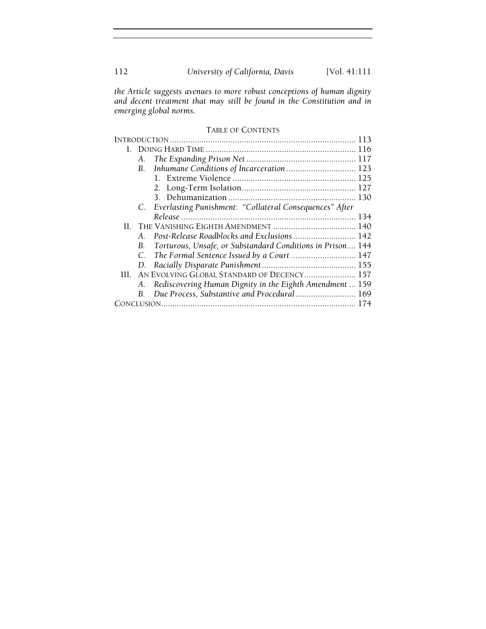112 *University of California, Davis* [Vol. 41:111

*the Article suggests avenues to more robust conceptions of human dignity and decent treatment that may still be found in the Constitution and in emerging global norms.* 

# TABLE OF CONTENTS

| А.         |                                                            |
|------------|------------------------------------------------------------|
|            | B. Inhumane Conditions of Incarceration  123               |
|            |                                                            |
|            |                                                            |
|            |                                                            |
|            | C. Everlasting Punishment: "Collateral Consequences" After |
|            |                                                            |
|            |                                                            |
| $A_{-}$    | Post-Release Roadblocks and Exclusions  142                |
| В.         | Torturous, Unsafe, or Substandard Conditions in Prison 144 |
| C.         | The Formal Sentence Issued by a Court  147                 |
|            |                                                            |
|            | III. AN EVOLVING GLOBAL STANDARD OF DECENCY 157            |
| А.         | Rediscovering Human Dignity in the Eighth Amendment  159   |
| <b>B</b> . | Due Process, Substantive and Procedural 169                |
|            |                                                            |
|            | D.                                                         |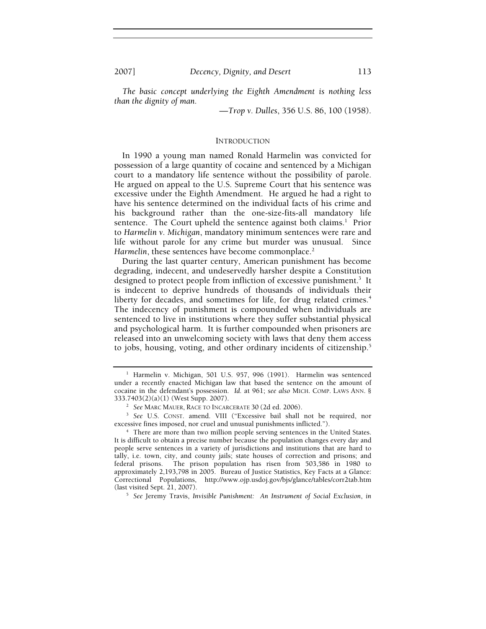*The basic concept underlying the Eighth Amendment is nothing less than the dignity of man.* 

—*Trop v. Dulles*, 356 U.S. 86, 100 (1958).

#### INTRODUCTION

In 1990 a young man named Ronald Harmelin was convicted for possession of a large quantity of cocaine and sentenced by a Michigan court to a mandatory life sentence without the possibility of parole. He argued on appeal to the U.S. Supreme Court that his sentence was excessive under the Eighth Amendment. He argued he had a right to have his sentence determined on the individual facts of his crime and his background rather than the one-size-fits-all mandatory life sentence. The Court upheld the sentence against both claims.<sup>1</sup> Prior to *Harmelin v. Michigan*, mandatory minimum sentences were rare and life without parole for any crime but murder was unusual. Since *Harmelin*, these sentences have become commonplace.<sup>2</sup>

During the last quarter century, American punishment has become degrading, indecent, and undeservedly harsher despite a Constitution designed to protect people from infliction of excessive punishment.<sup>3</sup> It is indecent to deprive hundreds of thousands of individuals their liberty for decades, and sometimes for life, for drug related crimes.<sup>4</sup> The indecency of punishment is compounded when individuals are sentenced to live in institutions where they suffer substantial physical and psychological harm. It is further compounded when prisoners are released into an unwelcoming society with laws that deny them access to jobs, housing, voting, and other ordinary incidents of citizenship.<sup>5</sup>

 *See* Jeremy Travis, *Invisible Punishment: An Instrument of Social Exclusion*, *in*

<sup>&</sup>lt;sup>1</sup> Harmelin v. Michigan, 501 U.S. 957, 996 (1991). Harmelin was sentenced under a recently enacted Michigan law that based the sentence on the amount of cocaine in the defendant's possession. *Id.* at 961; *see also* MICH. COMP. LAWS ANN. § 333.7403(2)(a)(1) (West Supp. 2007). 2

<sup>&</sup>lt;sup>2</sup> See MARC MAUER, RACE TO INCARCERATE 30 (2d ed. 2006).

<sup>&</sup>lt;sup>3</sup> See U.S. CONST. amend. VIII ("Excessive bail shall not be required, nor excessive fines imposed, nor cruel and unusual punishments inflicted."). 4

<sup>&</sup>lt;sup>4</sup> There are more than two million people serving sentences in the United States. It is difficult to obtain a precise number because the population changes every day and people serve sentences in a variety of jurisdictions and institutions that are hard to tally, i.e. town, city, and county jails; state houses of correction and prisons; and federal prisons. The prison population has risen from 503,586 in 1980 to approximately 2,193,798 in 2005. Bureau of Justice Statistics, Key Facts at a Glance: Correctional Populations, http://www.ojp.usdoj.gov/bjs/glance/tables/corr2tab.htm (last visited Sept. 21, 2007). 5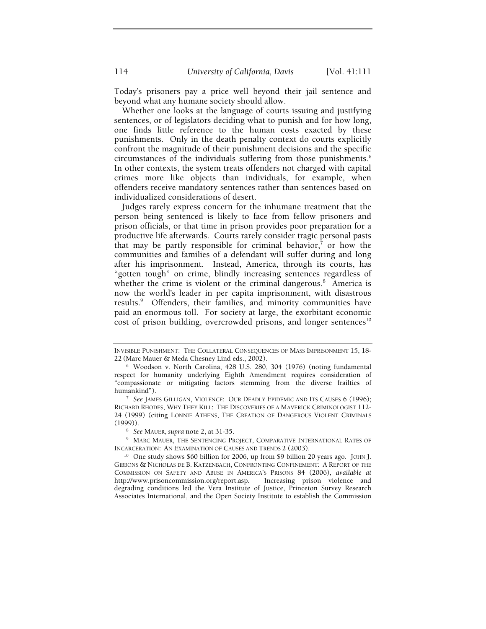114 *University of California, Davis* [Vol. 41:111

Today's prisoners pay a price well beyond their jail sentence and beyond what any humane society should allow.

Whether one looks at the language of courts issuing and justifying sentences, or of legislators deciding what to punish and for how long, one finds little reference to the human costs exacted by these punishments. Only in the death penalty context do courts explicitly confront the magnitude of their punishment decisions and the specific circumstances of the individuals suffering from those punishments.<sup>6</sup> In other contexts, the system treats offenders not charged with capital crimes more like objects than individuals, for example, when offenders receive mandatory sentences rather than sentences based on individualized considerations of desert.

Judges rarely express concern for the inhumane treatment that the person being sentenced is likely to face from fellow prisoners and prison officials, or that time in prison provides poor preparation for a productive life afterwards. Courts rarely consider tragic personal pasts that may be partly responsible for criminal behavior, $<sup>7</sup>$  or how the</sup> communities and families of a defendant will suffer during and long after his imprisonment. Instead, America, through its courts, has "gotten tough" on crime, blindly increasing sentences regardless of whether the crime is violent or the criminal dangerous.<sup>8</sup> America is now the world's leader in per capita imprisonment, with disastrous results.<sup>9</sup> Offenders, their families, and minority communities have paid an enormous toll. For society at large, the exorbitant economic cost of prison building, overcrowded prisons, and longer sentences $10$ 

<sup>9</sup> MARC MAUER, THE SENTENCING PROJECT, COMPARATIVE INTERNATIONAL RATES OF INCARCERATION: AN EXAMINATION OF CAUSES AND TRENDS 2 (2003).<br><sup>10</sup> One study shows \$60 billion for 2006, up from \$9 billion 20 years ago. JOHN J.

INVISIBLE PUNISHMENT: THE COLLATERAL CONSEQUENCES OF MASS IMPRISONMENT 15, 18- 22 (Marc Mauer & Meda Chesney Lind eds., 2002).

<sup>6</sup> Woodson v. North Carolina, 428 U.S. 280, 304 (1976) (noting fundamental respect for humanity underlying Eighth Amendment requires consideration of "compassionate or mitigating factors stemming from the diverse frailties of humankind"). 7

*See* JAMES GILLIGAN, VIOLENCE: OUR DEADLY EPIDEMIC AND ITS CAUSES 6 (1996); RICHARD RHODES, WHY THEY KILL: THE DISCOVERIES OF A MAVERICK CRIMINOLOGIST 112- 24 (1999) (citing LONNIE ATHENS, THE CREATION OF DANGEROUS VIOLENT CRIMINALS  $(1999)$ ).

<sup>&</sup>lt;sup>8</sup> See MAUER, *supra* note 2, at 31-35.

GIBBONS & NICHOLAS DE B. KATZENBACH, CONFRONTING CONFINEMENT: A REPORT OF THE COMMISSION ON SAFETY AND ABUSE IN AMERICA'S PRISONS 84 (2006), *available at* http://www.prisoncommission.org/report.asp. degrading conditions led the Vera Institute of Justice, Princeton Survey Research Associates International, and the Open Society Institute to establish the Commission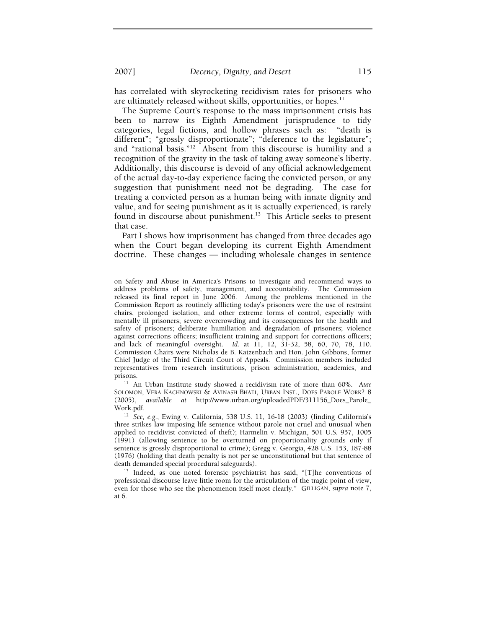2007] *Decency, Dignity, and Desert* 115

has correlated with skyrocketing recidivism rates for prisoners who are ultimately released without skills, opportunities, or hopes. $<sup>11</sup>$ </sup>

The Supreme Court's response to the mass imprisonment crisis has been to narrow its Eighth Amendment jurisprudence to tidy categories, legal fictions, and hollow phrases such as: "death is different"; "grossly disproportionate"; "deference to the legislature"; and "rational basis."12 Absent from this discourse is humility and a recognition of the gravity in the task of taking away someone's liberty. Additionally, this discourse is devoid of any official acknowledgement of the actual day-to-day experience facing the convicted person, or any suggestion that punishment need not be degrading. The case for treating a convicted person as a human being with innate dignity and value, and for seeing punishment as it is actually experienced, is rarely found in discourse about punishment.<sup>13</sup> This Article seeks to present that case.

Part I shows how imprisonment has changed from three decades ago when the Court began developing its current Eighth Amendment doctrine. These changes — including wholesale changes in sentence

SOLOMON, VERA KACHNOWSKI & AVINASH BHATI, URBAN INST., DOES PAROLE WORK? 8 (2005), *available at* http://www.urban.org/uploadedPDF/311156\_Does\_Parole\_

Work.pdf. 12 *See, e.g.*, Ewing v. California, 538 U.S. 11, 16-18 (2003) (finding California's three strikes law imposing life sentence without parole not cruel and unusual when applied to recidivist convicted of theft); Harmelin v. Michigan, 501 U.S. 957, 1005 (1991) (allowing sentence to be overturned on proportionality grounds only if sentence is grossly disproportional to crime); Gregg v. Georgia, 428 U.S. 153, 187-88 (1976) (holding that death penalty is not per se unconstitutional but that sentence of

death demanded special procedural safeguards).<br><sup>13</sup> Indeed, as one noted forensic psychiatrist has said, "[T]he conventions of professional discourse leave little room for the articulation of the tragic point of view, even for those who see the phenomenon itself most clearly." GILLIGAN, *supra* note 7, at 6.

on Safety and Abuse in America's Prisons to investigate and recommend ways to address problems of safety, management, and accountability. The Commission released its final report in June 2006. Among the problems mentioned in the Commission Report as routinely afflicting today's prisoners were the use of restraint chairs, prolonged isolation, and other extreme forms of control, especially with mentally ill prisoners; severe overcrowding and its consequences for the health and safety of prisoners; deliberate humiliation and degradation of prisoners; violence against corrections officers; insufficient training and support for corrections officers; and lack of meaningful oversight. *Id.* at 11, 12, 31-32, 58, 60, 70, 78, 110. Commission Chairs were Nicholas de B. Katzenbach and Hon. John Gibbons, former Chief Judge of the Third Circuit Court of Appeals. Commission members included representatives from research institutions, prison administration, academics, and prisons. 11 An Urban Institute study showed a recidivism rate of more than 60%. AMY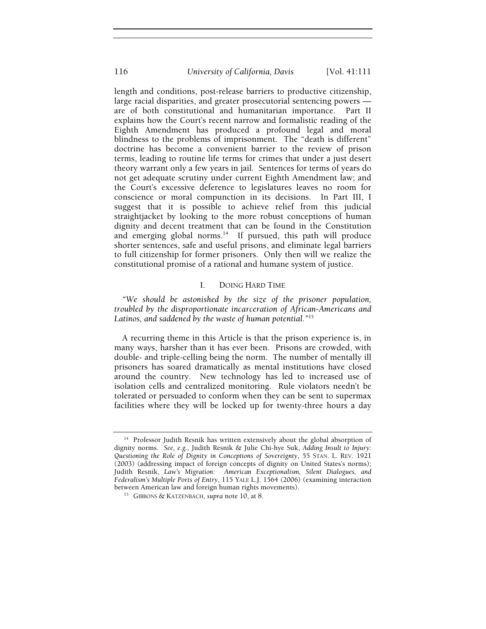length and conditions, post-release barriers to productive citizenship, large racial disparities, and greater prosecutorial sentencing powers are of both constitutional and humanitarian importance. Part II explains how the Court's recent narrow and formalistic reading of the Eighth Amendment has produced a profound legal and moral blindness to the problems of imprisonment. The "death is different" doctrine has become a convenient barrier to the review of prison terms, leading to routine life terms for crimes that under a just desert theory warrant only a few years in jail. Sentences for terms of years do not get adequate scrutiny under current Eighth Amendment law; and the Court's excessive deference to legislatures leaves no room for conscience or moral compunction in its decisions. In Part III, I suggest that it is possible to achieve relief from this judicial straightjacket by looking to the more robust conceptions of human dignity and decent treatment that can be found in the Constitution and emerging global norms.<sup>14</sup> If pursued, this path will produce shorter sentences, safe and useful prisons, and eliminate legal barriers to full citizenship for former prisoners. Only then will we realize the constitutional promise of a rational and humane system of justice.

#### I. DOING HARD TIME

*"We should be astonished by the size of the prisoner population, troubled by the disproportionate incarceration of African-Americans and Latinos, and saddened by the waste of human potential."*<sup>15</sup>

A recurring theme in this Article is that the prison experience is, in many ways, harsher than it has ever been. Prisons are crowded, with double- and triple-celling being the norm. The number of mentally ill prisoners has soared dramatically as mental institutions have closed around the country. New technology has led to increased use of isolation cells and centralized monitoring. Rule violators needn't be tolerated or persuaded to conform when they can be sent to supermax facilities where they will be locked up for twenty-three hours a day

<sup>&</sup>lt;sup>14</sup> Professor Judith Resnik has written extensively about the global absorption of dignity norms. *See, e.g.*, Judith Resnik & Julie Chi-hye Suk, *Adding Insult to Injury: Questioning the Role of Dignity in Conceptions of Sovereignty*, 55 STAN. L. REV. 1921 (2003) (addressing impact of foreign concepts of dignity on United States's norms); Judith Resnik, *Law's Migration: American Exceptionalism, Silent Dialogues, and Federalism's Multiple Ports of Entry*, 115 YALE L.J. 1564 (2006) (examining interaction between American law and foreign human rights movements). 15 GIBBONS & KATZENBACH, *supra* note 10, at 8.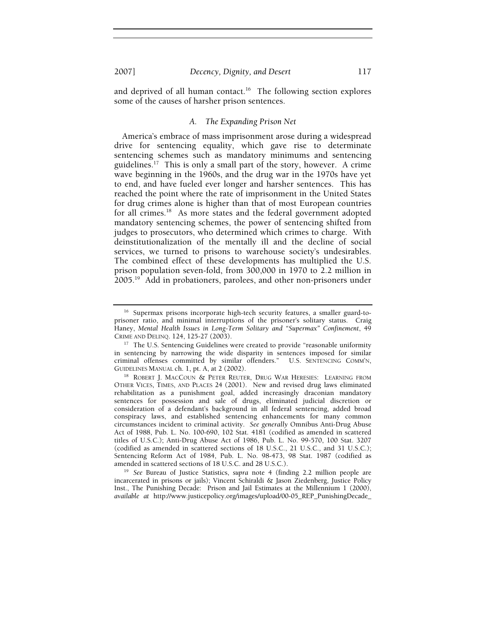and deprived of all human contact.<sup>16</sup> The following section explores some of the causes of harsher prison sentences.

# *A. The Expanding Prison Net*

America's embrace of mass imprisonment arose during a widespread drive for sentencing equality, which gave rise to determinate sentencing schemes such as mandatory minimums and sentencing guidelines.<sup>17</sup> This is only a small part of the story, however. A crime wave beginning in the 1960s, and the drug war in the 1970s have yet to end, and have fueled ever longer and harsher sentences. This has reached the point where the rate of imprisonment in the United States for drug crimes alone is higher than that of most European countries for all crimes.<sup>18</sup> As more states and the federal government adopted mandatory sentencing schemes, the power of sentencing shifted from judges to prosecutors, who determined which crimes to charge. With deinstitutionalization of the mentally ill and the decline of social services, we turned to prisons to warehouse society's undesirables. The combined effect of these developments has multiplied the U.S. prison population seven-fold, from 300,000 in 1970 to 2.2 million in 2005.19 Add in probationers, parolees, and other non-prisoners under

<sup>&</sup>lt;sup>16</sup> Supermax prisons incorporate high-tech security features, a smaller guard-toprisoner ratio, and minimal interruptions of the prisoner's solitary status. Craig Haney, *Mental Health Issues in Long-Term Solitary and "Supermax" Confinement*, 49 CRIME AND DELINQ. 124, 125-27 (2003). 17 The U.S. Sentencing Guidelines were created to provide "reasonable uniformity

in sentencing by narrowing the wide disparity in sentences imposed for similar criminal offenses committed by similar offenders." U.S. SENTENCING COMM'N, GUIDELINES MANUAL ch. 1, pt. A, at 2 (2002).<br><sup>18</sup> ROBERT J. MACCOUN & PETER REUTER, DRUG WAR HERESIES: LEARNING FROM

OTHER VICES, TIMES, AND PLACES 24 (2001). New and revised drug laws eliminated rehabilitation as a punishment goal, added increasingly draconian mandatory sentences for possession and sale of drugs, eliminated judicial discretion or consideration of a defendant's background in all federal sentencing, added broad conspiracy laws, and established sentencing enhancements for many common circumstances incident to criminal activity. *See generally* Omnibus Anti-Drug Abuse Act of 1988, Pub. L. No. 100-690, 102 Stat. 4181 (codified as amended in scattered titles of U.S.C.); Anti-Drug Abuse Act of 1986, Pub. L. No. 99-570, 100 Stat. 3207 (codified as amended in scattered sections of 18 U.S.C., 21 U.S.C., and 31 U.S.C.); Sentencing Reform Act of 1984, Pub. L. No. 98-473, 98 Stat. 1987 (codified as

amended in scattered sections of 18 U.S.C. and 28 U.S.C.). 19 *See* Bureau of Justice Statistics, *supra* note 4 (finding 2.2 million people are incarcerated in prisons or jails); Vincent Schiraldi & Jason Ziedenberg, Justice Policy Inst., The Punishing Decade: Prison and Jail Estimates at the Millennium 1 (2000), *available at* http://www.justicepolicy.org/images/upload/00-05\_REP\_PunishingDecade\_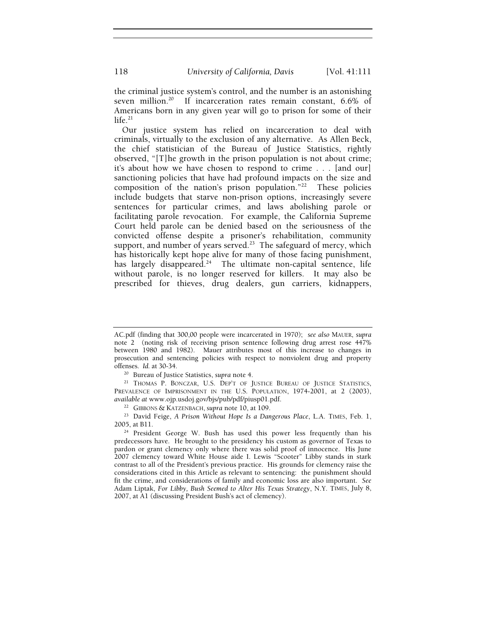the criminal justice system's control, and the number is an astonishing seven million.<sup>20</sup> If incarceration rates remain constant, 6.6% of Americans born in any given year will go to prison for some of their  $l$ ife $21$ 

Our justice system has relied on incarceration to deal with criminals, virtually to the exclusion of any alternative. As Allen Beck, the chief statistician of the Bureau of Justice Statistics, rightly observed, "[T]he growth in the prison population is not about crime; it's about how we have chosen to respond to crime . . . [and our] sanctioning policies that have had profound impacts on the size and composition of the nation's prison population." $22$  These policies include budgets that starve non-prison options, increasingly severe sentences for particular crimes, and laws abolishing parole or facilitating parole revocation. For example, the California Supreme Court held parole can be denied based on the seriousness of the convicted offense despite a prisoner's rehabilitation, community support, and number of years served.<sup>23</sup> The safeguard of mercy, which has historically kept hope alive for many of those facing punishment, has largely disappeared.<sup>24</sup> The ultimate non-capital sentence, life without parole, is no longer reserved for killers. It may also be prescribed for thieves, drug dealers, gun carriers, kidnappers,

AC.pdf (finding that 300,00 people were incarcerated in 1970); *see also* MAUER, *supra*  note 2 (noting risk of receiving prison sentence following drug arrest rose 447% between 1980 and 1982). Mauer attributes most of this increase to changes in prosecution and sentencing policies with respect to nonviolent drug and property offenses. Id. at 30-34.

<sup>&</sup>lt;sup>20</sup> Bureau of Justice Statistics, *supra* note 4.<br><sup>21</sup> THOMAS P. BONCZAR, U.S. DEP'T OF JUSTICE BUREAU OF JUSTICE STATISTICS, PREVALENCE OF IMPRISONMENT IN THE U.S. POPULATION, 1974-2001, at 2 (2003), *available at* www.ojp.usdoj.gov/bjs/pub/pdf/piusp01.pdf.<br><sup>22</sup> GIBBONS & KATZENBACH, *supra* note 10, at 109.<br><sup>23</sup> David Feige, *A Prison Without Hope Is a Dangerous Place*, L.A. TIMES, Feb. 1,

<sup>2005,</sup> at B11.<br><sup>24</sup> President George W. Bush has used this power less frequently than his predecessors have. He brought to the presidency his custom as governor of Texas to pardon or grant clemency only where there was solid proof of innocence. His June 2007 clemency toward White House aide I. Lewis "Scooter" Libby stands in stark contrast to all of the President's previous practice. His grounds for clemency raise the considerations cited in this Article as relevant to sentencing: the punishment should fit the crime, and considerations of family and economic loss are also important. *See* Adam Liptak, *For Libby, Bush Seemed to Alter His Texas Strategy*, N.Y. TIMES, July 8, 2007, at A1 (discussing President Bush's act of clemency).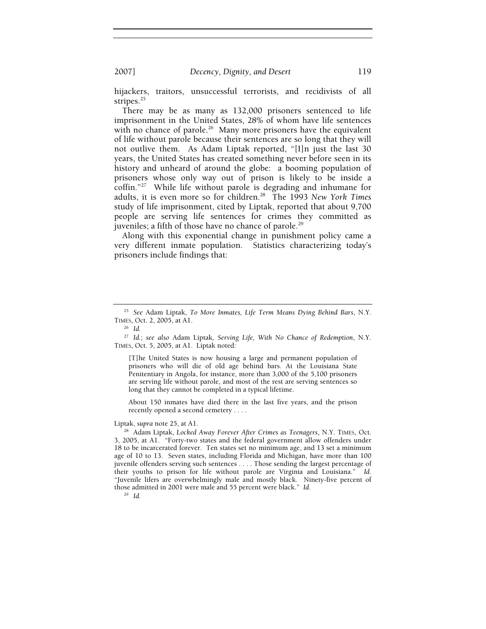hijackers, traitors, unsuccessful terrorists, and recidivists of all stripes.<sup>25</sup>

There may be as many as 132,000 prisoners sentenced to life imprisonment in the United States, 28% of whom have life sentences with no chance of parole.<sup>26</sup> Many more prisoners have the equivalent of life without parole because their sentences are so long that they will not outlive them. As Adam Liptak reported, "[I]n just the last 30 years, the United States has created something never before seen in its history and unheard of around the globe: a booming population of prisoners whose only way out of prison is likely to be inside a coffin."27 While life without parole is degrading and inhumane for adults, it is even more so for children.28 The 1993 *New York Times* study of life imprisonment, cited by Liptak, reported that about 9,700 people are serving life sentences for crimes they committed as juveniles; a fifth of those have no chance of parole.<sup>29</sup>

Along with this exponential change in punishment policy came a very different inmate population. Statistics characterizing today's prisoners include findings that:

[T]he United States is now housing a large and permanent population of prisoners who will die of old age behind bars. At the Louisiana State Penitentiary in Angola, for instance, more than 3,000 of the 5,100 prisoners are serving life without parole, and most of the rest are serving sentences so long that they cannot be completed in a typical lifetime.

About 150 inmates have died there in the last five years, and the prison recently opened a second cemetery . . . .

Liptak, *supra* note 25, at A1. 28 Adam Liptak, *Locked Away Forever After Crimes as Teenagers*, N.Y. TIMES, Oct. 3, 2005, at A1. "Forty-two states and the federal government allow offenders under 18 to be incarcerated forever. Ten states set no minimum age, and 13 set a minimum age of 10 to 13. Seven states, including Florida and Michigan, have more than 100 juvenile offenders serving such sentences . . . . Those sending the largest percentage of their youths to prison for life without parole are Virginia and Louisiana." *Id.* "Juvenile lifers are overwhelmingly male and mostly black. Ninety-five percent of those admitted in 2001 were male and 55 percent were black." *Id.*

29 *Id.*

<sup>25</sup> *See* Adam Liptak, *To More Inmates, Life Term Means Dying Behind Bars*, N.Y. TIMES, Oct. 2, 2005, at A1. 26 *Id.*

<sup>27</sup> *Id.*; *see also* Adam Liptak*, Serving Life, With No Chance of Redemption*, N.Y. TIMES, Oct. 5, 2005, at A1. Liptak noted: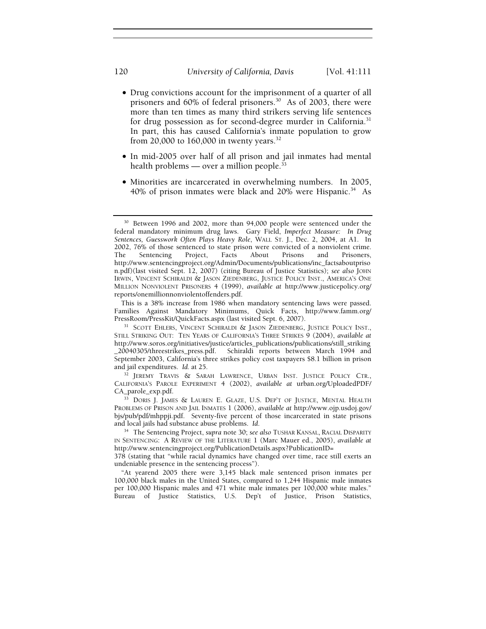- Drug convictions account for the imprisonment of a quarter of all prisoners and 60% of federal prisoners.<sup>30</sup> As of 2003, there were more than ten times as many third strikers serving life sentences for drug possession as for second-degree murder in California.<sup>31</sup> In part, this has caused California's inmate population to grow from 20,000 to 160,000 in twenty years.<sup>32</sup>
- In mid-2005 over half of all prison and jail inmates had mental health problems — over a million people. $33$
- Minorities are incarcerated in overwhelming numbers. In 2005, 40% of prison inmates were black and 20% were Hispanic.<sup>34</sup> As

This is a 38% increase from 1986 when mandatory sentencing laws were passed. Families Against Mandatory Minimums, Quick Facts, http://www.famm.org/

<sup>&</sup>lt;sup>30</sup> Between 1996 and 2002, more than 94,000 people were sentenced under the federal mandatory minimum drug laws. Gary Field, *Imperfect Measure: In Drug Sentences, Guesswork Often Plays Heavy Role*, WALL ST. J., Dec. 2, 2004, at A1. In 2002, 76% of those sentenced to state prison were convicted of a nonviolent crime. The Sentencing Project, Facts About Prisons and Prisoners, http://www.sentencingproject.org/Admin/Documents/publications/inc\_factsaboutpriso n.pdf)(last visited Sept. 12, 2007) (citing Bureau of Justice Statistics); *see also* JOHN IRWIN, VINCENT SCHIRALDI & JASON ZIEDENBERG, JUSTICE POLICY INST., AMERICA'S ONE MILLION NONVIOLENT PRISONERS 4 (1999), *available at* http://www.justicepolicy.org/ reports/onemillionnonviolentoffenders.pdf.

<sup>&</sup>lt;sup>31</sup> SCOTT EHLERS, VINCENT SCHIRALDI & JASON ZIEDENBERG, JUSTICE POLICY INST., STILL STRIKING OUT: TEN YEARS OF CALIFORNIA'S THREE STRIKES 9 (2004), *available at* http://www.soros.org/initiatives/justice/articles\_publications/publications/still\_striking \_20040305/threestrikes\_press.pdf. Schiraldi reports between March 1994 and September 2003, California's three strikes policy cost taxpayers \$8.1 billion in prison and jail expenditures. *Id.* at 25. 32 JEREMY TRAVIS & SARAH LAWRENCE, URBAN INST. JUSTICE POLICY CTR.,

CALIFORNIA'S PAROLE EXPERIMENT 4 (2002), *available at* urban.org/UploadedPDF/ CA\_parole\_exp.pdf. 33 DORIS J. JAMES & LAUREN E. GLAZE, U.S. DEP'T OF JUSTICE, MENTAL HEALTH

PROBLEMS OF PRISON AND JAIL INMATES 1 (2006), *available at* http://www.ojp.usdoj.gov/ bjs/pub/pdf/mhppji.pdf. Seventy-five percent of those incarcerated in state prisons

<sup>&</sup>lt;sup>34</sup> The Sentencing Project, *supra* note 30; *see also* TUSHAR KANSAL, RACIAL DISPARITY IN SENTENCING: A REVIEW OF THE LITERATURE 1 (Marc Mauer ed., 2005), *available at* http://www.sentencingproject.org/PublicationDetails.aspx?PublicationID=

<sup>378 (</sup>stating that "while racial dynamics have changed over time, race still exerts an undeniable presence in the sentencing process").

<sup>&</sup>quot;At yearend 2005 there were 3,145 black male sentenced prison inmates per 100,000 black males in the United States, compared to 1,244 Hispanic male inmates per 100,000 Hispanic males and 471 white male inmates per 100,000 white males." Bureau of Justice Statistics, U.S. Dep't of Justice, Prison Statistics,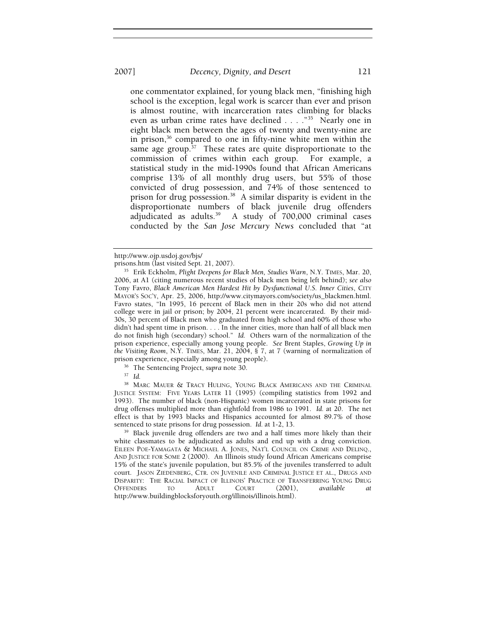one commentator explained, for young black men, "finishing high school is the exception, legal work is scarcer than ever and prison is almost routine, with incarceration rates climbing for blacks even as urban crime rates have declined . . . ."35 Nearly one in eight black men between the ages of twenty and twenty-nine are in prison,<sup>36</sup> compared to one in fifty-nine white men within the same age group. $37$  These rates are quite disproportionate to the commission of crimes within each group. For example, a statistical study in the mid-1990s found that African Americans comprise 13% of all monthly drug users, but 55% of those convicted of drug possession, and 74% of those sentenced to prison for drug possession.38 A similar disparity is evident in the disproportionate numbers of black juvenile drug offenders adjudicated as adults.39 A study of 700,000 criminal cases conducted by the *San Jose Mercury News* concluded that "at

<sup>38</sup> MARC MAUER & TRACY HULING, YOUNG BLACK AMERICANS AND THE CRIMINAL JUSTICE SYSTEM: FIVE YEARS LATER 11 (1995) (compiling statistics from 1992 and 1993). The number of black (non-Hispanic) women incarcerated in state prisons for drug offenses multiplied more than eightfold from 1986 to 1991. *Id.* at 20. The net effect is that by 1993 blacks and Hispanics accounted for almost 89.7% of those sentenced to state prisons for drug possession. *Id.* at 1-2, 13.<br><sup>39</sup> Black juvenile drug offenders are two and a half times more likely than their

white classmates to be adjudicated as adults and end up with a drug conviction. EILEEN POE-YAMAGATA & MICHAEL A. JONES, NAT'L COUNCIL ON CRIME AND DELINQ., AND JUSTICE FOR SOME 2 (2000). An Illinois study found African Americans comprise 15% of the state's juvenile population, but 85.5% of the juveniles transferred to adult court. JASON ZIEDENBERG, CTR. ON JUVENILE AND CRIMINAL JUSTICE ET AL., DRUGS AND DISPARITY: THE RACIAL IMPACT OF ILLINOIS' PRACTICE OF TRANSFERRING YOUNG DRUG OFFENDERS TO ADULT COURT (2001), *available at*  http://www.buildingblocksforyouth.org/illinois/illinois.html).

http://www.ojp.usdoj.gov/bjs/

<sup>&</sup>lt;sup>35</sup> Erik Eckholm, *Plight Deepens for Black Men, Studies Warn*, N.Y. TIMES, Mar. 20, 2006, at A1 (citing numerous recent studies of black men being left behind); *see also* Tony Favro, *Black American Men Hardest Hit by Dysfunctional U.S. Inner Cities*, CITY MAYOR'S SOC'Y, Apr. 25, 2006, http://www.citymayors.com/society/us\_blackmen.html. Favro states, "In 1995, 16 percent of Black men in their 20s who did not attend college were in jail or prison; by 2004, 21 percent were incarcerated. By their mid-30s, 30 percent of Black men who graduated from high school and 60% of those who didn't had spent time in prison. . . . In the inner cities, more than half of all black men do not finish high (secondary) school." *Id.* Others warn of the normalization of the prison experience, especially among young people. *See* Brent Staples, *Growing Up in the Visiting Room*, N.Y. TIMES, Mar. 21, 2004, § 7, at 7 (warning of normalization of prison experience, especially among young people). 36 The Sentencing Project, *supra* note 30. 37 *Id.*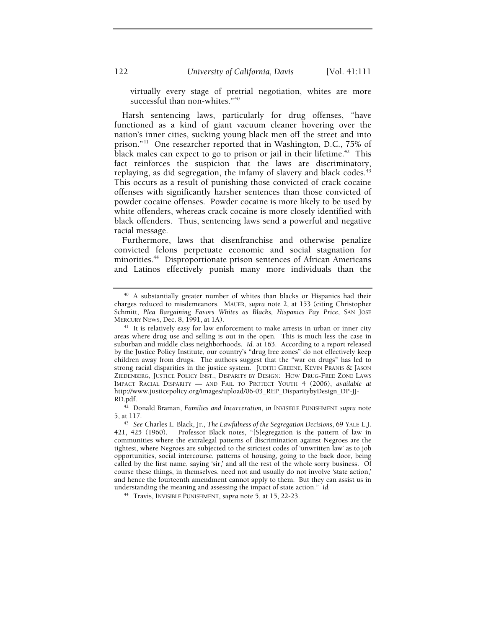virtually every stage of pretrial negotiation, whites are more successful than non-whites."<sup>40</sup>

Harsh sentencing laws, particularly for drug offenses, "have functioned as a kind of giant vacuum cleaner hovering over the nation's inner cities, sucking young black men off the street and into prison."41 One researcher reported that in Washington, D.C., 75% of black males can expect to go to prison or jail in their lifetime.<sup>42</sup> This fact reinforces the suspicion that the laws are discriminatory, replaying, as did segregation, the infamy of slavery and black codes. $43$ This occurs as a result of punishing those convicted of crack cocaine offenses with significantly harsher sentences than those convicted of powder cocaine offenses. Powder cocaine is more likely to be used by white offenders, whereas crack cocaine is more closely identified with black offenders. Thus, sentencing laws send a powerful and negative racial message.

Furthermore, laws that disenfranchise and otherwise penalize convicted felons perpetuate economic and social stagnation for minorities.<sup>44</sup> Disproportionate prison sentences of African Americans and Latinos effectively punish many more individuals than the

<sup>40</sup> A substantially greater number of whites than blacks or Hispanics had their charges reduced to misdemeanors. MAUER, *supra* note 2, at 153 (citing Christopher Schmitt, *Plea Bargaining Favors Whites as Blacks, Hispanics Pay Price*, SAN JOSE

MERCURY NEWS, Dec. 8, 1991, at 1A).<br><sup>41</sup> It is relatively easy for law enforcement to make arrests in urban or inner city areas where drug use and selling is out in the open. This is much less the case in suburban and middle class neighborhoods. *Id.* at 163. According to a report released by the Justice Policy Institute, our country's "drug free zones" do not effectively keep children away from drugs. The authors suggest that the "war on drugs" has led to strong racial disparities in the justice system. JUDITH GREENE, KEVIN PRANIS & JASON ZIEDENBERG, JUSTICE POLICY INST., DISPARITY BY DESIGN:HOW DRUG-FREE ZONE LAWS IMPACT RACIAL DISPARITY — AND FAIL TO PROTECT YOUTH 4 (2006), *available at*  http://www.justicepolicy.org/images/upload/06-03\_REP\_DisparitybyDesign\_DP-JJ-

<sup>&</sup>lt;sup>42</sup> Donald Braman, *Families and Incarceration*, *in* INVISIBLE PUNISHMENT *supra* note 5, at 117. 43 *See* Charles L. Black, Jr., *The Lawfulness of the Segregation Decisions*, 69 YALE L.J.

<sup>421, 425 (1960).</sup> Professor Black notes, "[S]egregation is the pattern of law in communities where the extralegal patterns of discrimination against Negroes are the tightest, where Negroes are subjected to the strictest codes of 'unwritten law' as to job opportunities, social intercourse, patterns of housing, going to the back door, being called by the first name, saying 'sir,' and all the rest of the whole sorry business. Of course these things, in themselves, need not and usually do not involve 'state action,' and hence the fourteenth amendment cannot apply to them. But they can assist us in understanding the meaning and assessing the impact of state action." *Id.*

<sup>44</sup> Travis, INVISIBLE PUNISHMENT, *supra* note 5, at 15, 22-23.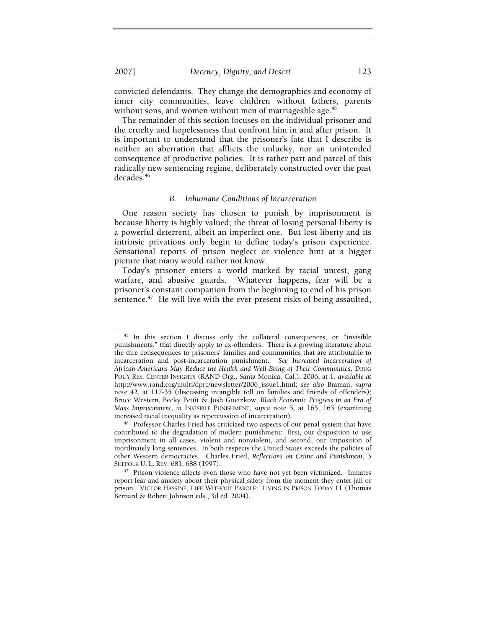2007] *Decency, Dignity, and Desert* 123

convicted defendants. They change the demographics and economy of inner city communities, leave children without fathers, parents without sons, and women without men of marriageable age.<sup>45</sup>

The remainder of this section focuses on the individual prisoner and the cruelty and hopelessness that confront him in and after prison. It is important to understand that the prisoner's fate that I describe is neither an aberration that afflicts the unlucky, nor an unintended consequence of productive policies. It is rather part and parcel of this radically new sentencing regime, deliberately constructed over the past decades.46

#### *B. Inhumane Conditions of Incarceration*

One reason society has chosen to punish by imprisonment is because liberty is highly valued; the threat of losing personal liberty is a powerful deterrent, albeit an imperfect one. But lost liberty and its intrinsic privations only begin to define today's prison experience. Sensational reports of prison neglect or violence hint at a bigger picture that many would rather not know.

Today's prisoner enters a world marked by racial unrest, gang warfare, and abusive guards. Whatever happens, fear will be a prisoner's constant companion from the beginning to end of his prison sentence.<sup>47</sup> He will live with the ever-present risks of being assaulted,

<sup>&</sup>lt;sup>45</sup> In this section I discuss only the collateral consequences, or "invisible punishments," that directly apply to ex-offenders. There is a growing literature about the dire consequences to prisoners' families and communities that are attributable to incarceration and post-incarceration punishment. *See Increased Incarceration of African Americans May Reduce the Health and Well-Being of Their Communities*, DRUG POL'Y RES. CENTER INSIGHTS (RAND Org., Santa Monica, Cal.), 2006, at 1, *available at* http://www.rand.org/multi/dprc/newsletter/2006\_issue1.html; *see also* Braman, *supra* note 42, at 117-35 (discussing intangible toll on families and friends of offenders); Bruce Western, Becky Pettit & Josh Guetzkow, *Black Economic Progress in an Era of Mass Imprisonment*, *in* INVISIBLE PUNISHMENT, *supra* note 5, at 165, 165 (examining increased racial inequality as repercussion of incarceration).

<sup>&</sup>lt;sup>46</sup> Professor Charles Fried has criticized two aspects of our penal system that have contributed to the degradation of modern punishment: first, our disposition to use imprisonment in all cases, violent and nonviolent, and second, our imposition of inordinately long sentences. In both respects the United States exceeds the policies of other Western democracies. Charles Fried, *Reflections on Crime and Punishment*, 3 SUFFOLK U. L. REV. 681, 688 (1997). 47 Prison violence affects even those who have not yet been victimized. Inmates

report fear and anxiety about their physical safety from the moment they enter jail or prison. VICTOR HASSINE, LIFE WITHOUT PAROLE: LIVING IN PRISON TODAY 11 (Thomas Bernard & Robert Johnson eds., 3d ed. 2004).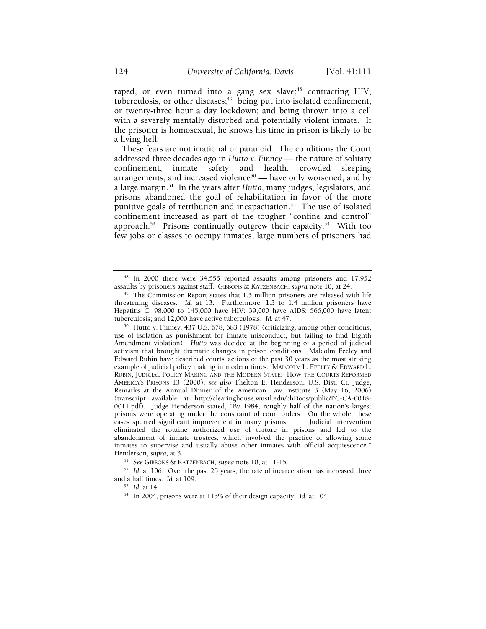raped, or even turned into a gang sex slave;<sup>48</sup> contracting HIV, tuberculosis, or other diseases;<sup>49</sup> being put into isolated confinement, or twenty-three hour a day lockdown; and being thrown into a cell with a severely mentally disturbed and potentially violent inmate. If the prisoner is homosexual, he knows his time in prison is likely to be a living hell.

These fears are not irrational or paranoid. The conditions the Court addressed three decades ago in *Hutto v. Finney* — the nature of solitary confinement, inmate safety and health, crowded sleeping arrangements, and increased violence<sup>50</sup> — have only worsened, and by a large margin.51 In the years after *Hutto*, many judges, legislators, and prisons abandoned the goal of rehabilitation in favor of the more punitive goals of retribution and incapacitation.<sup>52</sup> The use of isolated confinement increased as part of the tougher "confine and control" approach.<sup>53</sup> Prisons continually outgrew their capacity.<sup>54</sup> With too few jobs or classes to occupy inmates, large numbers of prisoners had

<sup>48</sup> In 2000 there were 34,555 reported assaults among prisoners and 17,952 assaults by prisoners against staff. GIBBONS & KATZENBACH, *supra* note 10, at 24. 49 The Commission Report states that 1.5 million prisoners are released with life

threatening diseases. *Id.* at 13. Furthermore, 1.3 to 1.4 million prisoners have Hepatitis C; 98,000 to 145,000 have HIV; 39,000 have AIDS; 566,000 have latent tuberculosis; and 12,000 have active tuberculosis. *Id.* at 47.

<sup>&</sup>lt;sup>50</sup> Hutto v. Finney, 437 U.S. 678, 683 (1978) (criticizing, among other conditions, use of isolation as punishment for inmate misconduct, but failing to find Eighth Amendment violation). *Hutto* was decided at the beginning of a period of judicial activism that brought dramatic changes in prison conditions. Malcolm Feeley and Edward Rubin have described courts' actions of the past 30 years as the most striking example of judicial policy making in modern times. MALCOLM L. FEELEY & EDWARD L. RUBIN, JUDICIAL POLICY MAKING AND THE MODERN STATE: HOW THE COURTS REFORMED AMERICA'S PRISONS 13 (2000); *see also* Thelton E. Henderson, U.S. Dist. Ct. Judge, Remarks at the Annual Dinner of the American Law Institute 3 (May 16, 2006) (transcript available at http://clearinghouse.wustl.edu/chDocs/public/PC-CA-0018- 0011.pdf). Judge Henderson stated, "By 1984, roughly half of the nation's largest prisons were operating under the constraint of court orders. On the whole, these cases spurred significant improvement in many prisons . . . . Judicial intervention eliminated the routine authorized use of torture in prisons and led to the abandonment of inmate trustees, which involved the practice of allowing some inmates to supervise and usually abuse other inmates with official acquiescence."

Henderson, *supra*, at 3.<br><sup>51</sup> See GIBBONS & KATZENBACH, *supra* note 10, at 11-15.<br><sup>52</sup> *Id.* at 106. Over the past 25 years, the rate of incarceration has increased three and a half times. *Id.* at 109.<br><sup>53</sup> *Id.* at 14.<br><sup>54</sup> In 2004, prisons were at 115% of their design capacity. *Id.* at 104.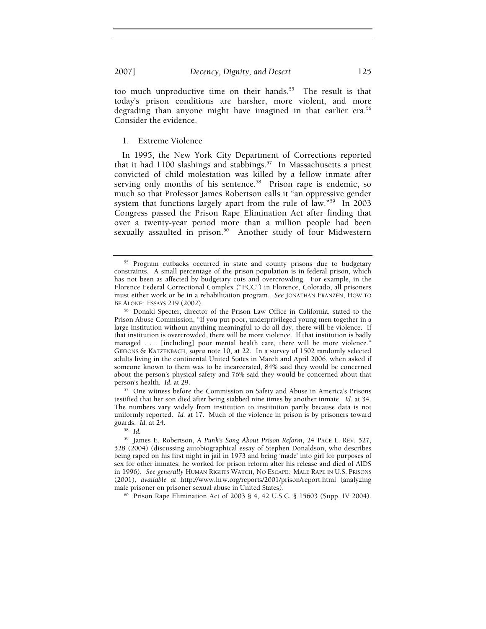too much unproductive time on their hands.<sup>55</sup> The result is that today's prison conditions are harsher, more violent, and more degrading than anyone might have imagined in that earlier era.<sup>56</sup> Consider the evidence.

1. Extreme Violence

In 1995, the New York City Department of Corrections reported that it had  $1100$  slashings and stabbings.<sup>57</sup> In Massachusetts a priest convicted of child molestation was killed by a fellow inmate after serving only months of his sentence.<sup>58</sup> Prison rape is endemic, so much so that Professor James Robertson calls it "an oppressive gender system that functions largely apart from the rule of law."<sup>59</sup> In 2003 Congress passed the Prison Rape Elimination Act after finding that over a twenty-year period more than a million people had been sexually assaulted in prison.<sup>60</sup> Another study of four Midwestern

testified that her son died after being stabbed nine times by another inmate. *Id.* at 34. The numbers vary widely from institution to institution partly because data is not uniformly reported. *Id.* at 17. Much of the violence in prison is by prisoners toward guards. *Id.* at 24. 58 *Id.*

<sup>&</sup>lt;sup>55</sup> Program cutbacks occurred in state and county prisons due to budgetary constraints. A small percentage of the prison population is in federal prison, which has not been as affected by budgetary cuts and overcrowding. For example, in the Florence Federal Correctional Complex ("FCC") in Florence, Colorado, all prisoners must either work or be in a rehabilitation program. *See* JONATHAN FRANZEN, HOW TO

BE ALONE: Essays 219 (2002).<br><sup>56</sup> Donald Specter, director of the Prison Law Office in California, stated to the Prison Abuse Commission, "If you put poor, underprivileged young men together in a large institution without anything meaningful to do all day, there will be violence. If that institution is overcrowded, there will be more violence. If that institution is badly managed . . . [including] poor mental health care, there will be more violence. GIBBONS & KATZENBACH, *supra* note 10, at 22. In a survey of 1502 randomly selected adults living in the continental United States in March and April 2006, when asked if someone known to them was to be incarcerated, 84% said they would be concerned about the person's physical safety and 76% said they would be concerned about that person's health. *Id.* at 29. **57** One witness before the Commission on Safety and Abuse in America's Prisons

<sup>59</sup> James E. Robertson, *A Punk's Song About Prison Reform*, 24 PACE L. REV. 527, 528 (2004) (discussing autobiographical essay of Stephen Donaldson, who describes being raped on his first night in jail in 1973 and being 'made' into girl for purposes of sex for other inmates; he worked for prison reform after his release and died of AIDS in 1996). *See generally* HUMAN RIGHTS WATCH, NO ESCAPE: MALE RAPE IN U.S. PRISONS (2001), *available at* http://www.hrw.org/reports/2001/prison/report.html (analyzing male prisoner on prisoner sexual abuse in United States).<br><sup>60</sup> Prison Rape Elimination Act of 2003 § 4, 42 U.S.C. § 15603 (Supp. IV 2004).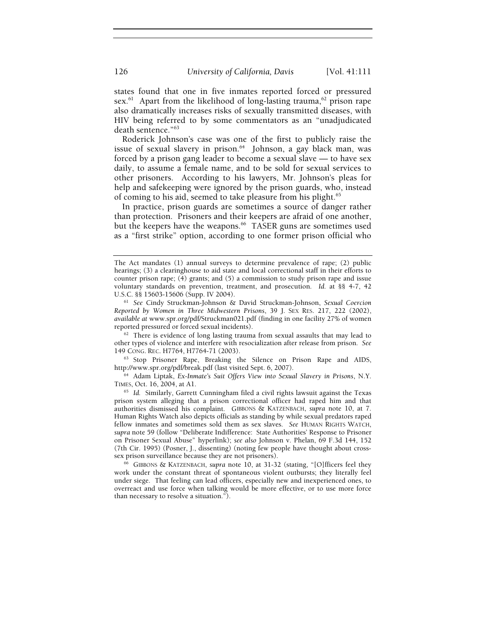states found that one in five inmates reported forced or pressured sex.<sup>61</sup> Apart from the likelihood of long-lasting trauma,<sup>62</sup> prison rape also dramatically increases risks of sexually transmitted diseases, with HIV being referred to by some commentators as an "unadjudicated death sentence."63

Roderick Johnson's case was one of the first to publicly raise the issue of sexual slavery in prison.<sup>64</sup> Johnson, a gay black man, was forced by a prison gang leader to become a sexual slave — to have sex daily, to assume a female name, and to be sold for sexual services to other prisoners. According to his lawyers, Mr. Johnson's pleas for help and safekeeping were ignored by the prison guards, who, instead of coming to his aid, seemed to take pleasure from his plight.<sup>65</sup>

In practice, prison guards are sometimes a source of danger rather than protection. Prisoners and their keepers are afraid of one another, but the keepers have the weapons.<sup>66</sup> TASER guns are sometimes used as a "first strike" option, according to one former prison official who

http://www.spr.org/pdf/break.pdf (last visited Sept. 6, 2007). 64 Adam Liptak, *Ex-Inmate's Suit Offers View into Sexual Slavery in Prisons*, N.Y.

TIMES, Oct. 16, 2004, at A1. 65 *Id.* Similarly, Garrett Cunningham filed a civil rights lawsuit against the Texas

prison system alleging that a prison correctional officer had raped him and that authorities dismissed his complaint. GIBBONS & KATZENBACH, *supra* note 10, at 7. Human Rights Watch also depicts officials as standing by while sexual predators raped fellow inmates and sometimes sold them as sex slaves. *See* HUMAN RIGHTS WATCH, *supra* note 59 (follow "Deliberate Indifference: State Authorities' Response to Prisoner on Prisoner Sexual Abuse" hyperlink); *see also* Johnson v. Phelan, 69 F.3d 144, 152 (7th Cir. 1995) (Posner, J., dissenting) (noting few people have thought about cross-

sex prison surveillance because they are not prisoners). 66 GIBBONS & KATZENBACH, *supra* note 10, at 31-32 (stating, "[O]fficers feel they work under the constant threat of spontaneous violent outbursts; they literally feel under siege. That feeling can lead officers, especially new and inexperienced ones, to overreact and use force when talking would be more effective, or to use more force than necessary to resolve a situation.").

The Act mandates (1) annual surveys to determine prevalence of rape; (2) public hearings; (3) a clearinghouse to aid state and local correctional staff in their efforts to counter prison rape; (4) grants; and (5) a commission to study prison rape and issue voluntary standards on prevention, treatment, and prosecution. *Id.* at §§ 4-7, 42

U.S.C. §§ 15603-15606 (Supp. IV 2004). 61 *See* Cindy Struckman-Johnson & David Struckman-Johnson, *Sexual Coercion Reported by Women in Three Midwestern Prisons*, 39 J. SEX RES. 217, 222 (2002), *available at* www.spr.org/pdf/Struckman021.pdf (finding in one facility 27% of women

 $62$  There is evidence of long lasting trauma from sexual assaults that may lead to other types of violence and interfere with resocialization after release from prison. *See* 149 CONG. REC. H7764, H7764-71 (2003). 63 Stop Prisoner Rape, Breaking the Silence on Prison Rape and AIDS,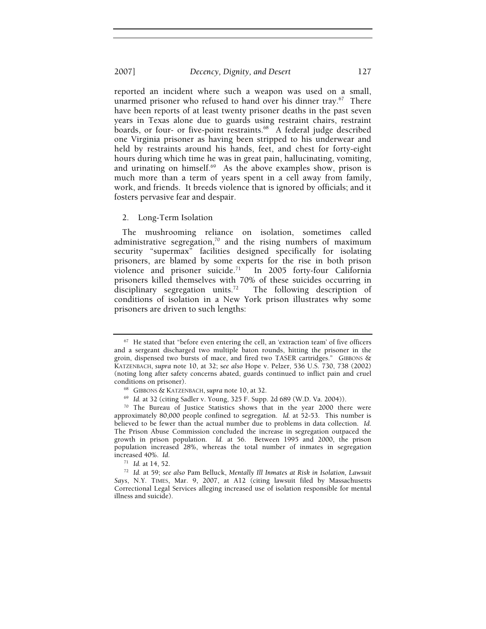reported an incident where such a weapon was used on a small, unarmed prisoner who refused to hand over his dinner tray. $67$  There have been reports of at least twenty prisoner deaths in the past seven years in Texas alone due to guards using restraint chairs, restraint boards, or four- or five-point restraints.<sup>68</sup> A federal judge described one Virginia prisoner as having been stripped to his underwear and held by restraints around his hands, feet, and chest for forty-eight hours during which time he was in great pain, hallucinating, vomiting, and urinating on himself. $69$  As the above examples show, prison is much more than a term of years spent in a cell away from family, work, and friends. It breeds violence that is ignored by officials; and it fosters pervasive fear and despair.

#### 2. Long-Term Isolation

The mushrooming reliance on isolation, sometimes called administrative segregation,<sup>70</sup> and the rising numbers of maximum security "supermax" facilities designed specifically for isolating prisoners, are blamed by some experts for the rise in both prison violence and prisoner suicide.<sup>71</sup> In 2005 forty-four California prisoners killed themselves with 70% of these suicides occurring in disciplinary segregation units.<sup>72</sup> The following description of conditions of isolation in a New York prison illustrates why some prisoners are driven to such lengths:

 $67$  He stated that "before even entering the cell, an 'extraction team' of five officers and a sergeant discharged two multiple baton rounds, hitting the prisoner in the groin, dispensed two bursts of mace, and fired two TASER cartridges." GIBBONS & KATZENBACH, *supra* note 10, at 32; s*ee also* Hope v. Pelzer, 536 U.S. 730, 738 (2002) (noting long after safety concerns abated, guards continued to inflict pain and cruel conditions on prisoner).<br><sup>68</sup> GIBBONS & KATZENBACH, supra note 10, at 32.<br><sup>69</sup> Id. at 32 (citing Sadler v. Young, 325 F. Supp. 2d 689 (W.D. Va. 2004)).<br><sup>70</sup> The Bureau of Justice Statistics shows that in the year 2000 ther

approximately 80,000 people confined to segregation. *Id.* at 52-53. This number is believed to be fewer than the actual number due to problems in data collection. *Id*. The Prison Abuse Commission concluded the increase in segregation outpaced the growth in prison population. *Id.* at 56. Between 1995 and 2000, the prison population increased 28%, whereas the total number of inmates in segregation increased 40%. Id.

increased 40%. *Id*. 71 *Id.* at 14, 52. 72 *Id.* at 59; *see also* Pam Belluck, *Mentally Ill Inmates at Risk in Isolation, Lawsuit Says*, N.Y. TIMES, Mar. 9, 2007, at A12 (citing lawsuit filed by Massachusetts Correctional Legal Services alleging increased use of isolation responsible for mental illness and suicide).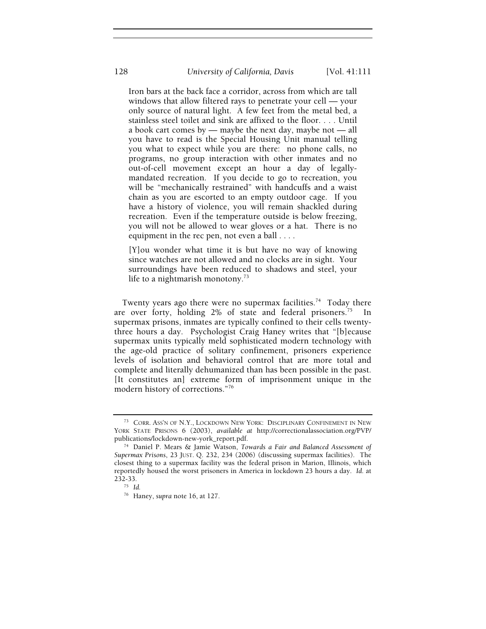Iron bars at the back face a corridor, across from which are tall windows that allow filtered rays to penetrate your cell — your only source of natural light. A few feet from the metal bed, a stainless steel toilet and sink are affixed to the floor. . . . Until a book cart comes by — maybe the next day, maybe not — all you have to read is the Special Housing Unit manual telling you what to expect while you are there: no phone calls, no programs, no group interaction with other inmates and no out-of-cell movement except an hour a day of legallymandated recreation. If you decide to go to recreation, you will be "mechanically restrained" with handcuffs and a waist chain as you are escorted to an empty outdoor cage. If you have a history of violence, you will remain shackled during recreation. Even if the temperature outside is below freezing, you will not be allowed to wear gloves or a hat. There is no equipment in the rec pen, not even a ball . . . .

[Y]ou wonder what time it is but have no way of knowing since watches are not allowed and no clocks are in sight. Your surroundings have been reduced to shadows and steel, your life to a nightmarish monotony.<sup>73</sup>

Twenty years ago there were no supermax facilities.<sup>74</sup> Today there are over forty, holding  $2\%$  of state and federal prisoners.<sup>75</sup> supermax prisons, inmates are typically confined to their cells twentythree hours a day. Psychologist Craig Haney writes that "[b]ecause supermax units typically meld sophisticated modern technology with the age-old practice of solitary confinement, prisoners experience levels of isolation and behavioral control that are more total and complete and literally dehumanized than has been possible in the past. [It constitutes an] extreme form of imprisonment unique in the modern history of corrections."76

<sup>73</sup> CORR. ASS'N OF N.Y., LOCKDOWN NEW YORK: DISCIPLINARY CONFINEMENT IN NEW YORK STATE PRISONS 6 (2003), *available at* http://correctionalassociation.org/PVP/

<sup>&</sup>lt;sup>74</sup> Daniel P. Mears & Jamie Watson, *Towards a Fair and Balanced Assessment of Supermax Prisons*, 23 JUST. Q. 232, 234 (2006) (discussing supermax facilities). The closest thing to a supermax facility was the federal prison in Marion, Illinois, which reportedly housed the worst prisoners in America in lockdown 23 hours a day. *Id*. at 232-33. 75 *Id.*

<sup>76</sup> Haney, *supra* note 16, at 127.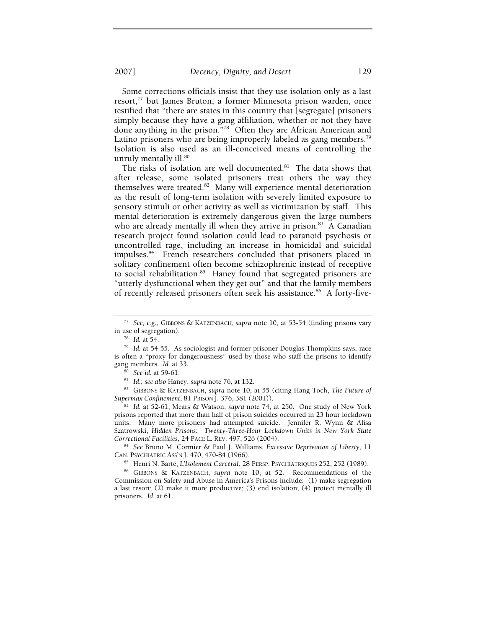2007] *Decency, Dignity, and Desert* 129

Some corrections officials insist that they use isolation only as a last resort,<sup>77</sup> but James Bruton, a former Minnesota prison warden, once testified that "there are states in this country that [segregate] prisoners simply because they have a gang affiliation, whether or not they have done anything in the prison."78 Often they are African American and Latino prisoners who are being improperly labeled as gang members.<sup>79</sup> Isolation is also used as an ill-conceived means of controlling the unruly mentally ill.<sup>80</sup>

The risks of isolation are well documented.<sup>81</sup> The data shows that after release, some isolated prisoners treat others the way they themselves were treated.<sup>82</sup> Many will experience mental deterioration as the result of long-term isolation with severely limited exposure to sensory stimuli or other activity as well as victimization by staff. This mental deterioration is extremely dangerous given the large numbers who are already mentally ill when they arrive in prison.<sup>83</sup> A Canadian research project found isolation could lead to paranoid psychosis or uncontrolled rage, including an increase in homicidal and suicidal impulses.84 French researchers concluded that prisoners placed in solitary confinement often become schizophrenic instead of receptive to social rehabilitation.<sup>85</sup> Haney found that segregated prisoners are "utterly dysfunctional when they get out" and that the family members of recently released prisoners often seek his assistance.<sup>86</sup> A forty-five-

gang members. Id. at 33.<br><sup>80</sup> See id. at 59-61.<br><sup>81</sup> Id.; see also Haney, supra note 76, at 132.<br><sup>82</sup> GIBBONS & KATZENBACH, supra note 10, at 55 (citing Hang Toch, *The Future of Supermax Confinement*, 81 PRISON J. 376, 3

<sup>83</sup> Id. at 52-61; Mears & Watson, *supra* note 74, at 250. One study of New York prisons reported that more than half of prison suicides occurred in 23 hour lockdown units. Many more prisoners had attempted suicide. Jennifer R. Wynn & Alisa Szatrowski, *Hidden Prisons: Twenty-Three-Hour Lockdown Units in New York State* 

*Correctional Facilities*, 24 PACE L. REV. 497, 526 (2004). 84 *See* Bruno M. Cormier & Paul J. Williams, *Excessive Deprivation of Liberty*, 11 CAN. PSYCHIATRIC ASS'N J. 470, 470-84 (1966). 85 Henri N. Barte, *L'Isolement Carcéral*, 28 PERSP. PSYCHIATRIQUES 252, 252 (1989). 86 GIBBONS & KATZENBACH, *supra* note 10, at 52. Recommendations of the

Commission on Safety and Abuse in America's Prisons include: (1) make segregation a last resort; (2) make it more productive; (3) end isolation; (4) protect mentally ill prisoners. *Id*. at 61.

<sup>77</sup> *See, e.g.*, GIBBONS & KATZENBACH, *supra* note 10, at 53-54 (finding prisons vary

<sup>&</sup>lt;sup>78</sup> Id. at 54.<br><sup>79</sup> Id. at 54-55. As sociologist and former prisoner Douglas Thompkins says, race is often a "proxy for dangerousness" used by those who staff the prisons to identify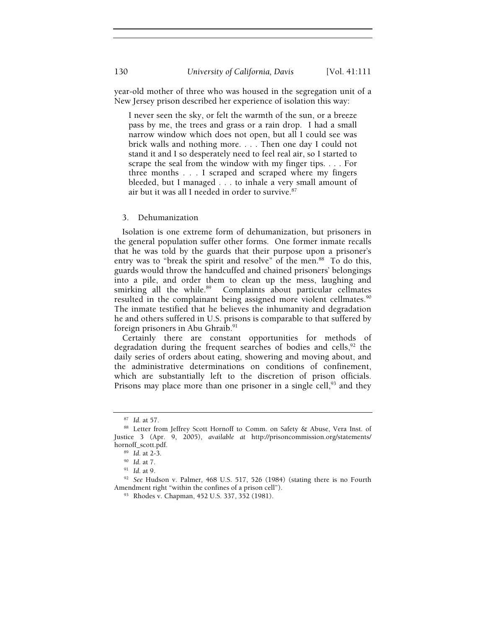year-old mother of three who was housed in the segregation unit of a New Jersey prison described her experience of isolation this way:

I never seen the sky, or felt the warmth of the sun, or a breeze pass by me, the trees and grass or a rain drop. I had a small narrow window which does not open, but all I could see was brick walls and nothing more. . . . Then one day I could not stand it and I so desperately need to feel real air, so I started to scrape the seal from the window with my finger tips. . . . For three months . . . I scraped and scraped where my fingers bleeded, but I managed . . . to inhale a very small amount of air but it was all I needed in order to survive.<sup>87</sup>

#### 3. Dehumanization

Isolation is one extreme form of dehumanization, but prisoners in the general population suffer other forms. One former inmate recalls that he was told by the guards that their purpose upon a prisoner's entry was to "break the spirit and resolve" of the men.<sup>88</sup> To do this, guards would throw the handcuffed and chained prisoners' belongings into a pile, and order them to clean up the mess, laughing and smirking all the while.<sup>89</sup> Complaints about particular cellmates resulted in the complainant being assigned more violent cellmates.<sup>90</sup> The inmate testified that he believes the inhumanity and degradation he and others suffered in U.S. prisons is comparable to that suffered by foreign prisoners in Abu Ghraib.<sup>91</sup>

Certainly there are constant opportunities for methods of degradation during the frequent searches of bodies and cells,<sup>92</sup> the daily series of orders about eating, showering and moving about, and the administrative determinations on conditions of confinement, which are substantially left to the discretion of prison officials. Prisons may place more than one prisoner in a single cell,  $93$  and they

<sup>&</sup>lt;sup>87</sup> Id. at 57.<br><sup>88</sup> Letter from Jeffrey Scott Hornoff to Comm. on Safety & Abuse, Vera Inst. of Justice 3 (Apr. 9, 2005), *available at* http://prisoncommission.org/statements/ hornoff\_scott.pdf. 89 *Id*. at 2-3. 90 *Id*. at 7. 91 *Id*. at 9. 92 *See* Hudson v. Palmer*,* 468 U.S. 517, 526 (1984) (stating there is no Fourth

Amendment right "within the confines of a prison cell").<br><sup>93</sup> Rhodes v. Chapman, 452 U.S. 337, 352 (1981).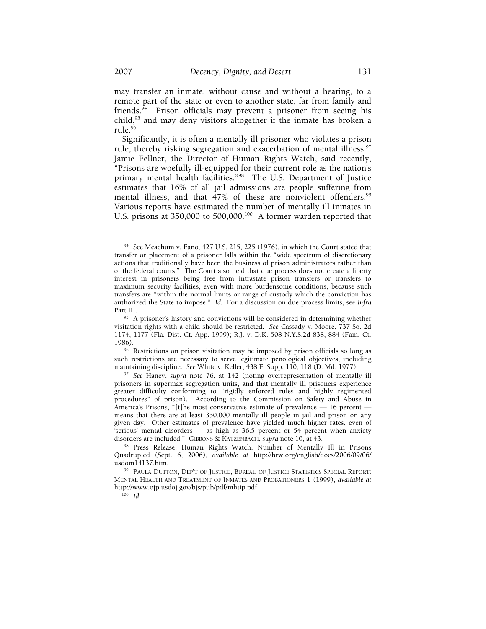may transfer an inmate, without cause and without a hearing, to a remote part of the state or even to another state, far from family and friends.94 Prison officials may prevent a prisoner from seeing his child,<sup>95</sup> and may deny visitors altogether if the inmate has broken a rule.96

Significantly, it is often a mentally ill prisoner who violates a prison rule, thereby risking segregation and exacerbation of mental illness.<sup>97</sup> Jamie Fellner, the Director of Human Rights Watch, said recently, "Prisons are woefully ill-equipped for their current role as the nation's primary mental health facilities."98 The U.S. Department of Justice estimates that 16% of all jail admissions are people suffering from mental illness, and that 47% of these are nonviolent offenders.<sup>99</sup> Various reports have estimated the number of mentally ill inmates in U.S. prisons at 350,000 to 500,000.<sup>100</sup> A former warden reported that

1986).<br><sup>96</sup> Restrictions on prison visitation may be imposed by prison officials so long as such restrictions are necessary to serve legitimate penological objectives, including maintaining discipline. *See* White v. Keller, 438 F. Supp. 110, 118 (D. Md. 1977). 97 *See* Haney, *supra* note 76, at 142 (noting overrepresentation of mentally ill

prisoners in supermax segregation units, and that mentally ill prisoners experience greater difficulty conforming to "rigidly enforced rules and highly regimented procedures" of prison). According to the Commission on Safety and Abuse in America's Prisons, "[t]he most conservative estimate of prevalence  $-16$  percent  $$ means that there are at least 350,000 mentally ill people in jail and prison on any given day. Other estimates of prevalence have yielded much higher rates, even of 'serious' mental disorders — as high as 36.5 percent or 54 percent when anxiety

<sup>94</sup> See Meachum v. Fano*,* 427 U.S. 215, 225 (1976), in which the Court stated that transfer or placement of a prisoner falls within the "wide spectrum of discretionary actions that traditionally have been the business of prison administrators rather than of the federal courts." The Court also held that due process does not create a liberty interest in prisoners being free from intrastate prison transfers or transfers to maximum security facilities, even with more burdensome conditions, because such transfers are "within the normal limits or range of custody which the conviction has authorized the State to impose." *Id.* For a discussion on due process limits, see *infra*  Part III.<br><sup>95</sup> A prisoner's history and convictions will be considered in determining whether

visitation rights with a child should be restricted. *See* Cassady v. Moore, 737 So. 2d 1174, 1177 (Fla. Dist. Ct. App. 1999); R.J. v. D.K. 508 N.Y.S.2d 838, 884 (Fam. Ct.

<sup>&</sup>lt;sup>98</sup> Press Release, Human Rights Watch, Number of Mentally Ill in Prisons Quadrupled (Sept. 6, 2006), *available at* http://hrw.org/english/docs/2006/09/06/

<sup>&</sup>lt;sup>99</sup> PAULA DUTTON, DEP'T OF JUSTICE, BUREAU OF JUSTICE STATISTICS SPECIAL REPORT: MENTAL HEALTH AND TREATMENT OF INMATES AND PROBATIONERS 1 (1999), *available at* http://www.ojp.usdoj.gov/bjs/pub/pdf/mhtip.pdf. 100 *Id*.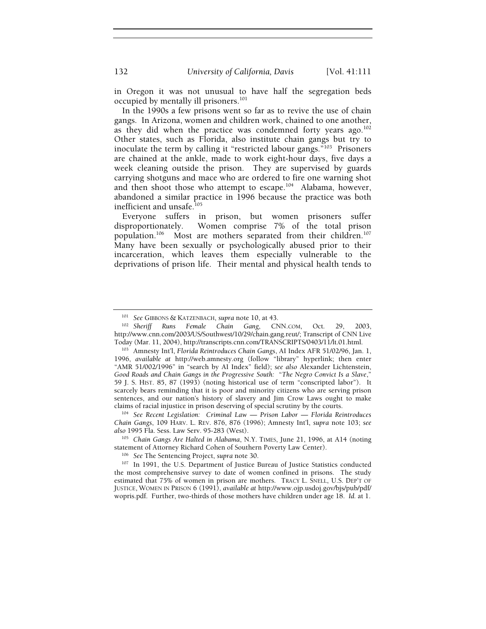in Oregon it was not unusual to have half the segregation beds occupied by mentally ill prisoners.<sup>101</sup>

In the 1990s a few prisons went so far as to revive the use of chain gangs. In Arizona, women and children work, chained to one another, as they did when the practice was condemned forty years ago.<sup>102</sup> Other states, such as Florida, also institute chain gangs but try to inoculate the term by calling it "restricted labour gangs."<sup>103</sup> Prisoners are chained at the ankle, made to work eight-hour days, five days a week cleaning outside the prison. They are supervised by guards carrying shotguns and mace who are ordered to fire one warning shot and then shoot those who attempt to escape.<sup>104</sup> Alabama, however, abandoned a similar practice in 1996 because the practice was both inefficient and unsafe.<sup>105</sup>

Everyone suffers in prison, but women prisoners suffer disproportionately. Women comprise 7% of the total prison population.<sup>106</sup> Most are mothers separated from their children.<sup>107</sup> Many have been sexually or psychologically abused prior to their incarceration, which leaves them especially vulnerable to the deprivations of prison life. Their mental and physical health tends to

*Chain Gangs*, 109 HARV. L. REV. 876, 876 (1996); Amnesty Int'l, *supra* note 103; *see also* 1995 Fla. Sess. Law Serv. 95-283 (West).

<sup>105</sup> *Chain Gangs Are Halted in Alabama*, N.Y. TIMES, June 21, 1996, at A14 (noting statement of Attorney Richard Cohen of Southern Poverty Law Center). 106 *See* The Sentencing Project, *supra* note 30. 107 In 1991, the U.S. Department of Justice Bureau of Justice Statistics conducted

the most comprehensive survey to date of women confined in prisons. The study estimated that 75% of women in prison are mothers. TRACY L. SNELL, U.S. DEP'T OF JUSTICE, WOMEN IN PRISON 6 (1991), *available at* http://www.ojp.usdoj.gov/bjs/pub/pdf/ wopris.pdf. Further, two-thirds of those mothers have children under age 18. *Id.* at 1.

<sup>101</sup> *See* GIBBONS & KATZENBACH, *supra* note 10, at 43. 102 *Sheriff Runs Female Chain Gang*, CNN.COM, Oct. 29, 2003, http://www.cnn.com/2003/US/Southwest/10/29/chain.gang.reut/; Transcript of CNN Live

<sup>&</sup>lt;sup>103</sup> Amnesty Int'l, *Florida Reintroduces Chain Gangs*, AI Index AFR 51/02/96, Jan. 1, 1996, *available at* http://web.amnesty.org (follow "library" hyperlink; then enter "AMR 51/002/1996" in "search by AI Index" field); *see also* Alexander Lichtenstein, *Good Roads and Chain Gangs in the Progressive South:* "*The Negro Convict Is a Slave*," 59 J. S. HIST. 85, 87 (1993) (noting historical use of term "conscripted labor"). It scarcely bears reminding that it is poor and minority citizens who are serving prison sentences, and our nation's history of slavery and Jim Crow Laws ought to make claims of racial injustice in prison deserving of special scrutiny by the courts. 104 *See Recent Legislation: Criminal Law — Prison Labor — Florida Reintroduces*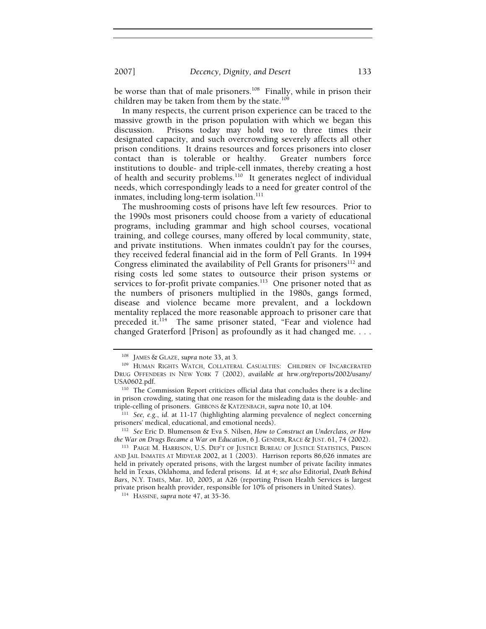2007] *Decency, Dignity, and Desert* 133

be worse than that of male prisoners.<sup>108</sup> Finally, while in prison their children may be taken from them by the state.<sup>109</sup>

In many respects, the current prison experience can be traced to the massive growth in the prison population with which we began this discussion. Prisons today may hold two to three times their designated capacity, and such overcrowding severely affects all other prison conditions. It drains resources and forces prisoners into closer contact than is tolerable or healthy. Greater numbers force institutions to double- and triple-cell inmates, thereby creating a host of health and security problems.<sup>110</sup> It generates neglect of individual needs, which correspondingly leads to a need for greater control of the inmates, including long-term isolation.<sup>111</sup>

The mushrooming costs of prisons have left few resources. Prior to the 1990s most prisoners could choose from a variety of educational programs, including grammar and high school courses, vocational training, and college courses, many offered by local community, state, and private institutions. When inmates couldn't pay for the courses, they received federal financial aid in the form of Pell Grants. In 1994 Congress eliminated the availability of Pell Grants for prisoners<sup>112</sup> and rising costs led some states to outsource their prison systems or services to for-profit private companies.<sup>113</sup> One prisoner noted that as the numbers of prisoners multiplied in the 1980s, gangs formed, disease and violence became more prevalent, and a lockdown mentality replaced the more reasonable approach to prisoner care that preceded it.<sup>114</sup> The same prisoner stated, "Fear and violence had changed Graterford [Prison] as profoundly as it had changed me. . . .

<sup>&</sup>lt;sup>108</sup> JAMES & GLAZE, *supra* note 33, at 3.<br><sup>109</sup> HUMAN RIGHTS WATCH, COLLATERAL CASUALTIES: CHILDREN OF INCARCERATED DRUG OFFENDERS IN NEW YORK 7 (2002), *available at* hrw.org/reports/2002/usany/ USA0602.pdf.<br><sup>110</sup> The Commission Report criticizes official data that concludes there is a decline

in prison crowding, stating that one reason for the misleading data is the double- and triple-celling of prisoners. GIBBONS & KATZENBACH, *supra* note 10, at 104. 111 *See, e.g.*, *id.* at 11-17 (highlighting alarming prevalence of neglect concerning

prisoners' medical, educational, and emotional needs). 112 *See* Eric D. Blumenson & Eva S. Nilsen, *How to Construct an Underclass, or How* 

*the War on Drugs Became a War on Education*, 6 J. GENDER, RACE & JUST. 61, 74 (2002).<br><sup>113</sup> PAIGE M. HARRISON, U.S. DEP'T OF JUSTICE BUREAU OF JUSTICE STATISTICS, PRISON

AND JAIL INMATES AT MIDYEAR 2002, at 1 (2003). Harrison reports 86,626 inmates are held in privately operated prisons, with the largest number of private facility inmates held in Texas, Oklahoma, and federal prisons. *Id.* at 4; *see also* Editorial, *Death Behind Bars*, N.Y. TIMES, Mar. 10, 2005, at A26 (reporting Prison Health Services is largest private prison health provider, responsible for 10% of prisoners in United States). 114 HASSINE, *supra* note 47, at 35-36.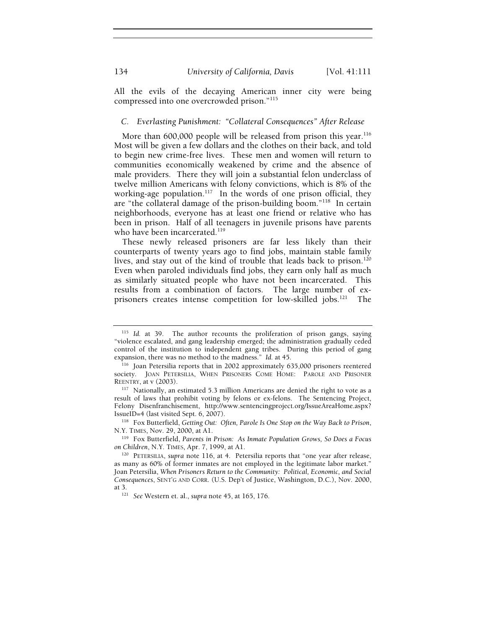All the evils of the decaying American inner city were being compressed into one overcrowded prison."115

# *C. Everlasting Punishment: "Collateral Consequences" After Release*

More than 600,000 people will be released from prison this year.<sup>116</sup> Most will be given a few dollars and the clothes on their back, and told to begin new crime-free lives. These men and women will return to communities economically weakened by crime and the absence of male providers. There they will join a substantial felon underclass of twelve million Americans with felony convictions, which is 8% of the working-age population.<sup>117</sup> In the words of one prison official, they are "the collateral damage of the prison-building boom."118 In certain neighborhoods, everyone has at least one friend or relative who has been in prison. Half of all teenagers in juvenile prisons have parents who have been incarcerated.<sup>119</sup>

These newly released prisoners are far less likely than their counterparts of twenty years ago to find jobs, maintain stable family lives, and stay out of the kind of trouble that leads back to prison.<sup>120</sup> Even when paroled individuals find jobs, they earn only half as much as similarly situated people who have not been incarcerated. This results from a combination of factors. The large number of exprisoners creates intense competition for low-skilled jobs.121 The

<sup>115</sup> *Id.* at 39. The author recounts the proliferation of prison gangs, saying "violence escalated, and gang leadership emerged; the administration gradually ceded control of the institution to independent gang tribes. During this period of gang

expansion, there was no method to the madness." *Id.* at 45.<br><sup>116</sup> Joan Petersilia reports that in 2002 approximately 635,000 prisoners reentered society. JOAN PETERSILIA, WHEN PRISONERS COME HOME: PAROLE AND PRISONER REENTRY, at v (2003).  $117$  Nationally, an estimated 5.3 million Americans are denied the right to vote as a

result of laws that prohibit voting by felons or ex-felons. The Sentencing Project, Felony Disenfranchisement, http://www.sentencingproject.org/IssueAreaHome.aspx? IssueID=4 (last visited Sept. 6, 2007). 118 Fox Butterfield, *Getting Out: Often, Parole Is One Stop on the Way Back to Prison*,

N.Y. TIMES, Nov. 29, 2000, at A1.<br><sup>119</sup> Fox Butterfield, *Parents in Prison: As Inmate Population Grows, So Does a Focus on Children*, N.Y. TIMES, Apr. 7, 1999, at A1.<br><sup>120</sup> PETERSILIA, *supra* note 116, at 4. Petersilia reports that "one year after release,

as many as 60% of former inmates are not employed in the legitimate labor market." Joan Petersilia, *When Prisoners Return to the Community: Political, Economic, and Social Consequences*, SENT'G AND CORR. (U.S. Dep't of Justice, Washington, D.C.), Nov. 2000, at 3. 121 *See* Western et. al., *supra* note 45, at 165, 176.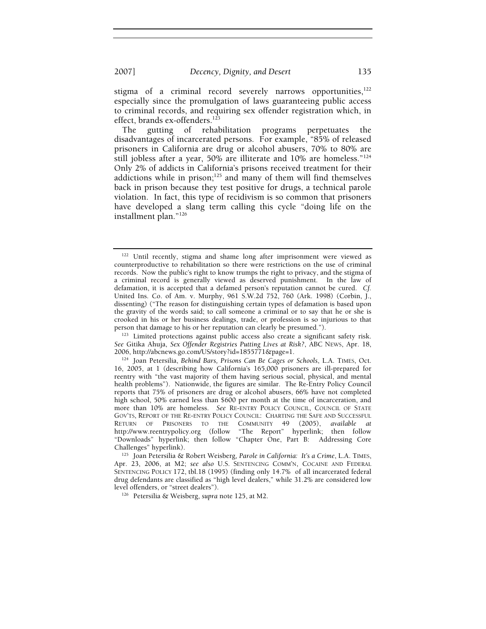stigma of a criminal record severely narrows opportunities,<sup>122</sup> especially since the promulgation of laws guaranteeing public access to criminal records, and requiring sex offender registration which, in effect, brands ex-offenders.<sup>123</sup>

The gutting of rehabilitation programs perpetuates the disadvantages of incarcerated persons. For example, "85% of released prisoners in California are drug or alcohol abusers, 70% to 80% are still jobless after a year, 50% are illiterate and 10% are homeless."124 Only 2% of addicts in California's prisons received treatment for their addictions while in prison;<sup>125</sup> and many of them will find themselves back in prison because they test positive for drugs, a technical parole violation. In fact, this type of recidivism is so common that prisoners have developed a slang term calling this cycle "doing life on the installment plan."126

<sup>122</sup> Until recently, stigma and shame long after imprisonment were viewed as counterproductive to rehabilitation so there were restrictions on the use of criminal records. Now the public's right to know trumps the right to privacy, and the stigma of a criminal record is generally viewed as deserved punishment. In the law of defamation, it is accepted that a defamed person's reputation cannot be cured. *Cf.* United Ins. Co. of Am. v. Murphy, 961 S.W.2d 752, 760 (Ark. 1998) (Corbin, J., dissenting) ("The reason for distinguishing certain types of defamation is based upon the gravity of the words said; to call someone a criminal or to say that he or she is crooked in his or her business dealings, trade, or profession is so injurious to that person that damage to his or her reputation can clearly be presumed.").<br><sup>123</sup> Limited protections against public access also create a significant safety risk.

*See* Gitika Ahuja, *Sex Offender Registries Putting Lives at Risk?*, ABC NEWS, Apr. 18, 2006, http://abcnews.go.com/US/story?id=1855771&page=1. 124 Joan Petersilia, *Behind Bars, Prisons Can Be Cages or Schools*, L.A. TIMES, Oct.

<sup>16, 2005,</sup> at 1 (describing how California's 165,000 prisoners are ill-prepared for reentry with "the vast majority of them having serious social, physical, and mental health problems"). Nationwide, the figures are similar. The Re-Entry Policy Council reports that 75% of prisoners are drug or alcohol abusers, 66% have not completed high school, 50% earned less than \$600 per month at the time of incarceration, and more than 10% are homeless. *See* RE-ENTRY POLICY COUNCIL, COUNCIL OF STATE GOV'TS, REPORT OF THE RE-ENTRY POLICY COUNCIL: CHARTING THE SAFE AND SUCCESSFUL RETURN OF PRISONERS TO THE COMMUNITY 49 (2005), *available at* http://www.reentrypolicy.org (follow "The Report" hyperlink; then follow "Downloads" hyperlink; then follow "Chapter One, Part B: Addressing Core

<sup>&</sup>lt;sup>125</sup> Joan Petersilia & Robert Weisberg, *Parole in California: It's a Crime*, L.A. TIMES, Apr. 23, 2006, at M2; *see also* U.S. SENTENCING COMM'N, COCAINE AND FEDERAL SENTENCING POLICY 172, tbl.18 (1995) (finding only 14.7% of all incarcerated federal drug defendants are classified as "high level dealers," while 31.2% are considered low level offenders, or "street dealers"). 126 Petersilia & Weisberg, *supra* note 125, at M2.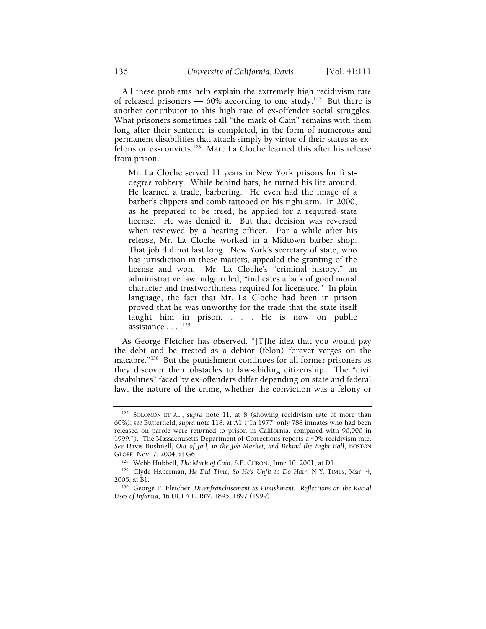All these problems help explain the extremely high recidivism rate of released prisoners —  $60\%$  according to one study.<sup>127</sup> But there is another contributor to this high rate of ex-offender social struggles. What prisoners sometimes call "the mark of Cain" remains with them long after their sentence is completed, in the form of numerous and permanent disabilities that attach simply by virtue of their status as exfelons or ex-convicts.128 Marc La Cloche learned this after his release from prison.

Mr. La Cloche served 11 years in New York prisons for firstdegree robbery. While behind bars, he turned his life around. He learned a trade, barbering. He even had the image of a barber's clippers and comb tattooed on his right arm. In 2000, as he prepared to be freed, he applied for a required state license. He was denied it. But that decision was reversed when reviewed by a hearing officer. For a while after his release, Mr. La Cloche worked in a Midtown barber shop. That job did not last long. New York's secretary of state, who has jurisdiction in these matters, appealed the granting of the license and won. Mr. La Cloche's "criminal history," an administrative law judge ruled, "indicates a lack of good moral character and trustworthiness required for licensure." In plain language, the fact that Mr. La Cloche had been in prison proved that he was unworthy for the trade that the state itself taught him in prison. . . . He is now on public assistance . . . .<sup>129</sup>

As George Fletcher has observed, "[T]he idea that you would pay the debt and be treated as a debtor (felon) forever verges on the macabre."<sup>130</sup> But the punishment continues for all former prisoners as they discover their obstacles to law-abiding citizenship. The "civil disabilities" faced by ex-offenders differ depending on state and federal law, the nature of the crime, whether the conviction was a felony or

<sup>127</sup> SOLOMON ET AL., *supra* note 11, at 8 (showing recidivism rate of more than 60%); *see* Butterfield, *supra* note 118, at A1 ("In 1977, only 788 inmates who had been released on parole were returned to prison in California, compared with 90,000 in 1999."). The Massachusetts Department of Corrections reports a 40% recidivism rate. *See* Davis Bushnell, *Out of Jail, in the Job Market, and Behind the Eight Ball*, BOSTON

GLOBE, Nov. 7, 2004, at G6.<br><sup>128</sup> Webb Hubbell, *The Mark of Cain*, S.F. CHRON., June 10, 2001, at D1.<br><sup>129</sup> Clyde Haberman, *He Did Time, So He's Unfit to Do Hair*, N.Y. TIMES, Mar. 4, 2005, at B1.<br><sup>130</sup> George P. Fletcher, *Disenfranchisement as Punishment: Reflections on the Racial* 

*Uses of Infamia*, 46 UCLA L. REV. 1895, 1897 (1999).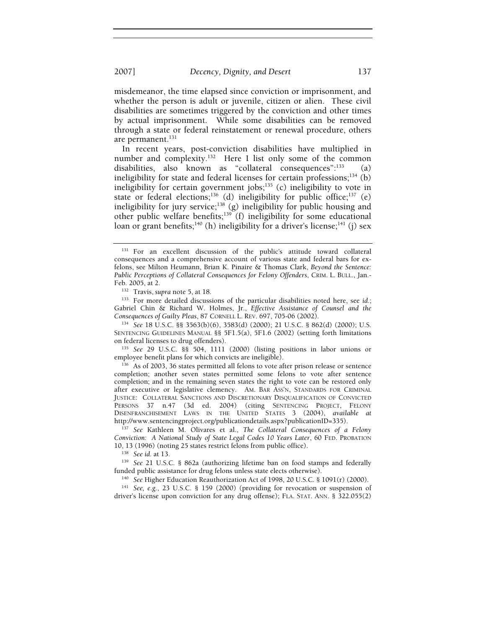misdemeanor, the time elapsed since conviction or imprisonment, and whether the person is adult or juvenile, citizen or alien. These civil disabilities are sometimes triggered by the conviction and other times

by actual imprisonment. While some disabilities can be removed through a state or federal reinstatement or renewal procedure, others are permanent.<sup>131</sup>

In recent years, post-conviction disabilities have multiplied in number and complexity.<sup>132</sup> Here I list only some of the common disabilities, also known as "collateral consequences": $^{133}$  (a) ineligibility for state and federal licenses for certain professions; $^{134}$  (b) ineligibility for certain government jobs; $135$  (c) ineligibility to vote in state or federal elections;<sup>136</sup> (d) ineligibility for public office;<sup>137</sup> (e) ineligibility for jury service;<sup>138</sup> (g) ineligibility for public housing and other public welfare benefits;<sup>139</sup> (f) ineligibility for some educational loan or grant benefits;<sup>140</sup> (h) ineligibility for a driver's license;<sup>141</sup> (j) sex

<sup>132</sup> Travis, *supra* note 5, at 18. 133 For more detailed discussions of the particular disabilities noted here, see *id.*; Gabriel Chin & Richard W. Holmes, Jr., *Effective Assistance of Counsel and the Consequences of Guilty Pleas*, 87 CORNELL L. REV. 697, 705-06 (2002). 134 *See* 18 U.S.C. §§ 3563(b)(6), 3583(d) (2000); 21 U.S.C. § 862(d) (2000); U.S.

SENTENCING GUIDELINES MANUAL §§ 5F1.5(a), 5F1.6 (2002) (setting forth limitations on federal licenses to drug offenders). 135 *See* 29 U.S.C. §§ 504, 1111 (2000) (listing positions in labor unions or

employee benefit plans for which convicts are ineligible). 136 As of 2003, 36 states permitted all felons to vote after prison release or sentence

completion; another seven states permitted some felons to vote after sentence completion; and in the remaining seven states the right to vote can be restored only after executive or legislative clemency. AM. BAR ASS'N, STANDARDS FOR CRIMINAL JUSTICE: COLLATERAL SANCTIONS AND DISCRETIONARY DISQUALIFICATION OF CONVICTED PERSONS 37 n.47 (3d ed. 2004) (citing SENTENCING PROJECT, FELONY DISENFRANCHISEMENT LAWS IN THE UNITED STATES 3 (2004), *available at* http://www.sentencingproject.org/publicationdetails.aspx?publicationID=335). 137 *See* Kathleen M. Olivares et al., *The Collateral Consequences of a Felony* 

*Conviction: A National Study of State Legal Codes 10 Years Later*, 60 FED. PROBATION

10, 13 (1996) (noting 25 states restrict felons from public office).<br><sup>138</sup> *See id.* at 13.<br><sup>139</sup> *See* 21 U.S.C. § 862a (authorizing lifetime ban on food stamps and federally funded public assistance for drug felons unl

<sup>140</sup> See Higher Education Reauthorization Act of 1998, 20 U.S.C. § 1091(r) (2000).<br><sup>141</sup> See, e.g., 23 U.S.C. § 159 (2000) (providing for revocation or suspension of driver's license upon conviction for any drug offense); FLA. STAT. ANN. § 322.055(2)

<sup>&</sup>lt;sup>131</sup> For an excellent discussion of the public's attitude toward collateral consequences and a comprehensive account of various state and federal bars for exfelons, see Milton Heumann, Brian K. Pinaire & Thomas Clark, *Beyond the Sentence: Public Perceptions of Collateral Consequences for Felony Offenders*, CRIM. L. BULL., Jan.-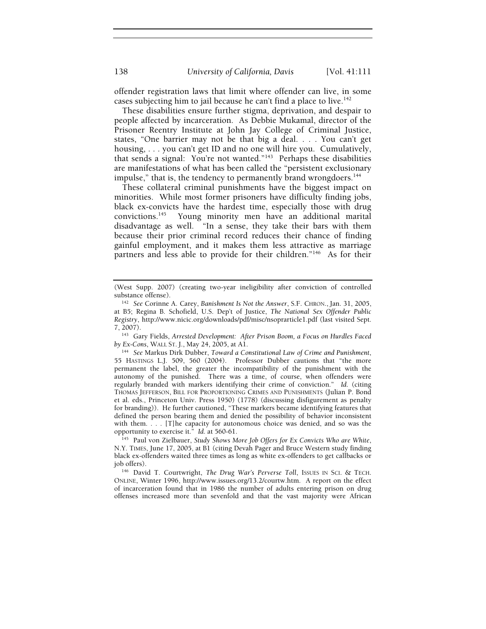offender registration laws that limit where offender can live, in some cases subjecting him to jail because he can't find a place to live.<sup>142</sup>

These disabilities ensure further stigma, deprivation, and despair to people affected by incarceration. As Debbie Mukamal, director of the Prisoner Reentry Institute at John Jay College of Criminal Justice, states, "One barrier may not be that big a deal. . . . You can't get housing, . . . you can't get ID and no one will hire you. Cumulatively, that sends a signal: You're not wanted."143 Perhaps these disabilities are manifestations of what has been called the "persistent exclusionary impulse," that is, the tendency to permanently brand wrongdoers.<sup>144</sup>

These collateral criminal punishments have the biggest impact on minorities. While most former prisoners have difficulty finding jobs, black ex-convicts have the hardest time, especially those with drug convictions.145 Young minority men have an additional marital disadvantage as well. "In a sense, they take their bars with them because their prior criminal record reduces their chance of finding gainful employment, and it makes them less attractive as marriage partners and less able to provide for their children."146 As for their

<sup>143</sup> Gary Fields, *Arrested Development: After Prison Boom, a Focus on Hurdles Faced by Ex-Cons, WALL St. J., May 24, 2005, at A1.* 

<sup>145</sup> Paul von Zielbauer, *Study Shows More Job Offers for Ex Convicts Who are White*, N.Y. TIMES, June 17, 2005, at B1 (citing Devah Pager and Bruce Western study finding black ex-offenders waited three times as long as white ex-offenders to get callbacks or

146 David T. Courtwright, *The Drug War's Perverse Toll*, ISSUES IN SCI. & TECH. ONLINE, Winter 1996, http://www.issues.org/13.2/courtw.htm. A report on the effect of incarceration found that in 1986 the number of adults entering prison on drug offenses increased more than sevenfold and that the vast majority were African

<sup>(</sup>West Supp. 2007) (creating two-year ineligibility after conviction of controlled substance offense). 142 *See* Corinne A. Carey, *Banishment Is Not the Answer*, S.F. CHRON., Jan. 31, 2005,

at B5; Regina B. Schofield, U.S. Dep't of Justice, *The National Sex Offender Public Registry*, http://www.nicic.org/downloads/pdf/misc/nsoprarticle1.pdf (last visited Sept.

<sup>&</sup>lt;sup>144</sup> See Markus Dirk Dubber, *Toward a Constitutional Law of Crime and Punishment*, 55 HASTINGS L.J. 509, 560 (2004). Professor Dubber cautions that "the more permanent the label, the greater the incompatibility of the punishment with the autonomy of the punished. There was a time, of course, when offenders were regularly branded with markers identifying their crime of conviction." *Id*. (citing THOMAS JEFFERSON, BILL FOR PROPORTIONING CRIMES AND PUNISHMENTS (Julian P. Bond et al. eds., Princeton Univ. Press 1950) (1778) (discussing disfigurement as penalty for branding)). He further cautioned, "These markers became identifying features that defined the person bearing them and denied the possibility of behavior inconsistent with them.  $\dots$  [T]he capacity for autonomous choice was denied, and so was the opportunity to exercise it." Id. at 560-61.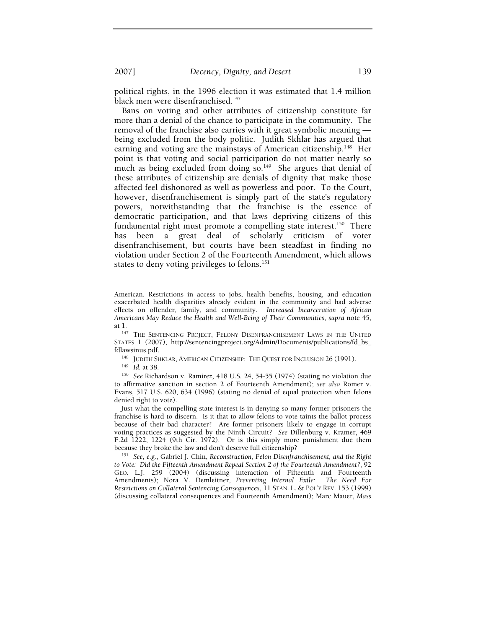2007] *Decency, Dignity, and Desert* 139

political rights, in the 1996 election it was estimated that 1.4 million black men were disenfranchised.<sup>147</sup>

Bans on voting and other attributes of citizenship constitute far more than a denial of the chance to participate in the community. The removal of the franchise also carries with it great symbolic meaning being excluded from the body politic. Judith Skhlar has argued that earning and voting are the mainstays of American citizenship.<sup>148</sup> Her point is that voting and social participation do not matter nearly so much as being excluded from doing so.<sup>149</sup> She argues that denial of these attributes of citizenship are denials of dignity that make those affected feel dishonored as well as powerless and poor. To the Court, however, disenfranchisement is simply part of the state's regulatory powers, notwithstanding that the franchise is the essence of democratic participation, and that laws depriving citizens of this fundamental right must promote a compelling state interest.<sup>150</sup> There has been a great deal of scholarly criticism of voter disenfranchisement, but courts have been steadfast in finding no violation under Section 2 of the Fourteenth Amendment, which allows states to deny voting privileges to felons.<sup>151</sup>

<sup>148</sup> JUDITH SHKLAR, AMERICAN CITIZENSHIP: THE QUEST FOR INCLUSION 26 (1991).<br><sup>149</sup> Id. at 38. 150 *See* Richardson v. Ramirez, 418 U.S. 24, 54-55 (1974) (stating no violation due to affirmative sanction in section 2 of Fourteenth Amendment); *see also* Romer v. Evans, 517 U.S. 620, 634 (1996) (stating no denial of equal protection when felons denied right to vote).

Just what the compelling state interest is in denying so many former prisoners the franchise is hard to discern. Is it that to allow felons to vote taints the ballot process because of their bad character? Are former prisoners likely to engage in corrupt voting practices as suggested by the Ninth Circuit? *See* Dillenburg v. Kramer, 469 F.2d 1222, 1224 (9th Cir. 1972). Or is this simply more punishment due them

because they broke the law and don't deserve full citizenship? 151 *See, e.g.*, Gabriel J. Chin, *Reconstruction, Felon Disenfranchisement, and the Right to Vote: Did the Fifteenth Amendment Repeal Section 2 of the Fourteenth Amendment?*, 92 GEO. L.J. 259 (2004) (discussing interaction of Fifteenth and Fourteenth Amendments); Nora V. Demleitner, *Preventing Internal Exile: The Need For Restrictions on Collateral Sentencing Consequences*, 11 STAN. L. & POL'Y REV. 153 (1999) (discussing collateral consequences and Fourteenth Amendment); Marc Mauer, *Mass* 

American. Restrictions in access to jobs, health benefits, housing, and education exacerbated health disparities already evident in the community and had adverse effects on offender, family, and community. *Increased Incarceration of African Americans May Reduce the Health and Well-Being of Their Communities*, *supra* note 45,

at 1.<br><sup>147</sup> The Sentencing Project, Felony Disenfranchisement Laws in the United STATES 1 (2007), http://sentencingproject.org/Admin/Documents/publications/fd\_bs\_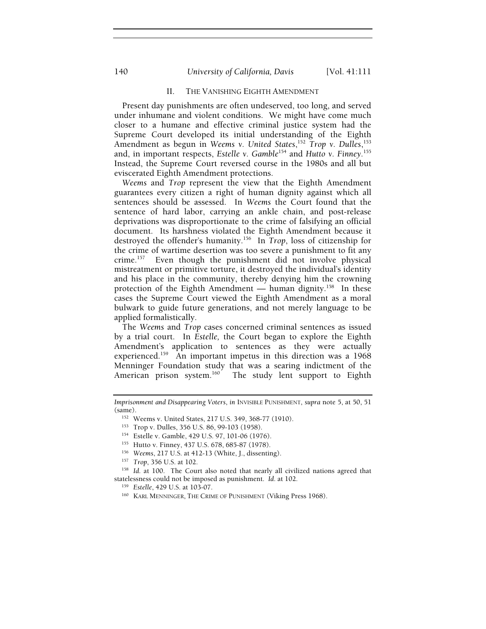# 140 *University of California, Davis* [Vol. 41:111

#### II. THE VANISHING EIGHTH AMENDMENT

Present day punishments are often undeserved, too long, and served under inhumane and violent conditions. We might have come much closer to a humane and effective criminal justice system had the Supreme Court developed its initial understanding of the Eighth Amendment as begun in *Weems v. United States*, <sup>152</sup> *Trop v. Dulles*, 153 and, in important respects, *Estelle v. Gamble*154 and *Hutto v. Finney.*155 Instead, the Supreme Court reversed course in the 1980s and all but eviscerated Eighth Amendment protections.

*Weems* and *Trop* represent the view that the Eighth Amendment guarantees every citizen a right of human dignity against which all sentences should be assessed. In *Weems* the Court found that the sentence of hard labor, carrying an ankle chain, and post-release deprivations was disproportionate to the crime of falsifying an official document. Its harshness violated the Eighth Amendment because it destroyed the offender's humanity.156 In *Trop*, loss of citizenship for the crime of wartime desertion was too severe a punishment to fit any crime.157 Even though the punishment did not involve physical mistreatment or primitive torture, it destroyed the individual's identity and his place in the community, thereby denying him the crowning protection of the Eighth Amendment — human dignity.<sup>158</sup> In these cases the Supreme Court viewed the Eighth Amendment as a moral bulwark to guide future generations, and not merely language to be applied formalistically.

The *Weems* and *Trop* cases concerned criminal sentences as issued by a trial court. In *Estelle,* the Court began to explore the Eighth Amendment's application to sentences as they were actually experienced.<sup>159</sup> An important impetus in this direction was a 1968 Menninger Foundation study that was a searing indictment of the American prison system.<sup>160</sup> The study lent support to Eighth The study lent support to Eighth

*Imprisonment and Disappearing Voters*, *in* INVISIBLE PUNISHMENT, *supra* note 5, at 50, 51 (same).<br><sup>152</sup> Weems v. United States, 217 U.S. 349, 368-77 (1910).<br><sup>153</sup> Trop v. Dulles, 356 U.S. 86, 99-103 (1958).<br><sup>154</sup> Estelle v. Gamble, 429 U.S. 97, 101-06 (1976).<br><sup>155</sup> Hutto v. Finney, 437 U.S. 678, 685-87 (1978).

statelessness could not be imposed as punishment. *Id.* at 102.<br><sup>159</sup> *Estelle*, 429 U.S. at 103-07.<br><sup>160</sup> KARL MENNINGER, THE CRIME OF PUNISHMENT (Viking Press 1968).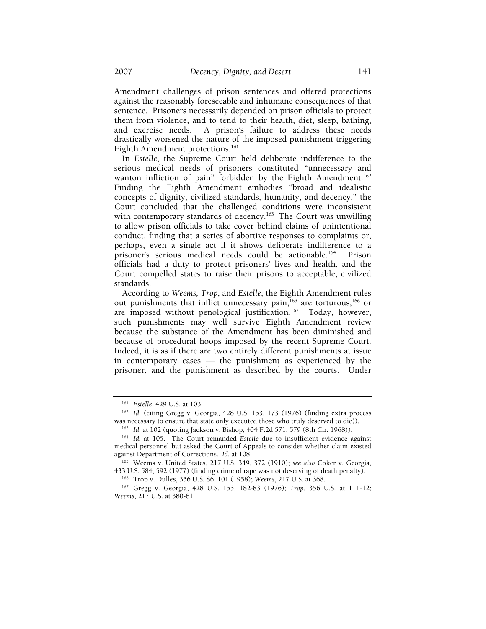2007] *Decency, Dignity, and Desert* 141

Amendment challenges of prison sentences and offered protections against the reasonably foreseeable and inhumane consequences of that sentence. Prisoners necessarily depended on prison officials to protect them from violence, and to tend to their health, diet, sleep, bathing, and exercise needs. A prison's failure to address these needs drastically worsened the nature of the imposed punishment triggering Eighth Amendment protections.<sup>161</sup>

In *Estelle*, the Supreme Court held deliberate indifference to the serious medical needs of prisoners constituted "unnecessary and wanton infliction of pain" forbidden by the Eighth Amendment.<sup>162</sup> Finding the Eighth Amendment embodies "broad and idealistic concepts of dignity, civilized standards, humanity, and decency," the Court concluded that the challenged conditions were inconsistent with contemporary standards of decency.<sup>163</sup> The Court was unwilling to allow prison officials to take cover behind claims of unintentional conduct, finding that a series of abortive responses to complaints or, perhaps, even a single act if it shows deliberate indifference to a prisoner's serious medical needs could be actionable.<sup>164</sup> Prison officials had a duty to protect prisoners' lives and health, and the Court compelled states to raise their prisons to acceptable, civilized standards.

According to *Weems, Trop*, and *Estelle*, the Eighth Amendment rules out punishments that inflict unnecessary pain, $165$  are torturous, $166$  or are imposed without penological justification.<sup>167</sup> Today, however, such punishments may well survive Eighth Amendment review because the substance of the Amendment has been diminished and because of procedural hoops imposed by the recent Supreme Court. Indeed, it is as if there are two entirely different punishments at issue in contemporary cases — the punishment as experienced by the prisoner, and the punishment as described by the courts. Under

<sup>161</sup> *Estelle*, 429 U.S. at 103. 162 *Id*. (citing Gregg v. Georgia, 428 U.S. 153, 173 (1976) (finding extra process was necessary to ensure that state only executed those who truly deserved to die)).<br><sup>163</sup> Id. at 102 (quoting Jackson v. Bishop, 404 F.2d 571, 579 (8th Cir. 1968)).<br><sup>164</sup> Id. at 105. The Court remanded *Estelle* due to ins

medical personnel but asked the Court of Appeals to consider whether claim existed

against Department of Corrections. *Id.* at 108.<br><sup>165</sup> Weems v. United States, 217 U.S. 349, 372 (1910); *see also* Coker v. Georgia, 433 U.S. 584, 592 (1977) (finding crime of rape was not deserving of death penalty).

<sup>&</sup>lt;sup>166</sup> Trop v. Dulles, 356 U.S. 86, 101 (1958); Weems, 217 U.S. at 368.<br><sup>167</sup> Gregg v. Georgia, 428 U.S. 153, 182-83 (1976); *Trop*, 356 U.S. at 111-12;

*Weems*, 217 U.S. at 380-81.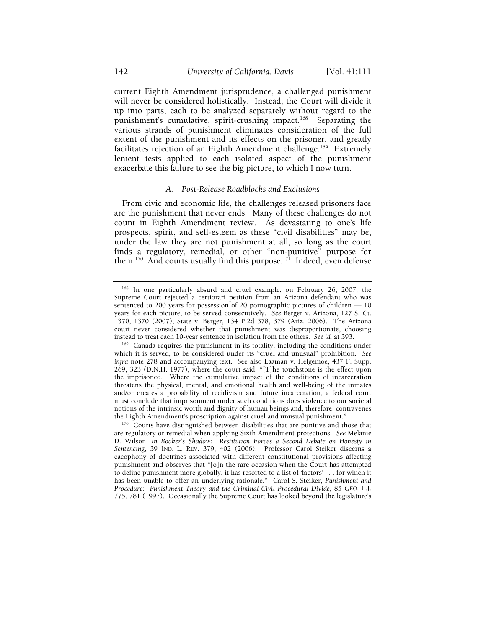current Eighth Amendment jurisprudence, a challenged punishment will never be considered holistically. Instead, the Court will divide it up into parts, each to be analyzed separately without regard to the punishment's cumulative, spirit-crushing impact.<sup>168</sup> Separating the various strands of punishment eliminates consideration of the full extent of the punishment and its effects on the prisoner, and greatly facilitates rejection of an Eighth Amendment challenge.<sup>169</sup> Extremely lenient tests applied to each isolated aspect of the punishment exacerbate this failure to see the big picture, to which I now turn.

#### *A. Post-Release Roadblocks and Exclusions*

From civic and economic life, the challenges released prisoners face are the punishment that never ends. Many of these challenges do not count in Eighth Amendment review. As devastating to one's life prospects, spirit, and self-esteem as these "civil disabilities" may be, under the law they are not punishment at all, so long as the court finds a regulatory, remedial, or other "non-punitive" purpose for them.<sup>170</sup> And courts usually find this purpose.<sup>171</sup> Indeed, even defense

<sup>168</sup> In one particularly absurd and cruel example, on February 26, 2007, the Supreme Court rejected a certiorari petition from an Arizona defendant who was sentenced to 200 years for possession of 20 pornographic pictures of children — 10 years for each picture, to be served consecutively. *See* Berger v. Arizona, 127 S. Ct. 1370, 1370 (2007); State v. Berger, 134 P.2d 378, 379 (Ariz. 2006). The Arizona court never considered whether that punishment was disproportionate, choosing instead to treat each 10-year sentence in isolation from the others. *See id.* at 393.<br><sup>169</sup> Canada requires the punishment in its totality, including the conditions under

which it is served, to be considered under its "cruel and unusual" prohibition. *See infra* note 278 and accompanying text. See also Laaman v. Helgemoe, 437 F. Supp. 269, 323 (D.N.H. 1977), where the court said, "[T]he touchstone is the effect upon the imprisoned. Where the cumulative impact of the conditions of incarceration threatens the physical, mental, and emotional health and well-being of the inmates and/or creates a probability of recidivism and future incarceration, a federal court must conclude that imprisonment under such conditions does violence to our societal notions of the intrinsic worth and dignity of human beings and, therefore, contravenes the Eighth Amendment's proscription against cruel and unusual punishment." 170 Courts have distinguished between disabilities that are punitive and those that

are regulatory or remedial when applying Sixth Amendment protections. *See* Melanie D. Wilson, *In Booker's Shadow: Restitution Forces a Second Debate on Honesty in Sentencing*, 39 IND. L. REV. 379, 402 (2006). Professor Carol Steiker discerns a cacophony of doctrines associated with different constitutional provisions affecting punishment and observes that "[o]n the rare occasion when the Court has attempted to define punishment more globally, it has resorted to a list of 'factors' . . . for which it has been unable to offer an underlying rationale." Carol S. Steiker, *Punishment and Procedure: Punishment Theory and the Criminal-Civil Procedural Divide*, 85 GEO. L.J. 775, 781 (1997). Occasionally the Supreme Court has looked beyond the legislature's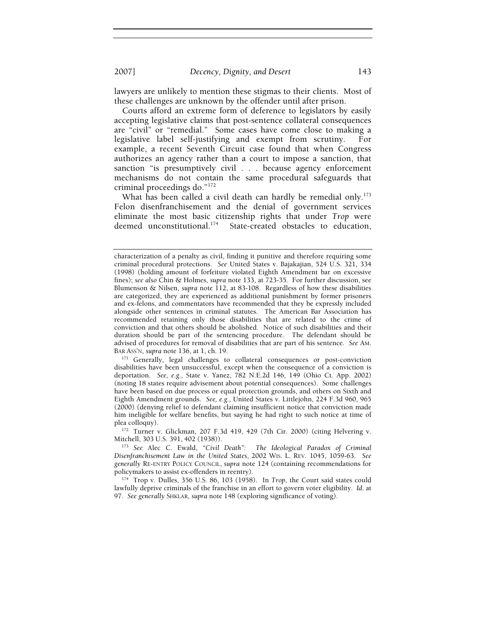2007] *Decency, Dignity, and Desert* 143

lawyers are unlikely to mention these stigmas to their clients. Most of these challenges are unknown by the offender until after prison.

Courts afford an extreme form of deference to legislators by easily accepting legislative claims that post-sentence collateral consequences are "civil" or "remedial." Some cases have come close to making a legislative label self-justifying and exempt from scrutiny. For example, a recent Seventh Circuit case found that when Congress authorizes an agency rather than a court to impose a sanction, that sanction "is presumptively civil . . . because agency enforcement mechanisms do not contain the same procedural safeguards that criminal proceedings do."172

What has been called a civil death can hardly be remedial only.<sup>173</sup> Felon disenfranchisement and the denial of government services eliminate the most basic citizenship rights that under *Trop* were deemed unconstitutional.<sup>174</sup> State-created obstacles to education,

BAR Ass'N, *supra* note 136, at 1, ch. 19.<br><sup>171</sup> Generally, legal challenges to collateral consequences or post-conviction disabilities have been unsuccessful, except when the consequence of a conviction is deportation. *See, e.g.*, State v. Yanez, 782 N.E.2d 146, 149 (Ohio Ct. App. 2002) (noting 18 states require advisement about potential consequences). Some challenges have been based on due process or equal protection grounds, and others on Sixth and Eighth Amendment grounds. *See, e.g.*, United States v. Littlejohn, 224 F.3d 960, 965 (2000) (denying relief to defendant claiming insufficient notice that conviction made him ineligible for welfare benefits, but saying he had right to such notice at time of

plea colloquy).<br><sup>172</sup> Turner v. Glickman, 207 F.3d 419, 429 (7th Cir. 2000) (citing Helvering v.<br>Mitchell, 303 U.S. 391, 402 (1938)).

<sup>173</sup> See Alec C. Ewald, "Civil Death": The Ideological Paradox of Criminal *Disenfranchisement Law in the United States*, 2002 WIS. L. REV. 1045, 1059-63. *See generally* RE-ENTRY POLICY COUNCIL, *supra* note 124 (containing recommendations for

<sup>174</sup> Trop v. Dulles, 356 U.S. 86, 103 (1958). In *Trop*, the Court said states could lawfully deprive criminals of the franchise in an effort to govern voter eligibility. *Id*. at 97. *See generally* SHKLAR, *supra* note 148 (exploring significance of voting).

characterization of a penalty as civil, finding it punitive and therefore requiring some criminal procedural protections. *See* United States v. Bajakajian, 524 U.S. 321, 334 (1998) (holding amount of forfeiture violated Eighth Amendment bar on excessive fines); *see also* Chin & Holmes, *supra* note 133, at 723-35. For further discussion, see Blumenson & Nilsen, *supra* note 112, at 83-108. Regardless of how these disabilities are categorized, they are experienced as additional punishment by former prisoners and ex-felons, and commentators have recommended that they be expressly included alongside other sentences in criminal statutes. The American Bar Association has recommended retaining only those disabilities that are related to the crime of conviction and that others should be abolished. Notice of such disabilities and their duration should be part of the sentencing procedure. The defendant should be advised of procedures for removal of disabilities that are part of his sentence. *See* AM.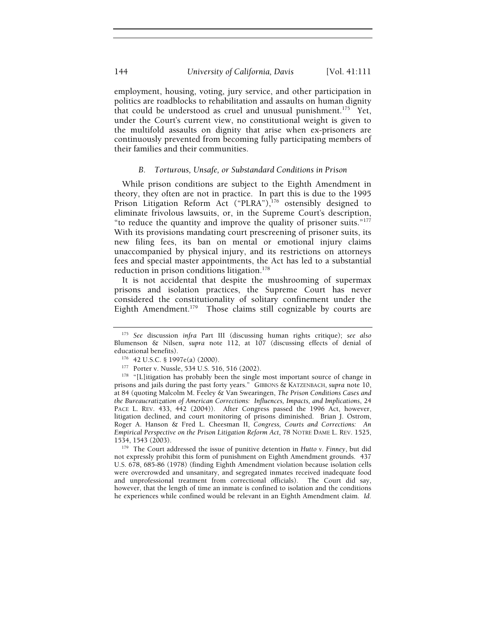employment, housing, voting, jury service, and other participation in politics are roadblocks to rehabilitation and assaults on human dignity that could be understood as cruel and unusual punishment.<sup>175</sup> Yet, under the Court's current view, no constitutional weight is given to the multifold assaults on dignity that arise when ex-prisoners are continuously prevented from becoming fully participating members of their families and their communities.

## *B. Torturous, Unsafe, or Substandard Conditions in Prison*

While prison conditions are subject to the Eighth Amendment in theory, they often are not in practice. In part this is due to the 1995 Prison Litigation Reform Act ("PLRA"),<sup>176</sup> ostensibly designed to eliminate frivolous lawsuits, or, in the Supreme Court's description, "to reduce the quantity and improve the quality of prisoner suits."177 With its provisions mandating court prescreening of prisoner suits, its new filing fees, its ban on mental or emotional injury claims unaccompanied by physical injury, and its restrictions on attorneys fees and special master appointments, the Act has led to a substantial reduction in prison conditions litigation.<sup>178</sup>

It is not accidental that despite the mushrooming of supermax prisons and isolation practices, the Supreme Court has never considered the constitutionality of solitary confinement under the Eighth Amendment.<sup>179</sup> Those claims still cognizable by courts are

<sup>179</sup> The Court addressed the issue of punitive detention in *Hutto v. Finney*, but did not expressly prohibit this form of punishment on Eighth Amendment grounds. 437 U.S. 678, 685-86 (1978) (finding Eighth Amendment violation because isolation cells were overcrowded and unsanitary, and segregated inmates received inadequate food and unprofessional treatment from correctional officials). The Court did say, however, that the length of time an inmate is confined to isolation and the conditions he experiences while confined would be relevant in an Eighth Amendment claim*. Id.*

<sup>175</sup> *See* discussion *infra* Part III (discussing human rights critique); *see also* Blumenson & Nilsen, *supra* note 112, at 107 (discussing effects of denial of

educational benefits).<br><sup>176</sup> 42 U.S.C. § 1997e(a) (2000).<br><sup>177</sup> Porter v. Nussle, 534 U.S. 516, 516 (2002).<br><sup>178</sup> "[L]itigation has probably been the single most important source of change in prisons and jails during the past forty years." GIBBONS & KATZENBACH, *supra* note 10, at 84 (quoting Malcolm M. Feeley & Van Swearingen, *The Prison Conditions Cases and the Bureaucratization of American Corrections: Influences, Impacts, and Implications*, 24 PACE L. REV. 433, 442 (2004)). After Congress passed the 1996 Act, however, litigation declined, and court monitoring of prisons diminished. Brian J. Ostrom, Roger A. Hanson & Fred L. Cheesman II, *Congress, Courts and Corrections: An Empirical Perspective on the Prison Litigation Reform Act*, 78 NOTRE DAME L. REV. 1525,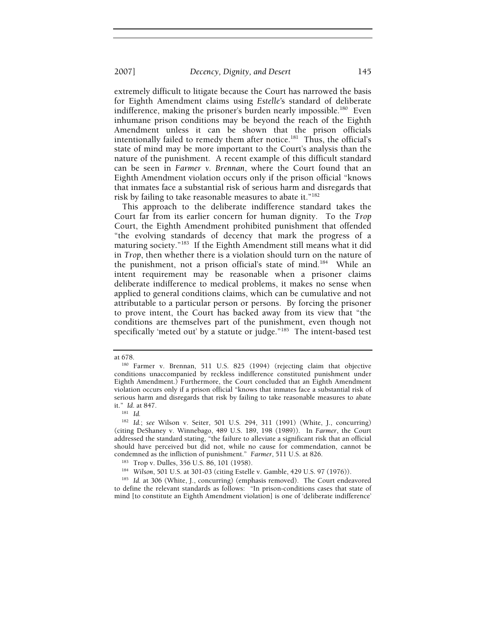extremely difficult to litigate because the Court has narrowed the basis for Eighth Amendment claims using *Estelle'*s standard of deliberate indifference, making the prisoner's burden nearly impossible.<sup>180</sup> Even inhumane prison conditions may be beyond the reach of the Eighth Amendment unless it can be shown that the prison officials intentionally failed to remedy them after notice.<sup>181</sup> Thus, the official's state of mind may be more important to the Court's analysis than the nature of the punishment. A recent example of this difficult standard can be seen in *Farmer v. Brennan*, where the Court found that an Eighth Amendment violation occurs only if the prison official "knows that inmates face a substantial risk of serious harm and disregards that risk by failing to take reasonable measures to abate it."<sup>182</sup>

This approach to the deliberate indifference standard takes the Court far from its earlier concern for human dignity. To the *Trop* Court, the Eighth Amendment prohibited punishment that offended "the evolving standards of decency that mark the progress of a maturing society."<sup>183</sup> If the Eighth Amendment still means what it did in *Trop*, then whether there is a violation should turn on the nature of the punishment, not a prison official's state of mind.184 While an intent requirement may be reasonable when a prisoner claims deliberate indifference to medical problems, it makes no sense when applied to general conditions claims, which can be cumulative and not attributable to a particular person or persons. By forcing the prisoner to prove intent, the Court has backed away from its view that "the conditions are themselves part of the punishment, even though not specifically 'meted out' by a statute or judge."<sup>185</sup> The intent-based test

at 678.

<sup>180</sup> Farmer v. Brennan, 511 U.S. 825 (1994) (rejecting claim that objective conditions unaccompanied by reckless indifference constituted punishment under Eighth Amendment.) Furthermore, the Court concluded that an Eighth Amendment violation occurs only if a prison official "knows that inmates face a substantial risk of serious harm and disregards that risk by failing to take reasonable measures to abate it." *Id*. at 847. 181 *Id.*

<sup>182</sup> *Id.*; *see* Wilson v. Seiter, 501 U.S. 294, 311 (1991) (White, J., concurring) (citing DeShaney v. Winnebago, 489 U.S. 189, 198 (1989)). In *Farmer*, the Court addressed the standard stating, "the failure to alleviate a significant risk that an official should have perceived but did not, while no cause for commendation, cannot be condemned as the infliction of punishment." *Farmer*, 511 U.S. at 826.<br><sup>183</sup> Trop v. Dulles, 356 U.S. 86, 101 (1958).<br><sup>184</sup> Wils*on*, 501 U.S. at 301-03 (citing Estelle v. Gamble, 429 U.S. 97 (1976)).<br><sup>185</sup> Id. at 306 (Whi

to define the relevant standards as follows: "In prison-conditions cases that state of mind [to constitute an Eighth Amendment violation] is one of 'deliberate indifference'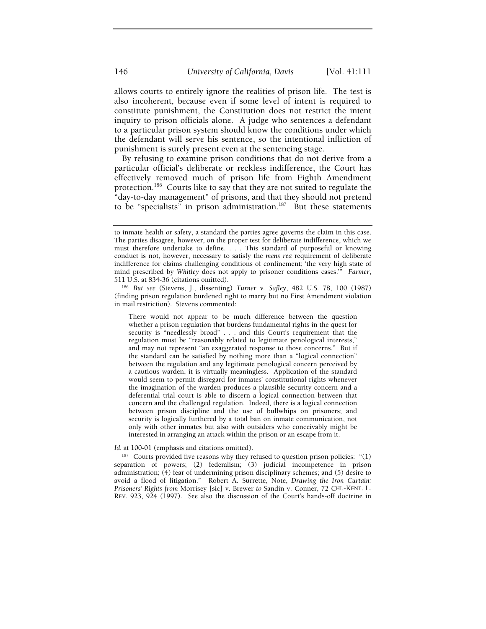allows courts to entirely ignore the realities of prison life. The test is also incoherent, because even if some level of intent is required to constitute punishment, the Constitution does not restrict the intent inquiry to prison officials alone. A judge who sentences a defendant to a particular prison system should know the conditions under which the defendant will serve his sentence, so the intentional infliction of punishment is surely present even at the sentencing stage.

By refusing to examine prison conditions that do not derive from a particular official's deliberate or reckless indifference, the Court has effectively removed much of prison life from Eighth Amendment protection.<sup>186</sup> Courts like to say that they are not suited to regulate the "day-to-day management" of prisons, and that they should not pretend to be "specialists" in prison administration.<sup>187</sup> But these statements

There would not appear to be much difference between the question whether a prison regulation that burdens fundamental rights in the quest for security is "needlessly broad" . . . and this Court's requirement that the regulation must be "reasonably related to legitimate penological interests," and may not represent "an exaggerated response to those concerns." But if the standard can be satisfied by nothing more than a "logical connection" between the regulation and any legitimate penological concern perceived by a cautious warden, it is virtually meaningless. Application of the standard would seem to permit disregard for inmates' constitutional rights whenever the imagination of the warden produces a plausible security concern and a deferential trial court is able to discern a logical connection between that concern and the challenged regulation. Indeed, there is a logical connection between prison discipline and the use of bullwhips on prisoners; and security is logically furthered by a total ban on inmate communication, not only with other inmates but also with outsiders who conceivably might be interested in arranging an attack within the prison or an escape from it.

#### *Id.* at 100-01 (emphasis and citations omitted).

 $187$  Courts provided five reasons why they refused to question prison policies: "(1) separation of powers; (2) federalism; (3) judicial incompetence in prison administration; (4) fear of undermining prison disciplinary schemes; and (5) desire to avoid a flood of litigation." Robert A. Surrette, Note, *Drawing the Iron Curtain: Prisoners' Rights from* Morrisey [sic] v. Brewer *to* Sandin v. Conner, 72 CHI.-KENT. L. REV. 923, 924 (1997). See also the discussion of the Court's hands-off doctrine in

to inmate health or safety, a standard the parties agree governs the claim in this case. The parties disagree, however, on the proper test for deliberate indifference, which we must therefore undertake to define. . . . This standard of purposeful or knowing conduct is not, however, necessary to satisfy the *mens rea* requirement of deliberate indifference for claims challenging conditions of confinement; 'the very high state of mind prescribed by *Whitley* does not apply to prisoner conditions cases.'" *Farmer*,

<sup>186</sup> But see (Stevens, J., dissenting) *Turner v. Safley*, 482 U.S. 78, 100 (1987) (finding prison regulation burdened right to marry but no First Amendment violation in mail restriction). Stevens commented: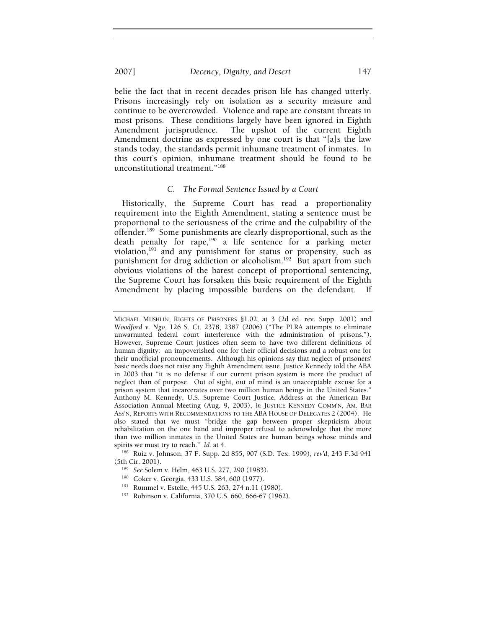#### 2007] *Decency, Dignity, and Desert* 147

belie the fact that in recent decades prison life has changed utterly. Prisons increasingly rely on isolation as a security measure and continue to be overcrowded. Violence and rape are constant threats in most prisons. These conditions largely have been ignored in Eighth Amendment jurisprudence. The upshot of the current Eighth Amendment doctrine as expressed by one court is that "[a]s the law stands today, the standards permit inhumane treatment of inmates. In this court's opinion, inhumane treatment should be found to be unconstitutional treatment."188

### *C. The Formal Sentence Issued by a Court*

Historically, the Supreme Court has read a proportionality requirement into the Eighth Amendment, stating a sentence must be proportional to the seriousness of the crime and the culpability of the offender.189 Some punishments are clearly disproportional, such as the death penalty for rape,<sup>190</sup> a life sentence for a parking meter violation,<sup>191</sup> and any punishment for status or propensity, such as punishment for drug addiction or alcoholism.<sup>192</sup> But apart from such obvious violations of the barest concept of proportional sentencing, the Supreme Court has forsaken this basic requirement of the Eighth Amendment by placing impossible burdens on the defendant. If

<sup>188</sup> Ruiz v. Johnson, 37 F. Supp. 2d 855, 907 (S.D. Tex. 1999), *rev'd*, 243 F.3d 941 (5th Cir. 2001).<br><sup>189</sup> *See* Solem v. Helm, 463 U.S. 277, 290 (1983).<br><sup>190</sup> Coker v. Georgia, 433 U.S. 584, 600 (1977).<br><sup>191</sup> Rummel v. Estelle, 445 U.S. 263, 274 n.11 (1980).<br><sup>192</sup> Robinson v. California, 370 U.S. 660, 66

- 
- 

MICHAEL MUSHLIN, RIGHTS OF PRISONERS §1.02, at 3 (2d ed. rev. Supp. 2001) and *Woodford v. Ngo*, 126 S. Ct. 2378, 2387 (2006) ("The PLRA attempts to eliminate unwarranted federal court interference with the administration of prisons."). However, Supreme Court justices often seem to have two different definitions of human dignity: an impoverished one for their official decisions and a robust one for their unofficial pronouncements. Although his opinions say that neglect of prisoners' basic needs does not raise any Eighth Amendment issue, Justice Kennedy told the ABA in 2003 that "it is no defense if our current prison system is more the product of neglect than of purpose. Out of sight, out of mind is an unacceptable excuse for a prison system that incarcerates over two million human beings in the United States." Anthony M. Kennedy, U.S. Supreme Court Justice, Address at the American Bar Association Annual Meeting (Aug. 9, 2003), *in* JUSTICE KENNEDY COMM'N, AM. BAR ASS'N, REPORTS WITH RECOMMENDATIONS TO THE ABA HOUSE OF DELEGATES 2 (2004). He also stated that we must "bridge the gap between proper skepticism about rehabilitation on the one hand and improper refusal to acknowledge that the more than two million inmates in the United States are human beings whose minds and spirits we must try to reach." Id. at 4.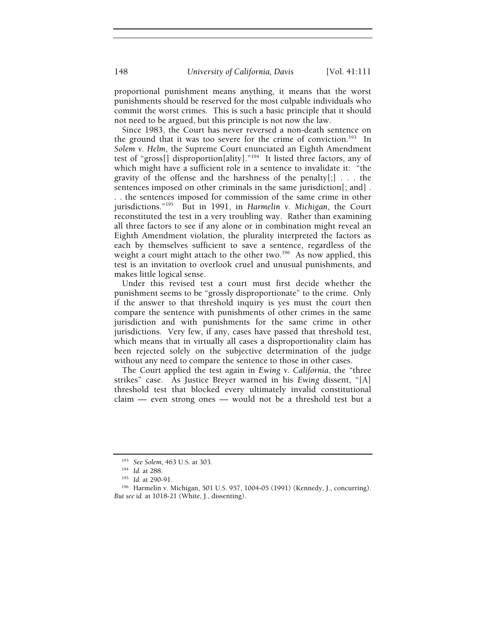proportional punishment means anything, it means that the worst punishments should be reserved for the most culpable individuals who commit the worst crimes. This is such a basic principle that it should not need to be argued, but this principle is not now the law.

Since 1983, the Court has never reversed a non-death sentence on the ground that it was too severe for the crime of conviction.<sup>193</sup> In *Solem v. Helm*, the Supreme Court enunciated an Eighth Amendment test of "gross[] disproportion[ality]."194 It listed three factors, any of which might have a sufficient role in a sentence to invalidate it: "the gravity of the offense and the harshness of the penalty $[:]$ ... the sentences imposed on other criminals in the same jurisdiction[; and] . . . the sentences imposed for commission of the same crime in other jurisdictions."195 But in 1991, in *Harmelin v. Michigan*, the Court

reconstituted the test in a very troubling way. Rather than examining all three factors to see if any alone or in combination might reveal an Eighth Amendment violation, the plurality interpreted the factors as each by themselves sufficient to save a sentence, regardless of the weight a court might attach to the other two.<sup>196</sup> As now applied, this test is an invitation to overlook cruel and unusual punishments, and makes little logical sense.

Under this revised test a court must first decide whether the punishment seems to be "grossly disproportionate" to the crime. Only if the answer to that threshold inquiry is yes must the court then compare the sentence with punishments of other crimes in the same jurisdiction and with punishments for the same crime in other jurisdictions. Very few, if any, cases have passed that threshold test, which means that in virtually all cases a disproportionality claim has been rejected solely on the subjective determination of the judge without any need to compare the sentence to those in other cases.

The Court applied the test again in *Ewing v. California*, the "three strikes" case. As Justice Breyer warned in his *Ewing* dissent, "[A] threshold test that blocked every ultimately invalid constitutional claim — even strong ones — would not be a threshold test but a

<sup>&</sup>lt;sup>193</sup> See Solem, 463 U.S. at 303.<br><sup>194</sup> Id. at 288.<br><sup>195</sup> Id. at 290-91.<br><sup>196</sup> Harmelin v. Michigan, 501 U.S. 957, 1004-05 (1991) (Kennedy, J., concurring). *But see id.* at 1018-21 (White, J., dissenting).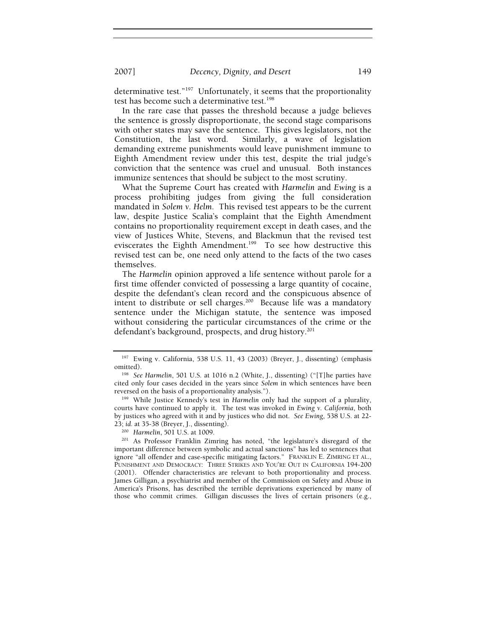determinative test."197 Unfortunately, it seems that the proportionality test has become such a determinative test.<sup>198</sup>

In the rare case that passes the threshold because a judge believes the sentence is grossly disproportionate, the second stage comparisons with other states may save the sentence. This gives legislators, not the Constitution, the last word. Similarly, a wave of legislation demanding extreme punishments would leave punishment immune to Eighth Amendment review under this test, despite the trial judge's conviction that the sentence was cruel and unusual. Both instances immunize sentences that should be subject to the most scrutiny.

What the Supreme Court has created with *Harmelin* and *Ewing* is a process prohibiting judges from giving the full consideration mandated in *Solem v. Helm*. This revised test appears to be the current law, despite Justice Scalia's complaint that the Eighth Amendment contains no proportionality requirement except in death cases, and the view of Justices White, Stevens, and Blackmun that the revised test eviscerates the Eighth Amendment.<sup>199</sup> To see how destructive this revised test can be, one need only attend to the facts of the two cases themselves.

The *Harmelin* opinion approved a life sentence without parole for a first time offender convicted of possessing a large quantity of cocaine, despite the defendant's clean record and the conspicuous absence of intent to distribute or sell charges.<sup>200</sup> Because life was a mandatory sentence under the Michigan statute, the sentence was imposed without considering the particular circumstances of the crime or the defendant's background, prospects, and drug history.<sup>201</sup>

<sup>197</sup> Ewing v. California, 538 U.S. 11, 43 (2003) (Breyer, J., dissenting) (emphasis omitted). 198 *See Harmelin*, 501 U.S. at 1016 n.2 (White, J., dissenting) ("[T]he parties have

cited only four cases decided in the years since *Solem* in which sentences have been reversed on the basis of a proportionality analysis."). 199 While Justice Kennedy's test in *Harmelin* only had the support of a plurality,

courts have continued to apply it. The test was invoked in *Ewing v. California*, both by justices who agreed with it and by justices who did not. *See Ewing*, 538 U.S. at 22-

<sup>&</sup>lt;sup>200</sup> Harmelin, 501 U.S. at 1009.<br><sup>201</sup> As Professor Franklin Zimring has noted, "the legislature's disregard of the important difference between symbolic and actual sanctions" has led to sentences that ignore "all offender and case-specific mitigating factors." FRANKLIN E. ZIMRING ET AL., PUNISHMENT AND DEMOCRACY: THREE STRIKES AND YOU'RE OUT IN CALIFORNIA 194-200 (2001). Offender characteristics are relevant to both proportionality and process. James Gilligan, a psychiatrist and member of the Commission on Safety and Abuse in America's Prisons, has described the terrible deprivations experienced by many of those who commit crimes. Gilligan discusses the lives of certain prisoners (e.g.,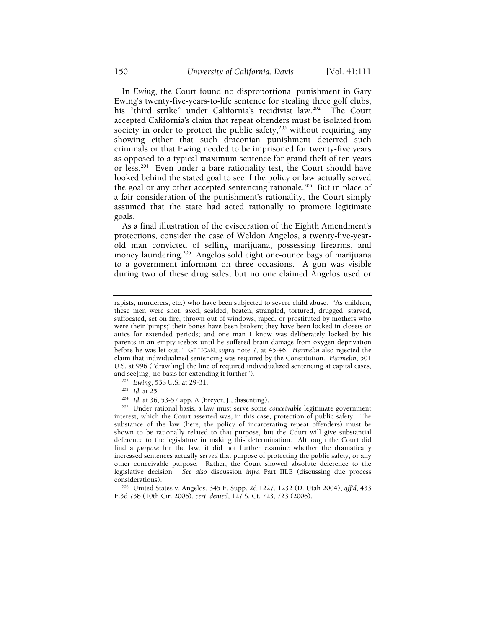In *Ewing*, the Court found no disproportional punishment in Gary Ewing's twenty-five-years-to-life sentence for stealing three golf clubs, his "third strike" under California's recidivist law.<sup>202</sup> The Court accepted California's claim that repeat offenders must be isolated from society in order to protect the public safety,<sup>203</sup> without requiring any showing either that such draconian punishment deterred such criminals or that Ewing needed to be imprisoned for twenty-five years as opposed to a typical maximum sentence for grand theft of ten years or less.<sup>204</sup> Even under a bare rationality test, the Court should have looked behind the stated goal to see if the policy or law actually served the goal or any other accepted sentencing rationale.<sup>205</sup> But in place of a fair consideration of the punishment's rationality, the Court simply assumed that the state had acted rationally to promote legitimate goals.

As a final illustration of the evisceration of the Eighth Amendment's protections, consider the case of Weldon Angelos, a twenty-five-yearold man convicted of selling marijuana, possessing firearms, and money laundering.<sup>206</sup> Angelos sold eight one-ounce bags of marijuana to a government informant on three occasions. A gun was visible during two of these drug sales, but no one claimed Angelos used or

- 
- 

rapists, murderers, etc.) who have been subjected to severe child abuse. "As children, these men were shot, axed, scalded, beaten, strangled, tortured, drugged, starved, suffocated, set on fire, thrown out of windows, raped, or prostituted by mothers who were their 'pimps;' their bones have been broken; they have been locked in closets or attics for extended periods; and one man I know was deliberately locked by his parents in an empty icebox until he suffered brain damage from oxygen deprivation before he was let out." GILLIGAN, *supra* note 7, at 45-46. *Harmelin* also rejected the claim that individualized sentencing was required by the Constitution. *Harmelin*, 501 U.S. at 996 ("draw[ing] the line of required individualized sentencing at capital cases, and see[ing] no basis for extending it further").

<sup>&</sup>lt;sup>202</sup> Ewing, 538 U.S. at 29-31.<br><sup>203</sup> Id. at 25.<br><sup>204</sup> Id. at 36, 53-57 app. A (Breyer, J., dissenting).<br><sup>205</sup> Under rational basis, a law must serve some *conceivable* legitimate government interest, which the Court asserted was, in this case, protection of public safety. The substance of the law (here, the policy of incarcerating repeat offenders) must be shown to be rationally related to that purpose, but the Court will give substantial deference to the legislature in making this determination. Although the Court did find a *purpose* for the law, it did not further examine whether the dramatically increased sentences actually *served* that purpose of protecting the public safety, or any other conceivable purpose. Rather, the Court showed absolute deference to the legislative decision. *See also* discussion *infra* Part III.B (discussing due process considerations). 206 United States v. Angelos, 345 F. Supp. 2d 1227, 1232 (D. Utah 2004), *aff'd*, 433

F.3d 738 (10th Cir. 2006), *cert. denied*, 127 S. Ct. 723, 723 (2006).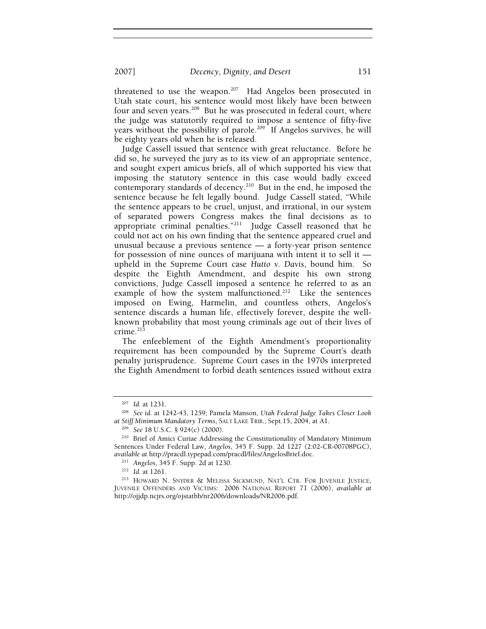2007] *Decency, Dignity, and Desert* 151

threatened to use the weapon.<sup>207</sup> Had Angelos been prosecuted in Utah state court, his sentence would most likely have been between four and seven years.<sup>208</sup> But he was prosecuted in federal court, where the judge was statutorily required to impose a sentence of fifty-five years without the possibility of parole.<sup>209</sup> If Angelos survives, he will be eighty years old when he is released.

Judge Cassell issued that sentence with great reluctance. Before he did so, he surveyed the jury as to its view of an appropriate sentence, and sought expert amicus briefs, all of which supported his view that imposing the statutory sentence in this case would badly exceed contemporary standards of decency.<sup>210</sup> But in the end, he imposed the sentence because he felt legally bound. Judge Cassell stated, "While the sentence appears to be cruel, unjust, and irrational, in our system of separated powers Congress makes the final decisions as to appropriate criminal penalties."211 Judge Cassell reasoned that he could not act on his own finding that the sentence appeared cruel and unusual because a previous sentence — a forty-year prison sentence for possession of nine ounces of marijuana with intent it to sell it upheld in the Supreme Court case *Hutto v. Davis*, bound him. So despite the Eighth Amendment, and despite his own strong convictions, Judge Cassell imposed a sentence he referred to as an example of how the system malfunctioned.<sup>212</sup> Like the sentences imposed on Ewing, Harmelin, and countless others, Angelos's sentence discards a human life, effectively forever, despite the wellknown probability that most young criminals age out of their lives of  $c$ rime. $213$ 

The enfeeblement of the Eighth Amendment's proportionality requirement has been compounded by the Supreme Court's death penalty jurisprudence. Supreme Court cases in the 1970s interpreted the Eighth Amendment to forbid death sentences issued without extra

<sup>207</sup> *Id.* at 1231. 208 *See id.* at 1242-43, 1259; Pamela Manson, *Utah Federal Judge Takes Closer Look at Stiff Minimum Mandatory Terms*, SALT LAKE TRIB., Sept.15, 2004, at A1. 209 *See* 18 U.S.C. § 924(c) (2000). 210 Brief of Amici Curiae Addressing the Constitutionality of Mandatory Minimum

Sentences Under Federal Law, *Angelos*, 345 F. Supp. 2d 1227 (2:02-CR-00708PGC), *available at http://pracdl.typepad.com/pracdl/files/AngelosBrief.doc.*<br><sup>211</sup> *Angelos*, 345 F. Supp. 2d at 1230.<br><sup>212</sup> *Id.* at 1261. <sup>213</sup> HOWARD N. SNYDER & MELISSA SICKMUND, NAT'L CTR. FOR JUVENILE JUSTICE,

JUVENILE OFFENDERS AND VICTIMS: 2006 NATIONAL REPORT 71 (2006), *available at* http://ojjdp.ncjrs.org/ojstatbb/nr2006/downloads/NR2006.pdf.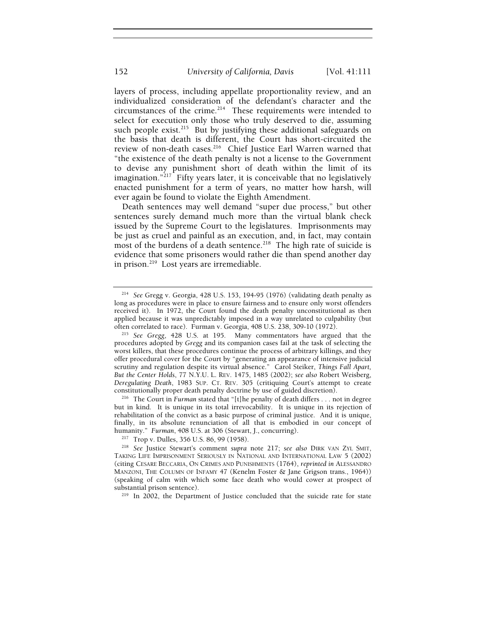layers of process, including appellate proportionality review, and an individualized consideration of the defendant's character and the circumstances of the crime.<sup>214</sup> These requirements were intended to select for execution only those who truly deserved to die, assuming such people exist.<sup>215</sup> But by justifying these additional safeguards on the basis that death is different, the Court has short-circuited the review of non-death cases.<sup>216</sup> Chief Justice Earl Warren warned that "the existence of the death penalty is not a license to the Government to devise any punishment short of death within the limit of its imagination." $^{217}$  Fifty years later, it is conceivable that no legislatively enacted punishment for a term of years, no matter how harsh, will ever again be found to violate the Eighth Amendment.

Death sentences may well demand "super due process," but other sentences surely demand much more than the virtual blank check issued by the Supreme Court to the legislatures. Imprisonments may be just as cruel and painful as an execution, and, in fact, may contain most of the burdens of a death sentence.<sup>218</sup> The high rate of suicide is evidence that some prisoners would rather die than spend another day in prison.<sup>219</sup> Lost years are irremediable.

<sup>214</sup> *See* Gregg v. Georgia, 428 U.S. 153, 194-95 (1976) (validating death penalty as long as procedures were in place to ensure fairness and to ensure only worst offenders received it). In 1972, the Court found the death penalty unconstitutional as then applied because it was unpredictably imposed in a way unrelated to culpability (but often correlated to race). Furman v. Georgia, 408 U.S. 238, 309-10 (1972).

<sup>&</sup>lt;sup>215</sup> See Gregg, 428 U.S. at 195. Many commentators have argued that the procedures adopted by *Gregg* and its companion cases fail at the task of selecting the worst killers, that these procedures continue the process of arbitrary killings, and they offer procedural cover for the Court by "generating an appearance of intensive judicial scrutiny and regulation despite its virtual absence." Carol Steiker, *Things Fall Apart, But the Center Holds*, 77 N.Y.U. L. REV. 1475, 1485 (2002); *see also* Robert Weisberg, *Deregulating Death*, 1983 SUP. CT. REV. 305 (critiquing Court's attempt to create constitutionally proper death penalty doctrine by use of guided discretion). 216 The Court in *Furman* stated that "[t]he penalty of death differs . . . not in degree

but in kind. It is unique in its total irrevocability. It is unique in its rejection of rehabilitation of the convict as a basic purpose of criminal justice. And it is unique, finally, in its absolute renunciation of all that is embodied in our concept of humanity." *Furman*, 408 U.S. at 306 (Stewart, J., concurring).<br><sup>217</sup> Trop v. Dulles, 356 U.S. 86, 99 (1958).

<sup>&</sup>lt;sup>218</sup> See Justice Stewart's comment *supra* note 217; see also DIRK VAN ZYL SMIT, TAKING LIFE IMPRISONMENT SERIOUSLY IN NATIONAL AND INTERNATIONAL LAW 5 (2002) (citing CESARE BECCARIA, ON CRIMES AND PUNISHMENTS (1764), *reprinted in* ALESSANDRO MANZONI, THE COLUMN OF INFAMY 47 (Kenelm Foster & Jane Grigson trans., 1964)) (speaking of calm with which some face death who would cower at prospect of substantial prison sentence).<br><sup>219</sup> In 2002, the Department of Justice concluded that the suicide rate for state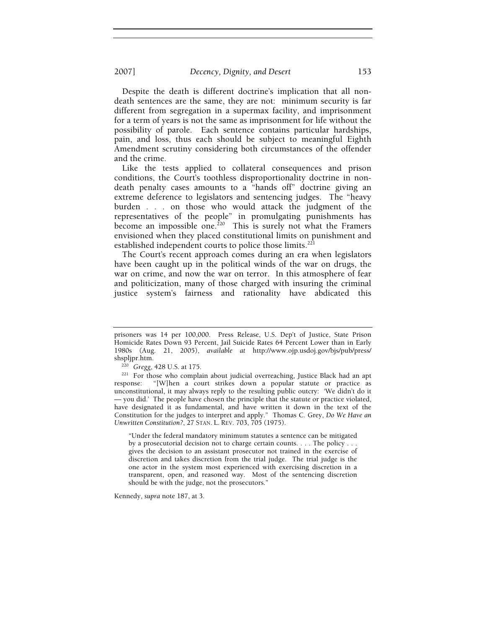Despite the death is different doctrine's implication that all nondeath sentences are the same, they are not: minimum security is far different from segregation in a supermax facility, and imprisonment for a term of years is not the same as imprisonment for life without the possibility of parole. Each sentence contains particular hardships, pain, and loss, thus each should be subject to meaningful Eighth Amendment scrutiny considering both circumstances of the offender and the crime.

Like the tests applied to collateral consequences and prison conditions, the Court's toothless disproportionality doctrine in nondeath penalty cases amounts to a "hands off" doctrine giving an extreme deference to legislators and sentencing judges. The "heavy burden . . . on those who would attack the judgment of the representatives of the people" in promulgating punishments has become an impossible one.<sup>220</sup> This is surely not what the Framers envisioned when they placed constitutional limits on punishment and established independent courts to police those limits.<sup>221</sup>

The Court's recent approach comes during an era when legislators have been caught up in the political winds of the war on drugs, the war on crime, and now the war on terror. In this atmosphere of fear and politicization, many of those charged with insuring the criminal justice system's fairness and rationality have abdicated this

"Under the federal mandatory minimum statutes a sentence can be mitigated by a prosecutorial decision not to charge certain counts. . . . The policy . . . gives the decision to an assistant prosecutor not trained in the exercise of discretion and takes discretion from the trial judge. The trial judge is the one actor in the system most experienced with exercising discretion in a transparent, open, and reasoned way. Most of the sentencing discretion should be with the judge, not the prosecutors."

Kennedy, *supra* note 187, at 3.

prisoners was 14 per 100,000. Press Release, U.S. Dep't of Justice, State Prison Homicide Rates Down 93 Percent, Jail Suicide Rates 64 Percent Lower than in Early 1980s (Aug. 21, 2005), *available at* http://www.ojp.usdoj.gov/bjs/pub/press/

<sup>&</sup>lt;sup>220</sup> Gregg, 428 U.S. at 175. 221 For those who complain about judicial overreaching, Justice Black had an apt response: "[W]hen a court strikes down a popular statute or practice as unconstitutional, it may always reply to the resulting public outcry: 'We didn't do it — you did.' The people have chosen the principle that the statute or practice violated, have designated it as fundamental, and have written it down in the text of the Constitution for the judges to interpret and apply." Thomas C. Grey, *Do We Have an Unwritten Constitution?*, 27 STAN. L. REV. 703, 705 (1975).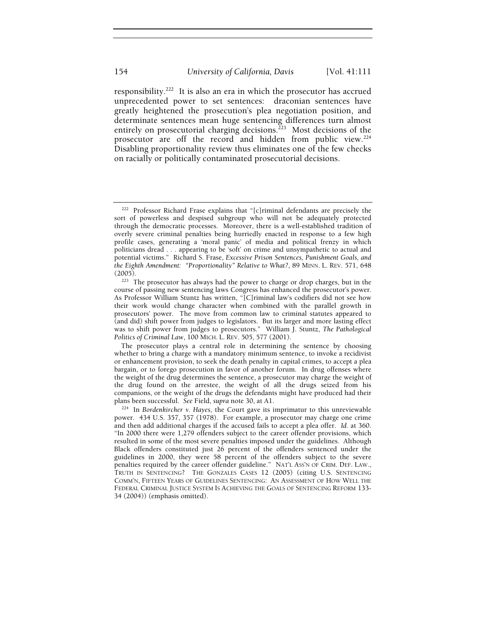responsibility.222 It is also an era in which the prosecutor has accrued unprecedented power to set sentences: draconian sentences have greatly heightened the prosecution's plea negotiation position, and determinate sentences mean huge sentencing differences turn almost entirely on prosecutorial charging decisions.<sup>223</sup> Most decisions of the prosecutor are off the record and hidden from public view.<sup>224</sup> Disabling proportionality review thus eliminates one of the few checks on racially or politically contaminated prosecutorial decisions.

<sup>222</sup> Professor Richard Frase explains that "[c]riminal defendants are precisely the sort of powerless and despised subgroup who will not be adequately protected through the democratic processes. Moreover, there is a well-established tradition of overly severe criminal penalties being hurriedly enacted in response to a few high profile cases, generating a 'moral panic' of media and political frenzy in which politicians dread . . . appearing to be 'soft' on crime and unsympathetic to actual and potential victims." Richard S. Frase, *Excessive Prison Sentences, Punishment Goals, and the Eighth Amendment: "Proportionality" Relative to What?*, 89 MINN. L. REV. 571, 648 (2005).<br><sup>223</sup> The prosecutor has always had the power to charge or drop charges, but in the

course of passing new sentencing laws Congress has enhanced the prosecutor's power. As Professor William Stuntz has written, "[C]riminal law's codifiers did not see how their work would change character when combined with the parallel growth in prosecutors' power. The move from common law to criminal statutes appeared to (and did) shift power from judges to legislators. But its larger and more lasting effect was to shift power from judges to prosecutors." William J. Stuntz, *The Pathological Politics of Criminal Law*, 100 MICH. L. REV. 505, 577 (2001).

The prosecutor plays a central role in determining the sentence by choosing whether to bring a charge with a mandatory minimum sentence, to invoke a recidivist or enhancement provision, to seek the death penalty in capital crimes, to accept a plea bargain, or to forego prosecution in favor of another forum. In drug offenses where the weight of the drug determines the sentence, a prosecutor may charge the weight of the drug found on the arrestee, the weight of all the drugs seized from his companions, or the weight of the drugs the defendants might have produced had their plans been successful. See Field, supra note 30, at A1.

<sup>&</sup>lt;sup>224</sup> In Bordenkircher v. Hayes, the Court gave its imprimatur to this unreviewable power. 434 U.S. 357, 357 (1978). For example, a prosecutor may charge one crime and then add additional charges if the accused fails to accept a plea offer. *Id.* at 360. "In 2000 there were 1,279 offenders subject to the career offender provisions, which resulted in some of the most severe penalties imposed under the guidelines. Although Black offenders constituted just 26 percent of the offenders sentenced under the guidelines in 2000, they were 58 percent of the offenders subject to the severe penalties required by the career offender guideline." NAT'L ASS'N OF CRIM. DEF. LAW., TRUTH IN SENTENCING? THE GONZALES CASES 12 (2005) (citing U.S. SENTENCING COMM'N, FIFTEEN YEARS OF GUIDELINES SENTENCING: AN ASSESSMENT OF HOW WELL THE FEDERAL CRIMINAL JUSTICE SYSTEM IS ACHIEVING THE GOALS OF SENTENCING REFORM 133- 34 (2004)) (emphasis omitted).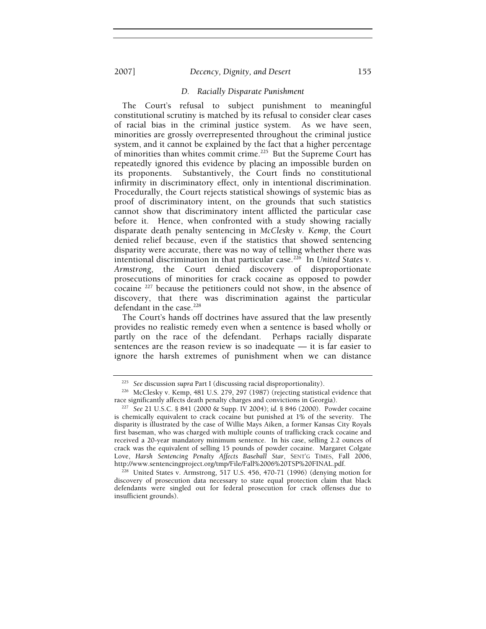#### 2007] *Decency, Dignity, and Desert* 155

# *D. Racially Disparate Punishment*

The Court's refusal to subject punishment to meaningful constitutional scrutiny is matched by its refusal to consider clear cases of racial bias in the criminal justice system. As we have seen, minorities are grossly overrepresented throughout the criminal justice system, and it cannot be explained by the fact that a higher percentage of minorities than whites commit crime.<sup>225</sup> But the Supreme Court has repeatedly ignored this evidence by placing an impossible burden on its proponents. Substantively, the Court finds no constitutional infirmity in discriminatory effect, only in intentional discrimination. Procedurally, the Court rejects statistical showings of systemic bias as proof of discriminatory intent, on the grounds that such statistics cannot show that discriminatory intent afflicted the particular case before it. Hence, when confronted with a study showing racially disparate death penalty sentencing in *McClesky v. Kemp*, the Court denied relief because, even if the statistics that showed sentencing disparity were accurate, there was no way of telling whether there was intentional discrimination in that particular case.226 In *United States v. Armstrong*, the Court denied discovery of disproportionate prosecutions of minorities for crack cocaine as opposed to powder cocaine 227 because the petitioners could not show, in the absence of discovery, that there was discrimination against the particular defendant in the case.<sup>228</sup>

The Court's hands off doctrines have assured that the law presently provides no realistic remedy even when a sentence is based wholly or partly on the race of the defendant. Perhaps racially disparate sentences are the reason review is so inadequate — it is far easier to ignore the harsh extremes of punishment when we can distance

 $1228$  United States v. Armstrong, 517 U.S. 456, 470-71 (1996) (denying motion for discovery of prosecution data necessary to state equal protection claim that black defendants were singled out for federal prosecution for crack offenses due to insufficient grounds).

<sup>225</sup> *See* discussion *supra* Part I (discussing racial disproportionality). 226 McClesky v. Kemp, 481 U.S. 279, 297 (1987) (rejecting statistical evidence that race significantly affects death penalty charges and convictions in Georgia). 227 *See* 21 U.S.C. § 841 (2000 & Supp. IV 2004); *id.* § 846 (2000). Powder cocaine

is chemically equivalent to crack cocaine but punished at 1% of the severity. The disparity is illustrated by the case of Willie Mays Aiken, a former Kansas City Royals first baseman, who was charged with multiple counts of trafficking crack cocaine and received a 20-year mandatory minimum sentence. In his case, selling 2.2 ounces of crack was the equivalent of selling 15 pounds of powder cocaine. Margaret Colgate Love, *Harsh Sentencing Penalty Affects Baseball Star*, SENT'G TIMES, Fall 2006, http://www.sentencingproject.org/tmp/File/Fall%2006%20TSP%20FINAL.pdf.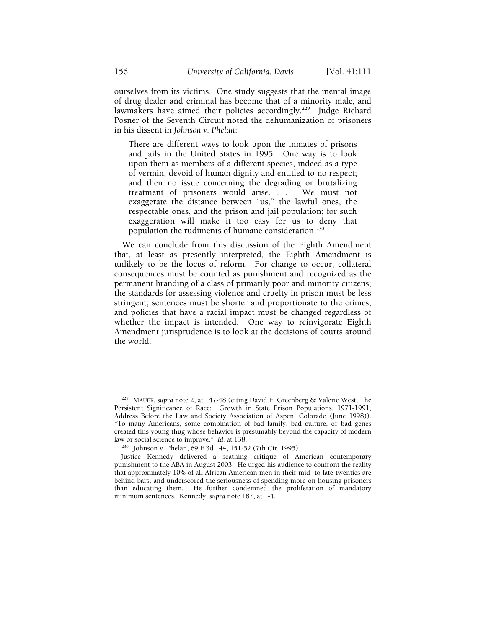ourselves from its victims. One study suggests that the mental image of drug dealer and criminal has become that of a minority male, and lawmakers have aimed their policies accordingly.<sup>229</sup> Judge Richard Posner of the Seventh Circuit noted the dehumanization of prisoners in his dissent in *Johnson v. Phelan*:

There are different ways to look upon the inmates of prisons and jails in the United States in 1995. One way is to look upon them as members of a different species, indeed as a type of vermin, devoid of human dignity and entitled to no respect; and then no issue concerning the degrading or brutalizing treatment of prisoners would arise. . . . We must not exaggerate the distance between "us," the lawful ones, the respectable ones, and the prison and jail population; for such exaggeration will make it too easy for us to deny that population the rudiments of humane consideration.<sup>230</sup>

We can conclude from this discussion of the Eighth Amendment that, at least as presently interpreted, the Eighth Amendment is unlikely to be the locus of reform. For change to occur, collateral consequences must be counted as punishment and recognized as the permanent branding of a class of primarily poor and minority citizens; the standards for assessing violence and cruelty in prison must be less stringent; sentences must be shorter and proportionate to the crimes; and policies that have a racial impact must be changed regardless of whether the impact is intended. One way to reinvigorate Eighth Amendment jurisprudence is to look at the decisions of courts around the world.

<sup>229</sup> MAUER, *supra* note 2, at 147-48 (citing David F. Greenberg & Valerie West, The Persistent Significance of Race: Growth in State Prison Populations, 1971-1991, Address Before the Law and Society Association of Aspen, Colorado (June 1998)). "To many Americans, some combination of bad family, bad culture, or bad genes created this young thug whose behavior is presumably beyond the capacity of modern

law or social science to improve." *Id.* at 138. 230 Johnson v. Phelan, 69 F.3d 144, 151-52 (7th Cir. 1995).

Justice Kennedy delivered a scathing critique of American contemporary punishment to the ABA in August 2003. He urged his audience to confront the reality that approximately 10% of all African American men in their mid- to late-twenties are behind bars, and underscored the seriousness of spending more on housing prisoners than educating them. He further condemned the proliferation of mandatory minimum sentences. Kennedy, *supra* note 187, at 1-4.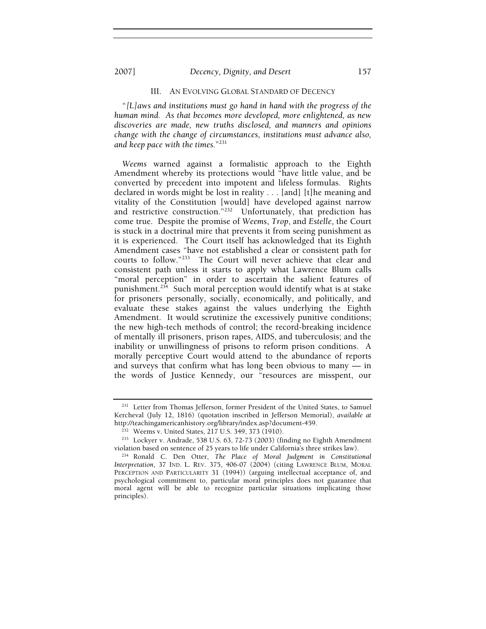"*[L]aws and institutions must go hand in hand with the progress of the human mind. As that becomes more developed, more enlightened, as new discoveries are made, new truths disclosed, and manners and opinions change with the change of circumstances, institutions must advance also, and keep pace with the times.*"231

*Weems* warned against a formalistic approach to the Eighth Amendment whereby its protections would "have little value, and be converted by precedent into impotent and lifeless formulas. Rights declared in words might be lost in reality . . . [and] [t]he meaning and vitality of the Constitution [would] have developed against narrow and restrictive construction."<sup>232</sup> Unfortunately, that prediction has come true. Despite the promise of *Weems*, *Trop*, and *Estelle*, the Court is stuck in a doctrinal mire that prevents it from seeing punishment as it is experienced. The Court itself has acknowledged that its Eighth Amendment cases "have not established a clear or consistent path for courts to follow."233 The Court will never achieve that clear and consistent path unless it starts to apply what Lawrence Blum calls "moral perception" in order to ascertain the salient features of punishment.<sup>234</sup> Such moral perception would identify what is at stake for prisoners personally, socially, economically, and politically, and evaluate these stakes against the values underlying the Eighth Amendment. It would scrutinize the excessively punitive conditions; the new high-tech methods of control; the record-breaking incidence of mentally ill prisoners, prison rapes, AIDS, and tuberculosis; and the inability or unwillingness of prisons to reform prison conditions. A morally perceptive Court would attend to the abundance of reports and surveys that confirm what has long been obvious to many — in the words of Justice Kennedy, our "resources are misspent, our

<sup>&</sup>lt;sup>231</sup> Letter from Thomas Jefferson, former President of the United States, to Samuel Kercheval (July 12, 1816) (quotation inscribed in Jefferson Memorial), *available at*

http://teachingamericanhistory.org/library/index.asp?document-459.<br><sup>232</sup> Weems v. United States, 217 U.S. 349, 373 (1910).<br><sup>233</sup> Lockyer v. Andrade, 538 U.S. 63, 72-73 (2003) (finding no Eighth Amendment<br>violation based on

violation based on sentence of 25 years to life under California's three strikes law). 234 Ronald C. Den Otter, *The Place of Moral Judgment in Constitutional Interpretation*, 37 IND. L. REV. 375, 406-07 (2004) (citing LAWRENCE BLUM, MORAL PERCEPTION AND PARTICULARITY 31 (1994)) (arguing intellectual acceptance of, and psychological commitment to, particular moral principles does not guarantee that moral agent will be able to recognize particular situations implicating those principles).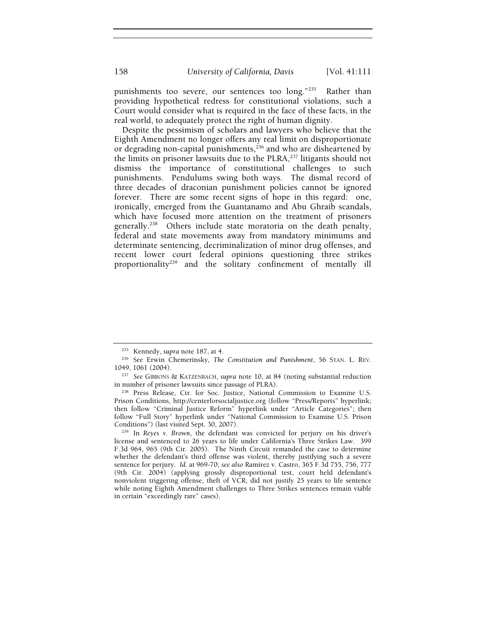punishments too severe, our sentences too long."<sup>235</sup> Rather than providing hypothetical redress for constitutional violations, such a Court would consider what is required in the face of these facts, in the real world, to adequately protect the right of human dignity.

Despite the pessimism of scholars and lawyers who believe that the Eighth Amendment no longer offers any real limit on disproportionate or degrading non-capital punishments,<sup>236</sup> and who are disheartened by the limits on prisoner lawsuits due to the PLRA,<sup>237</sup> litigants should not dismiss the importance of constitutional challenges to such punishments. Pendulums swing both ways. The dismal record of three decades of draconian punishment policies cannot be ignored forever. There are some recent signs of hope in this regard: one, ironically, emerged from the Guantanamo and Abu Ghraib scandals, which have focused more attention on the treatment of prisoners generally.<sup>238</sup> Others include state moratoria on the death penalty, federal and state movements away from mandatory minimums and determinate sentencing, decriminalization of minor drug offenses, and recent lower court federal opinions questioning three strikes proportionality<sup>239</sup> and the solitary confinement of mentally ill

<sup>&</sup>lt;sup>235</sup> Kennedy, *supra* note 187, at 4.<br><sup>236</sup> See Erwin Chemerinsky, *The Constitution and Punishment*, 56 STAN. L. REV.<br>1049, 1061 (2004).

<sup>&</sup>lt;sup>237</sup> See GIBBONS & KATZENBACH, *supra* note 10, at 84 (noting substantial reduction in number of prisoner lawsuits since passage of PLRA).

<sup>&</sup>lt;sup>238</sup> Press Release, Ctr. for Soc. Justice, National Commission to Examine U.S. Prison Conditions, http://centerforsocialjustice.org (follow "Press/Reports" hyperlink; then follow "Criminal Justice Reform" hyperlink under "Article Categories"; then follow "Full Story" hyperlink under "National Commission to Examine U.S. Prison Conditions") (last visited Sept. 30, 2007). 239 In *Reyes v. Brown*, the defendant was convicted for perjury on his driver's

license and sentenced to 26 years to life under California's Three Strikes Law. 399 F.3d 964, 965 (9th Cir. 2005). The Ninth Circuit remanded the case to determine whether the defendant's third offense was violent, thereby justifying such a severe sentence for perjury. *Id.* at 969-70; *see also* Ramirez v. Castro, 365 F.3d 755, 756, 777 (9th Cir. 2004) (applying grossly disproportional test, court held defendant's nonviolent triggering offense, theft of VCR, did not justify 25 years to life sentence while noting Eighth Amendment challenges to Three Strikes sentences remain viable in certain "exceedingly rare" cases).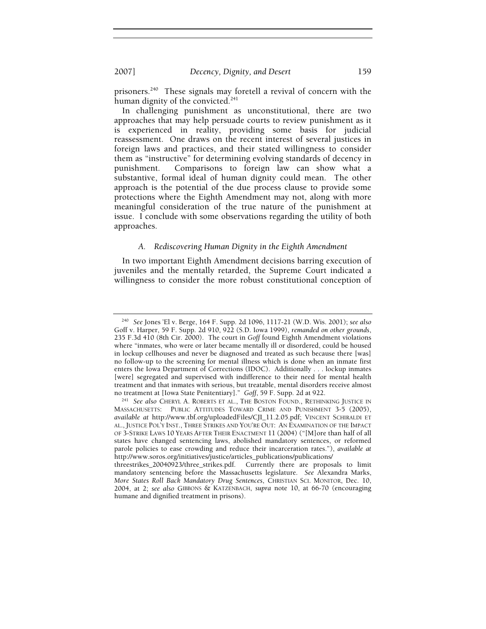prisoners.<sup>240</sup> These signals may foretell a revival of concern with the human dignity of the convicted.<sup>241</sup>

In challenging punishment as unconstitutional, there are two approaches that may help persuade courts to review punishment as it is experienced in reality, providing some basis for judicial reassessment. One draws on the recent interest of several justices in foreign laws and practices, and their stated willingness to consider them as "instructive" for determining evolving standards of decency in punishment. Comparisons to foreign law can show what a substantive, formal ideal of human dignity could mean. The other approach is the potential of the due process clause to provide some protections where the Eighth Amendment may not, along with more meaningful consideration of the true nature of the punishment at issue. I conclude with some observations regarding the utility of both approaches.

#### *A. Rediscovering Human Dignity in the Eighth Amendment*

In two important Eighth Amendment decisions barring execution of juveniles and the mentally retarded, the Supreme Court indicated a willingness to consider the more robust constitutional conception of

<sup>240</sup> *See* Jones 'El v. Berge, 164 F. Supp. 2d 1096, 1117-21 (W.D. Wis. 2001); *see also* Goff v. Harper, 59 F. Supp. 2d 910, 922 (S.D. Iowa 1999), *remanded on other grounds*, 235 F.3d 410 (8th Cir. 2000). The court in *Goff* found Eighth Amendment violations where "inmates, who were or later became mentally ill or disordered, could be housed in lockup cellhouses and never be diagnosed and treated as such because there [was] no follow-up to the screening for mental illness which is done when an inmate first enters the Iowa Department of Corrections (IDOC). Additionally . . . lockup inmates [were] segregated and supervised with indifference to their need for mental health treatment and that inmates with serious, but treatable, mental disorders receive almost no treatment at [Iowa State Penitentiary]." Goff, 59 F. Supp. 2d at 922.

<sup>&</sup>lt;sup>241</sup> See also Cheryl A. ROBERTS ET AL., THE BOSTON FOUND., RETHINKING JUSTICE IN MASSACHUSETTS: PUBLIC ATTITUDES TOWARD CRIME AND PUNISHMENT 3-5 (2005), *available at* http://www.tbf.org/uploadedFiles/CJI\_11.2.05.pdf; VINCENT SCHIRALDI ET AL., JUSTICE POL'Y INST., THREE STRIKES AND YOU'RE OUT: AN EXAMINATION OF THE IMPACT OF 3-STRIKE LAWS 10 YEARS AFTER THEIR ENACTMENT 11 (2004) ("[M]ore than half of all states have changed sentencing laws, abolished mandatory sentences, or reformed parole policies to ease crowding and reduce their incarceration rates."), *available at* http://www.soros.org/initiatives/justice/articles\_publications/publications/

threestrikes\_20040923/three\_strikes.pdf. Currently there are proposals to limit mandatory sentencing before the Massachusetts legislature. *See* Alexandra Marks, *More States Roll Back Mandatory Drug Sentences*, CHRISTIAN SCI. MONITOR, Dec. 10, 2004, at 2; *see also* GIBBONS & KATZENBACH, *supra* note 10, at 66-70 (encouraging humane and dignified treatment in prisons).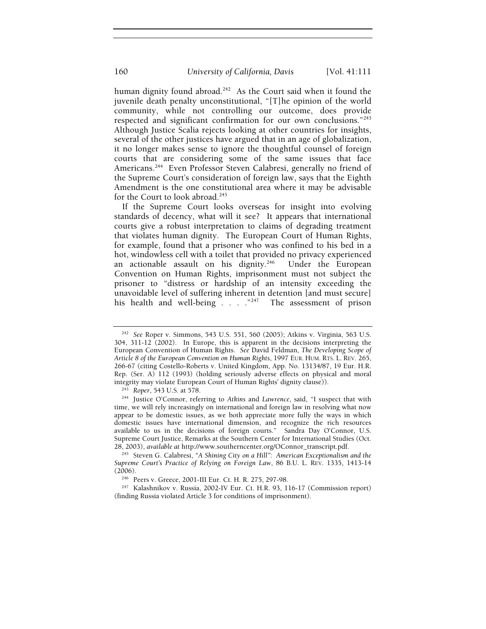human dignity found abroad.<sup>242</sup> As the Court said when it found the juvenile death penalty unconstitutional, "[T]he opinion of the world community, while not controlling our outcome, does provide respected and significant confirmation for our own conclusions."243 Although Justice Scalia rejects looking at other countries for insights, several of the other justices have argued that in an age of globalization, it no longer makes sense to ignore the thoughtful counsel of foreign courts that are considering some of the same issues that face Americans.<sup>244</sup> Even Professor Steven Calabresi, generally no friend of the Supreme Court's consideration of foreign law, says that the Eighth Amendment is the one constitutional area where it may be advisable for the Court to look abroad.<sup>245</sup>

If the Supreme Court looks overseas for insight into evolving standards of decency, what will it see? It appears that international courts give a robust interpretation to claims of degrading treatment that violates human dignity. The European Court of Human Rights, for example, found that a prisoner who was confined to his bed in a hot, windowless cell with a toilet that provided no privacy experienced an actionable assault on his dignity.<sup>246</sup> Under the European Convention on Human Rights, imprisonment must not subject the prisoner to "distress or hardship of an intensity exceeding the unavoidable level of suffering inherent in detention [and must secure] his health and well-being . . . . . <sup>247</sup> The assessment of prison

<sup>242</sup> *See* Roper v. Simmons, 543 U.S. 551, 560 (2005); Atkins v. Virginia, 563 U.S. 304, 311-12 (2002). In Europe, this is apparent in the decisions interpreting the European Convention of Human Rights. *See* David Feldman, *The Developing Scope of Article 8 of the European Convention on Human Rights*, 1997 EUR. HUM. RTS. L. REV. 265, 266-67 (citing Costello-Roberts v. United Kingdom, App. No. 13134/87, 19 Eur. H.R. Rep. (Ser. A) 112 (1993) (holding seriously adverse effects on physical and moral integrity may violate European Court of Human Rights' dignity clause)).<br><sup>243</sup> Roper, 543 U.S. at 578.<br><sup>244</sup> Justice O'Connor, referring to *Atkins* and *Lawrence*, said, "I suspect that with

time, we will rely increasingly on international and foreign law in resolving what now appear to be domestic issues, as we both appreciate more fully the ways in which domestic issues have international dimension, and recognize the rich resources available to us in the decisions of foreign courts." Sandra Day O'Connor, U.S. Supreme Court Justice, Remarks at the Southern Center for International Studies (Oct. 28, 2003), *available at http://www.southerncenter.org/OConnor\_transcript.pdf.* 

<sup>&</sup>lt;sup>245</sup> Steven G. Calabresi, *"A Shining City on a Hill": American Exceptionalism and the Supreme Court's Practice of Relying on Foreign Law*, 86 B.U. L. REV. 1335, 1413-14 (2006).<br><sup>246</sup> Peers v. Greece, 2001-III Eur. Ct. H. R. 275, 297-98.<br><sup>247</sup> Kalashnikov v. Russia, 2002-IV Eur. Ct. H.R. 93, 116-17 (Commission report)

<sup>(</sup>finding Russia violated Article 3 for conditions of imprisonment).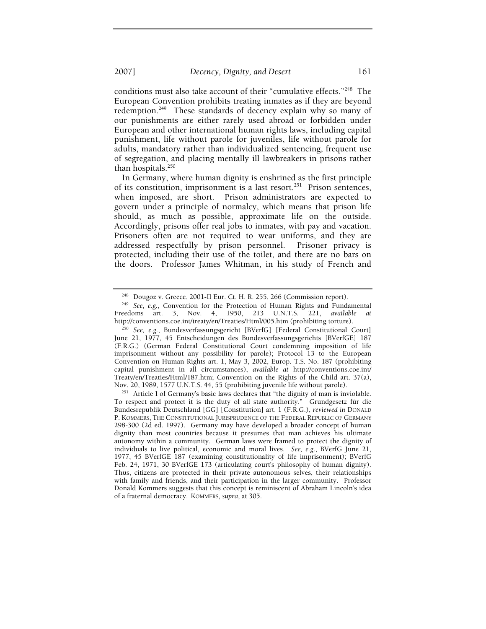conditions must also take account of their "cumulative effects."<sup>248</sup> The European Convention prohibits treating inmates as if they are beyond redemption.<sup>249</sup> These standards of decency explain why so many of our punishments are either rarely used abroad or forbidden under European and other international human rights laws, including capital punishment, life without parole for juveniles, life without parole for adults, mandatory rather than individualized sentencing, frequent use of segregation, and placing mentally ill lawbreakers in prisons rather than hospitals. $250$ 

In Germany, where human dignity is enshrined as the first principle of its constitution, imprisonment is a last resort.<sup>251</sup> Prison sentences, when imposed, are short. Prison administrators are expected to govern under a principle of normalcy, which means that prison life should, as much as possible, approximate life on the outside. Accordingly, prisons offer real jobs to inmates, with pay and vacation. Prisoners often are not required to wear uniforms, and they are addressed respectfully by prison personnel. Prisoner privacy is protected, including their use of the toilet, and there are no bars on the doors. Professor James Whitman, in his study of French and

<sup>248</sup> Dougoz v. Greece, 2001-II Eur. Ct. H. R. 255, 266 (Commission report). 249 *See, e.g.*, Convention for the Protection of Human Rights and Fundamental Freedoms art. 3, Nov. 4, 1950, 213 U.N.T.S. 221, *available at*

<sup>&</sup>lt;sup>250</sup> See, e.g., Bundesverfassungsgericht [BVerfG] [Federal Constitutional Court] June 21, 1977, 45 Entscheidungen des Bundesverfassungsgerichts [BVerfGE] 187 (F.R.G.) (German Federal Constitutional Court condemning imposition of life imprisonment without any possibility for parole); Protocol 13 to the European Convention on Human Rights art. 1, May 3, 2002, Europ. T.S. No. 187 (prohibiting capital punishment in all circumstances), *available at* http://conventions.coe.int/ Treaty/en/Treaties/Html/187.htm; Convention on the Rights of the Child art. 37(a), Nov. 20, 1989, 1577 U.N.T.S. 44, 55 (prohibiting juvenile life without parole).

<sup>&</sup>lt;sup>251</sup> Article I of Germany's basic laws declares that "the dignity of man is inviolable. To respect and protect it is the duty of all state authority." Grundgesetz für die Bundesrepublik Deutschland [GG] [Constitution] art. 1 (F.R.G.), *reviewed in* DONALD P. KOMMERS, THE CONSTITUTIONAL JURISPRUDENCE OF THE FEDERAL REPUBLIC OF GERMANY 298-300 (2d ed. 1997). Germany may have developed a broader concept of human dignity than most countries because it presumes that man achieves his ultimate autonomy within a community. German laws were framed to protect the dignity of individuals to live political, economic and moral lives. *See, e.g.*, BVerfG June 21, 1977, 45 BVerfGE 187 (examining constitutionality of life imprisonment); BVerfG Feb. 24, 1971, 30 BVerfGE 173 (articulating court's philosophy of human dignity). Thus, citizens are protected in their private autonomous selves, their relationships with family and friends, and their participation in the larger community. Professor Donald Kommers suggests that this concept is reminiscent of Abraham Lincoln's idea of a fraternal democracy. KOMMERS, *supra*, at 305.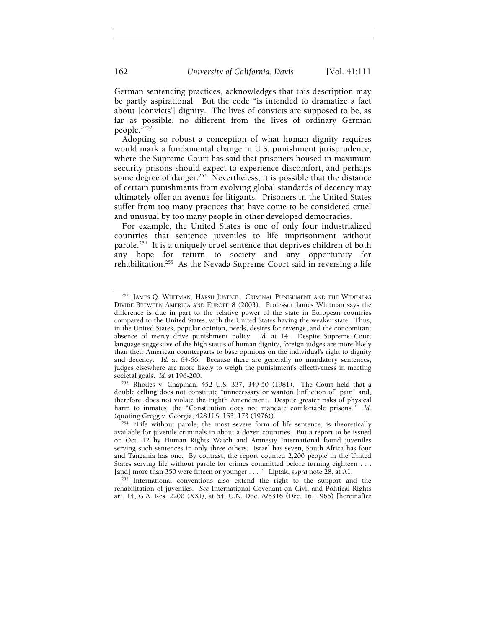German sentencing practices, acknowledges that this description may be partly aspirational. But the code "is intended to dramatize a fact about [convicts'] dignity. The lives of convicts are supposed to be, as far as possible, no different from the lives of ordinary German people."252

Adopting so robust a conception of what human dignity requires would mark a fundamental change in U.S. punishment jurisprudence, where the Supreme Court has said that prisoners housed in maximum security prisons should expect to experience discomfort, and perhaps some degree of danger.<sup>253</sup> Nevertheless, it is possible that the distance of certain punishments from evolving global standards of decency may ultimately offer an avenue for litigants. Prisoners in the United States suffer from too many practices that have come to be considered cruel and unusual by too many people in other developed democracies.

For example, the United States is one of only four industrialized countries that sentence juveniles to life imprisonment without parole.<sup>254</sup> It is a uniquely cruel sentence that deprives children of both any hope for return to society and any opportunity for rehabilitation.255 As the Nevada Supreme Court said in reversing a life

rehabilitation of juveniles. *See* International Covenant on Civil and Political Rights art. 14, G.A. Res. 2200 (XXI), at 54, U.N. Doc. A/6316 (Dec. 16, 1966) [hereinafter

<sup>&</sup>lt;sup>252</sup> JAMES Q. WHITMAN, HARSH JUSTICE: CRIMINAL PUNISHMENT AND THE WIDENING DIVIDE BETWEEN AMERICA AND EUROPE 8 (2003). Professor James Whitman says the difference is due in part to the relative power of the state in European countries compared to the United States, with the United States having the weaker state. Thus, in the United States, popular opinion, needs, desires for revenge, and the concomitant absence of mercy drive punishment policy. *Id.* at 14. Despite Supreme Court language suggestive of the high status of human dignity, foreign judges are more likely than their American counterparts to base opinions on the individual's right to dignity and decency. *Id.* at 64-66. Because there are generally no mandatory sentences, judges elsewhere are more likely to weigh the punishment's effectiveness in meeting societal goals. *Id.* at 196-200.<br><sup>253</sup> Rhodes v. Chapman, 452 U.S. 337, 349-50 (1981). The Court held that a

double celling does not constitute "unnecessary or wanton [infliction of] pain" and, therefore, does not violate the Eighth Amendment. Despite greater risks of physical harm to inmates, the "Constitution does not mandate comfortable prisons." *Id.*

 $254$  "Life without parole, the most severe form of life sentence, is theoretically available for juvenile criminals in about a dozen countries. But a report to be issued on Oct. 12 by Human Rights Watch and Amnesty International found juveniles serving such sentences in only three others. Israel has seven, South Africa has four and Tanzania has one. By contrast, the report counted 2,200 people in the United States serving life without parole for crimes committed before turning eighteen . . . [and] more than 350 were fifteen or younger . . . ." Liptak, *supra* note 28, at A1. 255 International conventions also extend the right to the support and the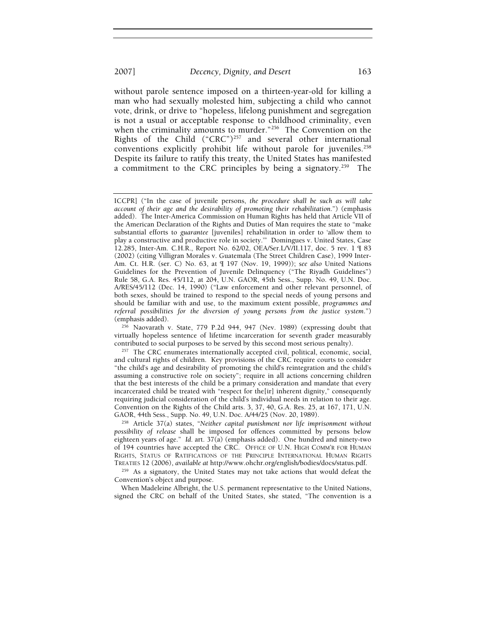without parole sentence imposed on a thirteen-year-old for killing a man who had sexually molested him, subjecting a child who cannot vote, drink, or drive to "hopeless, lifelong punishment and segregation is not a usual or acceptable response to childhood criminality, even when the criminality amounts to murder."<sup>256</sup> The Convention on the Rights of the Child ("CRC")<sup>257</sup> and several other international conventions explicitly prohibit life without parole for juveniles.<sup>258</sup> Despite its failure to ratify this treaty, the United States has manifested a commitment to the CRC principles by being a signatory.<sup>259</sup> The

ICCPR] ("In the case of juvenile persons, *the procedure shall be such as will take account of their age and the desirability of promoting their rehabilitation*.") (emphasis added). The Inter-America Commission on Human Rights has held that Article VII of the American Declaration of the Rights and Duties of Man requires the state to "make substantial efforts to *guarantee* [juveniles] rehabilitation in order to 'allow them to play a constructive and productive role in society.'" Domingues v. United States, Case 12.285, Inter-Am. C.H.R., Report No. 62/02, OEA/Ser.L/V/II.117, doc. 5 rev. 1 ¶ 83 (2002) (citing Villigran Morales v. Guatemala (The Street Children Case), 1999 Inter-Am. Ct. H.R. (ser. C) No. 63, at ¶ 197 (Nov. 19, 1999)); *see also* United Nations Guidelines for the Prevention of Juvenile Delinquency ("The Riyadh Guidelines") Rule 58, G.A. Res. 45/112, at 204, U.N. GAOR, 45th Sess., Supp. No. 49, U.N. Doc. A/RES/45/112 (Dec. 14, 1990) ("Law enforcement and other relevant personnel, of both sexes, should be trained to respond to the special needs of young persons and should be familiar with and use, to the maximum extent possible, *programmes and referral possibilities for the diversion of young persons from the justice system*.")

 $256$  Naovarath v. State, 779 P.2d 944, 947 (Nev. 1989) (expressing doubt that virtually hopeless sentence of lifetime incarceration for seventh grader measurably

contributed to social purposes to be served by this second most serious penalty). 257 The CRC enumerates internationally accepted civil, political, economic, social, and cultural rights of children. Key provisions of the CRC require courts to consider "the child's age and desirability of promoting the child's reintegration and the child's assuming a constructive role on society"; require in all actions concerning children that the best interests of the child be a primary consideration and mandate that every incarcerated child be treated with "respect for the[ir] inherent dignity," consequently requiring judicial consideration of the child's individual needs in relation to their age. Convention on the Rights of the Child arts. 3, 37, 40, G.A. Res. 25, at 167, 171, U.N. GAOR, 44th Sess., Supp. No. 49, U.N. Doc. A/44/25 (Nov. 20, 1989).

<sup>&</sup>lt;sup>258</sup> Article 37(a) states, "Neither capital punishment nor life imprisonment without *possibility of release* shall be imposed for offences committed by persons below eighteen years of age." *Id.* art. 37(a) (emphasis added). One hundred and ninety-two of 194 countries have accepted the CRC. OFFICE OF U.N. HIGH COMM'R FOR HUMAN RIGHTS, STATUS OF RATIFICATIONS OF THE PRINCIPLE INTERNATIONAL HUMAN RIGHTS<br>TREATIES 12 (2006), available at http://www.ohchr.org/english/bodies/docs/status.pdf.

<sup>&</sup>lt;sup>259</sup> As a signatory, the United States may not take actions that would defeat the Convention's object and purpose.

When Madeleine Albright, the U.S. permanent representative to the United Nations, signed the CRC on behalf of the United States, she stated, "The convention is a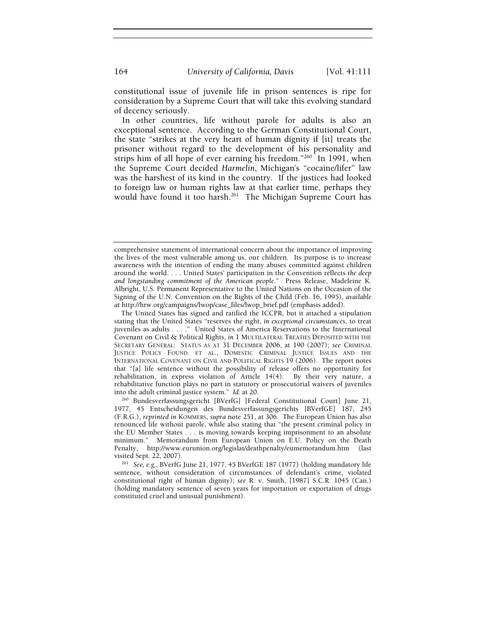constitutional issue of juvenile life in prison sentences is ripe for consideration by a Supreme Court that will take this evolving standard of decency seriously.

In other countries, life without parole for adults is also an exceptional sentence. According to the German Constitutional Court, the state "strikes at the very heart of human dignity if [it] treats the prisoner without regard to the development of his personality and strips him of all hope of ever earning his freedom."<sup>260</sup> In 1991, when the Supreme Court decided *Harmelin*, Michigan's "cocaine/lifer" law was the harshest of its kind in the country. If the justices had looked to foreign law or human rights law at that earlier time, perhaps they would have found it too harsh.<sup>261</sup> The Michigan Supreme Court has

<sup>260</sup> Bundesverfassungsgericht [BVerfG] [Federal Constitutional Court] June 21, 1977, 45 Entscheidungen des Bundesverfassungsgerichts [BVerfGE] 187, 245 (F.R.G.), *reprinted in* KOMMERS, *supra* note 251, at 306. The European Union has also renounced life without parole, while also stating that "the present criminal policy in the EU Member States . . . is moving towards keeping imprisonment to an absolute minimum." Memorandum from European Union on E.U. Policy on the Death Penalty, http://www.eurunion.org/legislat/deathpenalty/eumemorandum.htm (last

<sup>261</sup> See, e.g., BVerfG June 21, 1977, 45 BVerfGE 187 (1977) (holding mandatory life sentence, without consideration of circumstances of defendant's crime, violated constitutional right of human dignity); *see* R. v. Smith, [1987] S.C.R. 1045 (Can.) (holding mandatory sentence of seven years for importation or exportation of drugs constituted cruel and unusual punishment).

comprehensive statement of international concern about the importance of improving the lives of the most vulnerable among us, our children. Its purpose is to increase awareness with the intention of ending the many abuses committed against children around the world. . . . United States' participation in the Convention reflects *the deep and longstanding commitment of the American people*." Press Release, Madeleine K. Albright, U.S. Permanent Representative to the United Nations on the Occasion of the Signing of the U.N. Convention on the Rights of the Child (Feb. 16, 1995), *available at* http://hrw.org/campaigns/lwop/case\_files/lwop\_brief.pdf (emphasis added).

The United States has signed and ratified the ICCPR, but it attached a stipulation stating that the United States "reserves the right, *in exceptional circumstances*, to treat juveniles as adults . . . ." United States of America Reservations to the International Covenant on Civil & Political Rights, *in* 1 MULTILATERAL TREATIES DEPOSITED WITH THE SECRETARY GENERAL: STATUS AS AT 31 DECEMBER 2006, at 190 (2007); *see* CRIMINAL JUSTICE POLICY FOUND. ET AL., DOMESTIC CRIMINAL JUSTICE ISSUES AND THE INTERNATIONAL COVENANT ON CIVIL AND POLITICAL RIGHTS 19 (2006). The report notes that "[a] life sentence without the possibility of release offers no opportunity for rehabilitation, in express violation of Article 14(4). By their very nature, a rehabilitative function plays no part in statutory or prosecutorial waivers of juveniles into the adult criminal justice system."  $Id.$  at 20.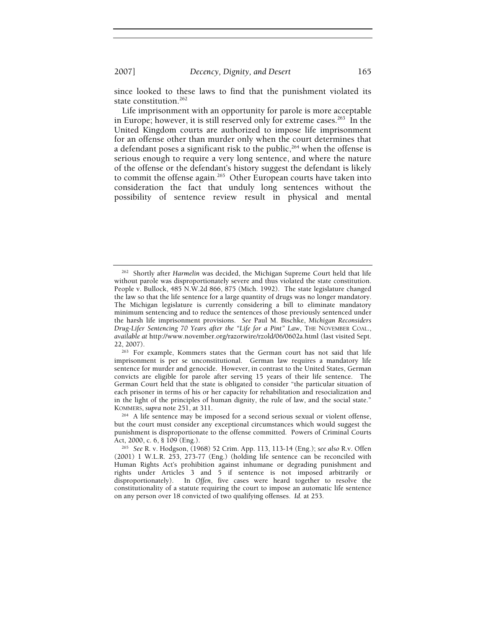since looked to these laws to find that the punishment violated its state constitution.<sup>262</sup>

Life imprisonment with an opportunity for parole is more acceptable in Europe; however, it is still reserved only for extreme cases.<sup>263</sup> In the United Kingdom courts are authorized to impose life imprisonment for an offense other than murder only when the court determines that a defendant poses a significant risk to the public,  $264$  when the offense is serious enough to require a very long sentence, and where the nature of the offense or the defendant's history suggest the defendant is likely to commit the offense again.265 Other European courts have taken into consideration the fact that unduly long sentences without the possibility of sentence review result in physical and mental

<sup>262</sup> Shortly after *Harmelin* was decided, the Michigan Supreme Court held that life without parole was disproportionately severe and thus violated the state constitution. People v. Bullock, 485 N.W.2d 866, 875 (Mich. 1992). The state legislature changed the law so that the life sentence for a large quantity of drugs was no longer mandatory. The Michigan legislature is currently considering a bill to eliminate mandatory minimum sentencing and to reduce the sentences of those previously sentenced under the harsh life imprisonment provisions. *See* Paul M. Bischke, *Michigan Reconsiders Drug-Lifer Sentencing 70 Years after the "Life for a Pint" Law*, THE NOVEMBER COAL., *available at* http://www.november.org/razorwire/rzold/06/0602a.html (last visited Sept.

<sup>22, 2007).&</sup>lt;br> $263$  For example, Kommers states that the German court has not said that life imprisonment is per se unconstitutional. German law requires a mandatory life sentence for murder and genocide. However, in contrast to the United States, German convicts are eligible for parole after serving 15 years of their life sentence. The German Court held that the state is obligated to consider "the particular situation of each prisoner in terms of his or her capacity for rehabilitation and resocialization and in the light of the principles of human dignity, the rule of law, and the social state."

KOMMERS, *supra* note 251, at 311.<br><sup>264</sup> A life sentence may be imposed for a second serious sexual or violent offense, but the court must consider any exceptional circumstances which would suggest the punishment is disproportionate to the offense committed. Powers of Criminal Courts Act, 2000, c. 6, § 109 (Eng.).

Act, 2000, c. 6, § 109 (Eng.). 265 *See* R. v. Hodgson, (1968) 52 Crim. App. 113, 113-14 (Eng.); *see also* R.v. Offen (2001) 1 W.L.R. 253, 273-77 (Eng.) (holding life sentence can be reconciled with Human Rights Act's prohibition against inhumane or degrading punishment and rights under Articles 3 and 5 if sentence is not imposed arbitrarily or disproportionately). In *Offen*, five cases were heard together to resolve the constitutionality of a statute requiring the court to impose an automatic life sentence on any person over 18 convicted of two qualifying offenses. *Id.* at 253.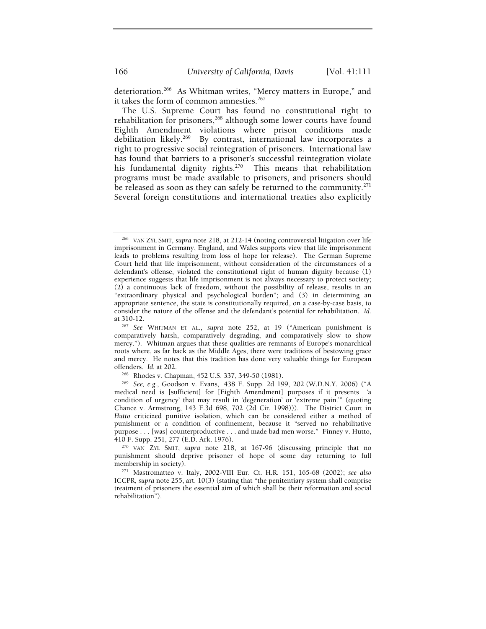deterioration.<sup>266</sup> As Whitman writes, "Mercy matters in Europe," and it takes the form of common amnesties. $267$ 

The U.S. Supreme Court has found no constitutional right to rehabilitation for prisoners,<sup>268</sup> although some lower courts have found Eighth Amendment violations where prison conditions made debilitation likely.<sup>269</sup> By contrast, international law incorporates a By contrast, international law incorporates a right to progressive social reintegration of prisoners. International law has found that barriers to a prisoner's successful reintegration violate his fundamental dignity rights.<sup>270</sup> This means that rehabilitation programs must be made available to prisoners, and prisoners should be released as soon as they can safely be returned to the community. $271$ Several foreign constitutions and international treaties also explicitly

<sup>266</sup> VAN ZYL SMIT, *supra* note 218, at 212-14 (noting controversial litigation over life imprisonment in Germany, England, and Wales supports view that life imprisonment leads to problems resulting from loss of hope for release). The German Supreme Court held that life imprisonment, without consideration of the circumstances of a defendant's offense, violated the constitutional right of human dignity because (1) experience suggests that life imprisonment is not always necessary to protect society; (2) a continuous lack of freedom, without the possibility of release, results in an "extraordinary physical and psychological burden"; and (3) in determining an appropriate sentence, the state is constitutionally required, on a case-by-case basis, to consider the nature of the offense and the defendant's potential for rehabilitation. *Id.*

<sup>&</sup>lt;sup>267</sup> See WHITMAN ET AL., *supra* note 252, at 19 ("American punishment is comparatively harsh, comparatively degrading, and comparatively slow to show mercy."). Whitman argues that these qualities are remnants of Europe's monarchical roots where, as far back as the Middle Ages, there were traditions of bestowing grace and mercy. He notes that this tradition has done very valuable things for European offenders. *Id.* at 202.<br><sup>268</sup> Rhodes v. Chapman, 452 U.S. 337, 349-50 (1981).<br><sup>269</sup> *See, e.g.*, Goodson v. Evans, 438 F. Supp. 2d 199, 202 (W.D.N.Y. 2006) ("A

medical need is [sufficient] for [Eighth Amendment] purposes if it presents 'a condition of urgency' that may result in 'degeneration' or 'extreme pain.'" (quoting Chance v. Armstrong, 143 F.3d 698, 702 (2d Cir. 1998))). The District Court in *Hutto* criticized punitive isolation, which can be considered either a method of punishment or a condition of confinement, because it "served no rehabilitative purpose . . . [was] counterproductive . . . and made bad men worse." Finney v. Hutto,

<sup>410</sup> F. Supp. 251, 277 (E.D. Ark. 1976). 270 VAN ZYL SMIT, *supra* note 218, at 167-96 (discussing principle that no punishment should deprive prisoner of hope of some day returning to full membership in society). 271 Mastromatteo v. Italy, 2002-VIII Eur. Ct. H.R. 151, 165-68 (2002); *see also*

ICCPR, *supra* note 255, art. 10(3) (stating that "the penitentiary system shall comprise treatment of prisoners the essential aim of which shall be their reformation and social rehabilitation").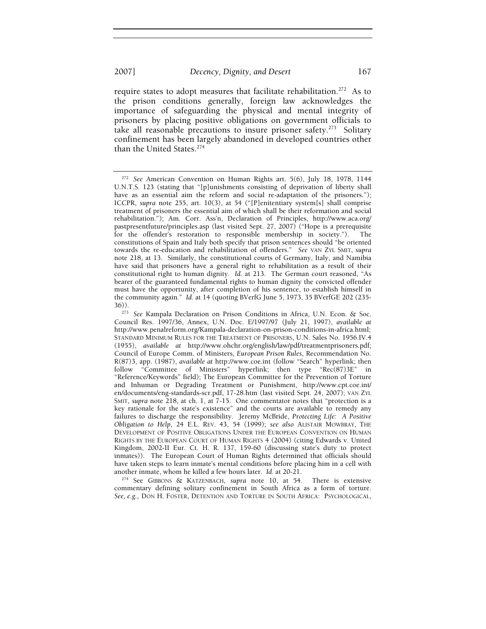require states to adopt measures that facilitate rehabilitation.272As to the prison conditions generally, foreign law acknowledges the importance of safeguarding the physical and mental integrity of prisoners by placing positive obligations on government officials to take all reasonable precautions to insure prisoner safety.273Solitary confinement has been largely abandoned in developed countries other than the United States.<sup>274</sup>

another inmate, whom he killed a few hours later. *Id.* at 20-21. 274 See GIBBONS & KATZENBACH, *supra* note 10, at 54. There is extensive commentary defining solitary confinement in South Africa as a form of torture. *See, e.g.*, DON H. FOSTER, DETENTION AND TORTURE IN SOUTH AFRICA: PSYCHOLOGICAL,

<sup>272</sup> *See* American Convention on Human Rights art. 5(6), July 18, 1978, 1144 U.N.T.S. 123 (stating that "[p]unishments consisting of deprivation of liberty shall have as an essential aim the reform and social re-adaptation of the prisoners."); ICCPR, *supra* note 255, art. 10(3), at 54 ("[P]enitentiary system[s] shall comprise treatment of prisoners the essential aim of which shall be their reformation and social rehabilitation."); Am. Corr. Ass'n, Declaration of Principles, http://www.aca.org/ pastpresentfuture/principles.asp (last visited Sept. 27, 2007) ("Hope is a prerequisite for the offender's restoration to responsible membership in society."). The constitutions of Spain and Italy both specify that prison sentences should "be oriented towards the re-education and rehabilitation of offenders." *See* VAN ZYL SMIT, *supra* note 218, at 13. Similarly, the constitutional courts of Germany, Italy, and Namibia have said that prisoners have a general right to rehabilitation as a result of their constitutional right to human dignity. *Id.* at 213. The German court reasoned, "As bearer of the guaranteed fundamental rights to human dignity the convicted offender must have the opportunity, after completion of his sentence, to establish himself in the community again*.*" *Id.* at 14 (quoting BVerfG June 5, 1973, 35 BVerfGE 202 (235-

<sup>&</sup>lt;sup>273</sup> See Kampala Declaration on Prison Conditions in Africa, U.N. Econ. & Soc. Council Res. 1997/36, Annex, U.N. Doc. E/1997/97 (July 21, 1997), *available at* http://www.penalreform.org/Kampala-declaration-on-prison-conditions-in-africa.html; STANDARD MINIMUM RULES FOR THE TREATMENT OF PRISONERS, U.N. Sales No. 1956.IV.4 (1955), *available at* http://www.ohchr.org/english/law/pdf/treatmentprisoners.pdf; Council of Europe Comm. of Ministers, *European Prison Rules*, Recommendation No. R(87)3, app. (1987), *available at* http://www.coe.int (follow "Search" hyperlink; then follow "Committee of Ministers" hyperlink; then type "Rec(87)3E" in "Reference/Keywords" field); The European Committee for the Prevention of Torture and Inhuman or Degrading Treatment or Punishment, http://www.cpt.coe.int/ en/documents/eng-standards-scr.pdf, 17-28.htm (last visited Sept. 24, 2007); VAN ZYL SMIT, *supra* note 218, at ch. 1, at 7-15. One commentator notes that "protection is a key rationale for the state's existence" and the courts are available to remedy any failures to discharge the responsibility. Jeremy McBride, *Protecting Life: A Positive Obligation to Help*, 24 E.L. REV. 43, 54 (1999); *see also* ALISTAIR MOWBRAY, THE DEVELOPMENT OF POSITIVE OBLIGATIONS UNDER THE EUROPEAN CONVENTION ON HUMAN RIGHTS BY THE EUROPEAN COURT OF HUMAN RIGHTS 4 (2004) (citing Edwards v. United Kingdom, 2002-II Eur. Ct. H. R. 137, 159-60 (discussing state's duty to protect inmates)). The European Court of Human Rights determined that officials should have taken steps to learn inmate's mental conditions before placing him in a cell with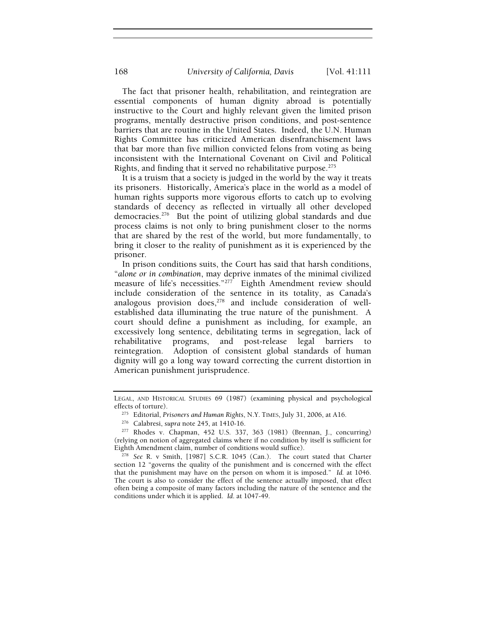The fact that prisoner health, rehabilitation, and reintegration are essential components of human dignity abroad is potentially instructive to the Court and highly relevant given the limited prison programs, mentally destructive prison conditions, and post-sentence barriers that are routine in the United States. Indeed, the U.N. Human Rights Committee has criticized American disenfranchisement laws that bar more than five million convicted felons from voting as being inconsistent with the International Covenant on Civil and Political Rights, and finding that it served no rehabilitative purpose.<sup>275</sup>

It is a truism that a society is judged in the world by the way it treats its prisoners. Historically, America's place in the world as a model of human rights supports more vigorous efforts to catch up to evolving standards of decency as reflected in virtually all other developed democracies.276 But the point of utilizing global standards and due process claims is not only to bring punishment closer to the norms that are shared by the rest of the world, but more fundamentally, to bring it closer to the reality of punishment as it is experienced by the prisoner.

In prison conditions suits, the Court has said that harsh conditions, "*alone or in combination*, may deprive inmates of the minimal civilized measure of life's necessities."<sup>277</sup> Eighth Amendment review should include consideration of the sentence in its totality, as Canada's analogous provision does, $278$  and include consideration of wellestablished data illuminating the true nature of the punishment. A court should define a punishment as including, for example, an excessively long sentence, debilitating terms in segregation, lack of rehabilitative programs, and post-release legal barriers to reintegration. Adoption of consistent global standards of human dignity will go a long way toward correcting the current distortion in American punishment jurisprudence.

LEGAL, AND HISTORICAL STUDIES 69 (1987) (examining physical and psychological effects of torture).<br><sup>275</sup> Editorial, *Prisoners and Human Rights*, N.Y. TIMES, July 31, 2006, at A16.<br><sup>276</sup> Calabresi, *supra* note 245, at 1410-16.<br><sup>277</sup> Rhodes v. Chapman, 452 U.S. 337, 363 (1981) (Brennan, J., concurri

<sup>(</sup>relying on notion of aggregated claims where if no condition by itself is sufficient for

Eighth Amendment claim, number of conditions would suffice). 278 *See* R. v Smith, [1987] S.C.R. 1045 (Can.). The court stated that Charter section 12 "governs the quality of the punishment and is concerned with the effect that the punishment may have on the person on whom it is imposed." *Id.* at 1046. The court is also to consider the effect of the sentence actually imposed, that effect often being a composite of many factors including the nature of the sentence and the conditions under which it is applied. *Id*. at 1047-49.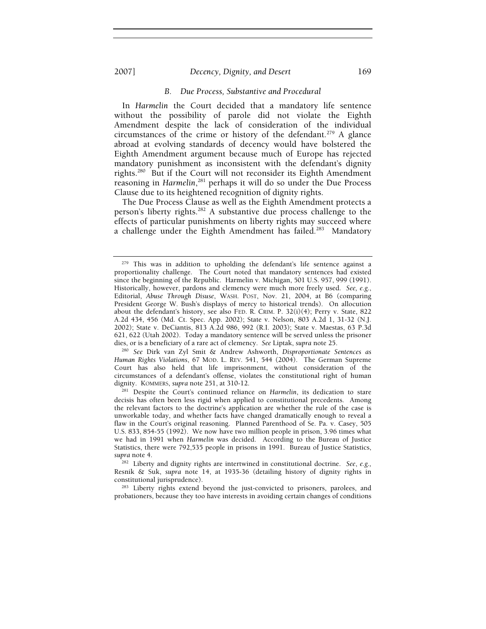#### 2007] *Decency, Dignity, and Desert* 169

#### *B. Due Process, Substantive and Procedural*

In *Harmelin* the Court decided that a mandatory life sentence without the possibility of parole did not violate the Eighth Amendment despite the lack of consideration of the individual circumstances of the crime or history of the defendant.<sup>279</sup> A glance abroad at evolving standards of decency would have bolstered the Eighth Amendment argument because much of Europe has rejected mandatory punishment as inconsistent with the defendant's dignity rights.280 But if the Court will not reconsider its Eighth Amendment reasoning in *Harmelin*, 281 perhaps it will do so under the Due Process Clause due to its heightened recognition of dignity rights.

The Due Process Clause as well as the Eighth Amendment protects a person's liberty rights.<sup>282</sup> A substantive due process challenge to the effects of particular punishments on liberty rights may succeed where a challenge under the Eighth Amendment has failed*.* <sup>283</sup>Mandatory

 $279$  This was in addition to upholding the defendant's life sentence against a proportionality challenge. The Court noted that mandatory sentences had existed since the beginning of the Republic. Harmelin v. Michigan, 501 U.S. 957, 999 (1991). Historically, however, pardons and clemency were much more freely used. *See, e.g.*, Editorial, *Abuse Through Disuse*, WASH. POST, Nov. 21, 2004, at B6 (comparing President George W. Bush's displays of mercy to historical trends). On allocution about the defendant's history, see also FED. R. CRIM. P.  $32(i)(4)$ ; Perry v. State, 822 A.2d 434, 456 (Md. Ct. Spec. App. 2002); State v. Nelson, 803 A.2d 1, 31-32 (N.J. 2002); State v. DeCiantis, 813 A.2d 986, 992 (R.I. 2003); State v. Maestas, 63 P.3d 621, 622 (Utah 2002). Today a mandatory sentence will be served unless the prisoner dies, or is a beneficiary of a rare act of clemency. *See* Liptak, *supra* note 25. 280 *See* Dirk van Zyl Smit & Andrew Ashworth, *Disproportionate Sentences as* 

*Human Rights Violations*, 67 MOD. L. REV. 541, 544 (2004). The German Supreme Court has also held that life imprisonment, without consideration of the circumstances of a defendant's offense, violates the constitutional right of human

<sup>&</sup>lt;sup>281</sup> Despite the Court's continued reliance on *Harmelin*, its dedication to stare decisis has often been less rigid when applied to constitutional precedents. Among the relevant factors to the doctrine's application are whether the rule of the case is unworkable today, and whether facts have changed dramatically enough to reveal a flaw in the Court's original reasoning. Planned Parenthood of Se. Pa. v. Casey, 505 U.S. 833, 854-55 (1992). We now have two million people in prison, 3.96 times what we had in 1991 when *Harmelin* was decided. According to the Bureau of Justice Statistics, there were 792,535 people in prisons in 1991. Bureau of Justice Statistics,

<sup>&</sup>lt;sup>282</sup> Liberty and dignity rights are intertwined in constitutional doctrine. See, e.g., Resnik & Suk, *supra* note 14, at 1935-36 (detailing history of dignity rights in

<sup>&</sup>lt;sup>283</sup> Liberty rights extend beyond the just-convicted to prisoners, parolees, and probationers, because they too have interests in avoiding certain changes of conditions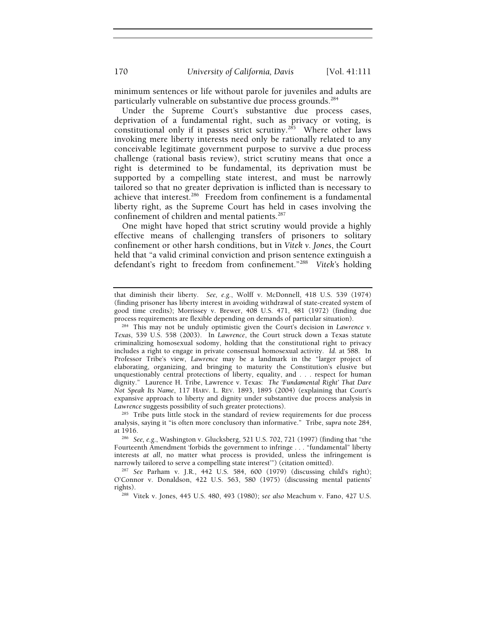minimum sentences or life without parole for juveniles and adults are particularly vulnerable on substantive due process grounds.<sup>284</sup>

Under the Supreme Court's substantive due process cases, deprivation of a fundamental right, such as privacy or voting, is constitutional only if it passes strict scrutiny.<sup>285</sup> Where other laws invoking mere liberty interests need only be rationally related to any conceivable legitimate government purpose to survive a due process challenge (rational basis review), strict scrutiny means that once a right is determined to be fundamental, its deprivation must be supported by a compelling state interest, and must be narrowly tailored so that no greater deprivation is inflicted than is necessary to achieve that interest.<sup>286</sup> Freedom from confinement is a fundamental liberty right, as the Supreme Court has held in cases involving the confinement of children and mental patients.287

One might have hoped that strict scrutiny would provide a highly effective means of challenging transfers of prisoners to solitary confinement or other harsh conditions, but in *Vitek v. Jones*, the Court held that "a valid criminal conviction and prison sentence extinguish a defendant's right to freedom from confinement."288 *Vitek's* holding

that diminish their liberty. *See, e.g.*, Wolff v. McDonnell, 418 U.S. 539 (1974) (finding prisoner has liberty interest in avoiding withdrawal of state-created system of good time credits); Morrissey v. Brewer, 408 U.S. 471, 481 (1972) (finding due process requirements are flexible depending on demands of particular situation). 284 This may not be unduly optimistic given the Court's decision in *Lawrence v.* 

*Texas*, 539 U.S. 558 (2003). In *Lawrence*, the Court struck down a Texas statute criminalizing homosexual sodomy, holding that the constitutional right to privacy includes a right to engage in private consensual homosexual activity. *Id*. at 588. In Professor Tribe's view, *Lawrence* may be a landmark in the "larger project of elaborating, organizing, and bringing to maturity the Constitution's elusive but unquestionably central protections of liberty, equality, and . . . respect for human dignity." Laurence H. Tribe, Lawrence v. Texas: *The 'Fundamental Right' That Dare Not Speak Its Name*, 117 HARV. L. REV. 1893, 1895 (2004) (explaining that Court's expansive approach to liberty and dignity under substantive due process analysis in *Lawrence* suggests possibility of such greater protections).<br><sup>285</sup> Tribe puts little stock in the standard of review requirements for due process

analysis, saying it "is often more conclusory than informative." Tribe, *supra* note 284, at 1916. 286 *See, e.g*., Washington v. Glucksberg, 521 U.S. 702, 721 (1997) (finding that "the

Fourteenth Amendment 'forbids the government to infringe . . . "fundamental" liberty interests *at all*, no matter what process is provided, unless the infringement is narrowly tailored to serve a compelling state interest<sup>79</sup> (citation omitted).

<sup>&</sup>lt;sup>287</sup> See Parham v. J.R., 442 U.S. 584, 600 (1979) (discussing child's right); O'Connor v. Donaldson, 422 U.S. 563, 580 (1975) (discussing mental patients' rights). 288 Vitek v. Jones, 445 U.S. 480, 493 (1980); *see also* Meachum v. Fano, 427 U.S.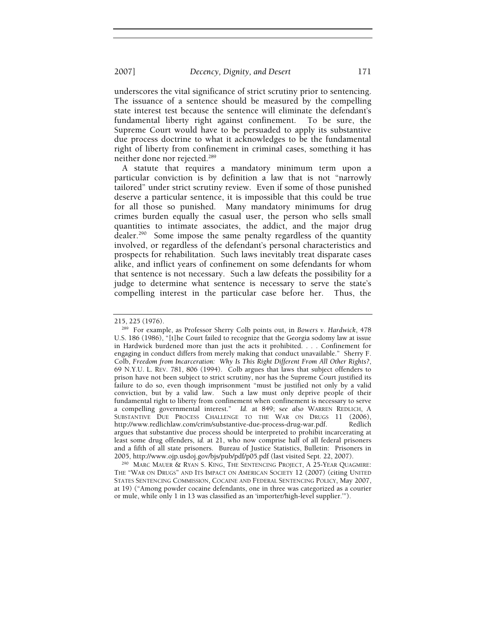underscores the vital significance of strict scrutiny prior to sentencing. The issuance of a sentence should be measured by the compelling state interest test because the sentence will eliminate the defendant's fundamental liberty right against confinement. To be sure, the Supreme Court would have to be persuaded to apply its substantive due process doctrine to what it acknowledges to be the fundamental right of liberty from confinement in criminal cases, something it has neither done nor rejected.<sup>289</sup>

A statute that requires a mandatory minimum term upon a particular conviction is by definition a law that is not "narrowly tailored" under strict scrutiny review. Even if some of those punished deserve a particular sentence, it is impossible that this could be true for all those so punished. Many mandatory minimums for drug crimes burden equally the casual user, the person who sells small quantities to intimate associates, the addict, and the major drug dealer.<sup>290</sup> Some impose the same penalty regardless of the quantity involved, or regardless of the defendant's personal characteristics and prospects for rehabilitation. Such laws inevitably treat disparate cases alike, and inflict years of confinement on some defendants for whom that sentence is not necessary. Such a law defeats the possibility for a judge to determine what sentence is necessary to serve the state's compelling interest in the particular case before her. Thus, the

THE "WAR ON DRUGS" AND ITS IMPACT ON AMERICAN SOCIETY 12 (2007) (citing UNITED STATES SENTENCING COMMISSION, COCAINE AND FEDERAL SENTENCING POLICY, May 2007, at 19) ("Among powder cocaine defendants, one in three was categorized as a courier or mule, while only 1 in 13 was classified as an 'importer/high-level supplier.'").

<sup>215, 225 (1976). 289</sup> For example, as Professor Sherry Colb points out, in *Bowers v. Hardwick*, 478 U.S. 186 (1986), "[t]he Court failed to recognize that the Georgia sodomy law at issue in Hardwick burdened more than just the acts it prohibited. . . . Confinement for engaging in conduct differs from merely making that conduct unavailable." Sherry F. Colb, *Freedom from Incarceration: Why Is This Right Different From All Other Rights?*, 69 N.Y.U. L. REV. 781, 806 (1994). Colb argues that laws that subject offenders to prison have not been subject to strict scrutiny, nor has the Supreme Court justified its failure to do so, even though imprisonment "must be justified not only by a valid conviction, but by a valid law. Such a law must only deprive people of their fundamental right to liberty from confinement when confinement is necessary to serve a compelling governmental interest." *Id.* at 849; s*ee also* WARREN REDLICH, A SUBSTANTIVE DUE PROCESS CHALLENGE TO THE WAR ON DRUGS 11 (2006), http://www.redlichlaw.com/crim/substantive-due-process-drug-war.pdf. Redlich argues that substantive due process should be interpreted to prohibit incarcerating at least some drug offenders, *id.* at 21, who now comprise half of all federal prisoners and a fifth of all state prisoners. Bureau of Justice Statistics, Bulletin: Prisoners in 2005, http://www.ojp.usdoj.gov/bjs/pub/pdf/p05.pdf (last visited Sept. 22, 2007).<br><sup>290</sup> MARC MAUER & RYAN S. KING, THE SENTENCING PROJECT, A 25-YEAR QUAGMIRE: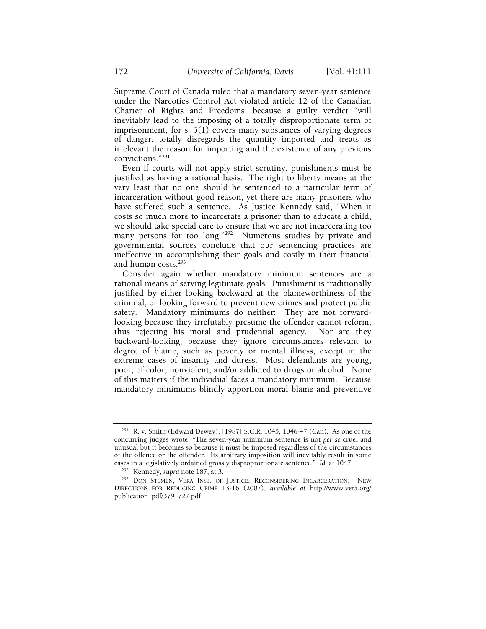Supreme Court of Canada ruled that a mandatory seven-year sentence under the Narcotics Control Act violated article 12 of the Canadian Charter of Rights and Freedoms, because a guilty verdict "will inevitably lead to the imposing of a totally disproportionate term of imprisonment, for s. 5(1) covers many substances of varying degrees of danger, totally disregards the quantity imported and treats as irrelevant the reason for importing and the existence of any previous convictions."291

Even if courts will not apply strict scrutiny, punishments must be justified as having a rational basis. The right to liberty means at the very least that no one should be sentenced to a particular term of incarceration without good reason, yet there are many prisoners who have suffered such a sentence. As Justice Kennedy said, "When it costs so much more to incarcerate a prisoner than to educate a child, we should take special care to ensure that we are not incarcerating too many persons for too long."<sup>292</sup> Numerous studies by private and governmental sources conclude that our sentencing practices are ineffective in accomplishing their goals and costly in their financial and human costs.293

Consider again whether mandatory minimum sentences are a rational means of serving legitimate goals. Punishment is traditionally justified by either looking backward at the blameworthiness of the criminal, or looking forward to prevent new crimes and protect public safety. Mandatory minimums do neither: They are not forwardlooking because they irrefutably presume the offender cannot reform, thus rejecting his moral and prudential agency. Nor are they backward-looking, because they ignore circumstances relevant to degree of blame, such as poverty or mental illness, except in the extreme cases of insanity and duress. Most defendants are young, poor, of color, nonviolent, and/or addicted to drugs or alcohol. None of this matters if the individual faces a mandatory minimum. Because mandatory minimums blindly apportion moral blame and preventive

<sup>291</sup> R. v. Smith (Edward Dewey), [1987] S.C.R. 1045, 1046-47 (Can). As one of the concurring judges wrote, "The seven-year minimum sentence is not *per se* cruel and unusual but it becomes so because it must be imposed regardless of the circumstances of the offence or the offender. Its arbitrary imposition will inevitably result in some cases in a legislatively ordained grossly disproprortionate sentence." Id. at 1047.

<sup>&</sup>lt;sup>292</sup> Kennedy, *supra* note 187, at 3.<br><sup>293</sup> DON STEMEN, *VERA INST. OF JUSTICE, RECONSIDERING INCARCERATION:* NEW DIRECTIONS FOR REDUCING CRIME 13-16 (2007), *available at* http://www.vera.org/ publication\_pdf/379\_727.pdf.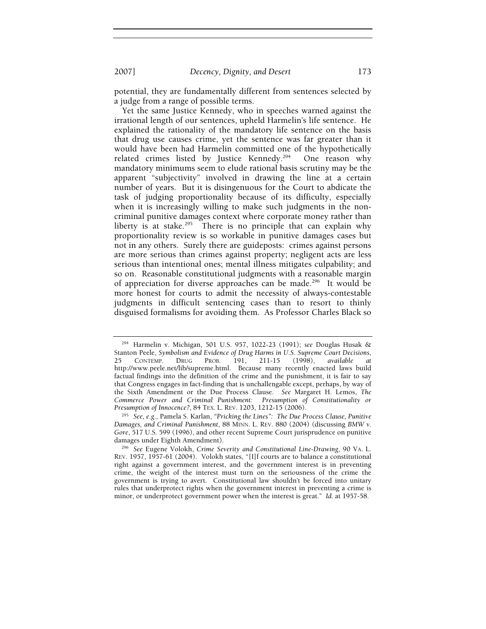potential, they are fundamentally different from sentences selected by a judge from a range of possible terms.

Yet the same Justice Kennedy, who in speeches warned against the irrational length of our sentences, upheld Harmelin's life sentence. He explained the rationality of the mandatory life sentence on the basis that drug use causes crime, yet the sentence was far greater than it would have been had Harmelin committed one of the hypothetically related crimes listed by Justice Kennedy.<sup>294</sup> One reason why mandatory minimums seem to elude rational basis scrutiny may be the apparent "subjectivity" involved in drawing the line at a certain number of years. But it is disingenuous for the Court to abdicate the task of judging proportionality because of its difficulty, especially when it is increasingly willing to make such judgments in the noncriminal punitive damages context where corporate money rather than liberty is at stake.<sup>295</sup> There is no principle that can explain why proportionality review is so workable in punitive damages cases but not in any others. Surely there are guideposts: crimes against persons are more serious than crimes against property; negligent acts are less serious than intentional ones; mental illness mitigates culpability; and so on. Reasonable constitutional judgments with a reasonable margin of appreciation for diverse approaches can be made.<sup>296</sup> It would be more honest for courts to admit the necessity of always-contestable judgments in difficult sentencing cases than to resort to thinly disguised formalisms for avoiding them. As Professor Charles Black so

<sup>294</sup> Harmelin v. Michigan, 501 U.S. 957, 1022-23 (1991); *see* Douglas Husak & Stanton Peele, *Symbolism and Evidence of Drug Harms in U.S. Supreme Court Decisions*, 25 CONTEMP. DRUG PROB. 191, 211-15 (1998), *available at* http://www.peele.net/lib/supreme.html. Because many recently enacted laws build factual findings into the definition of the crime and the punishment, it is fair to say that Congress engages in fact-finding that is unchallengable except, perhaps, by way of the Sixth Amendment or the Due Process Clause. *See* Margaret H. Lemos, *The Commerce Power and Criminal Punishment: Presumption of Constitutionality or* 

*Presumption of Innocence?*, 84 TEX. L. REV. 1203, 1212-15 (2006). 295 *See, e.g.*, Pamela S. Karlan, *"Pricking the Lines": The Due Process Clause, Punitive Damages, and Criminal Punishment*, 88 MINN. L. REV. 880 (2004) (discussing *BMW v. Gore*, 517 U.S. 599 (1996), and other recent Supreme Court jurisprudence on punitive damages under Eighth Amendment). 296 *See* Eugene Volokh, *Crime Severity and Constitutional Line-Drawing*, 90 VA. L.

REV. 1957, 1957-61 (2004). Volokh states, "[I]f courts are to balance a constitutional right against a government interest, and the government interest is in preventing crime, the weight of the interest must turn on the seriousness of the crime the government is trying to avert. Constitutional law shouldn't be forced into unitary rules that underprotect rights when the government interest in preventing a crime is minor, or underprotect government power when the interest is great." *Id.* at 1957-58.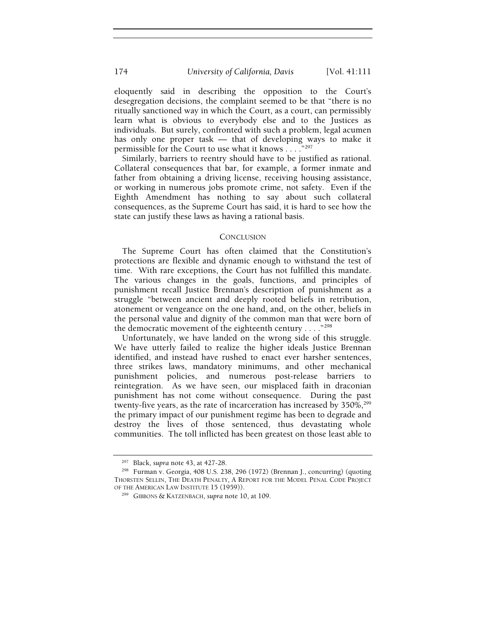eloquently said in describing the opposition to the Court's desegregation decisions, the complaint seemed to be that "there is no ritually sanctioned way in which the Court, as a court, can permissibly learn what is obvious to everybody else and to the Justices as individuals. But surely, confronted with such a problem, legal acumen has only one proper task — that of developing ways to make it permissible for the Court to use what it knows . . . . "297

Similarly, barriers to reentry should have to be justified as rational. Collateral consequences that bar, for example, a former inmate and father from obtaining a driving license, receiving housing assistance, or working in numerous jobs promote crime, not safety. Even if the Eighth Amendment has nothing to say about such collateral consequences, as the Supreme Court has said, it is hard to see how the state can justify these laws as having a rational basis.

#### **CONCLUSION**

The Supreme Court has often claimed that the Constitution's protections are flexible and dynamic enough to withstand the test of time. With rare exceptions, the Court has not fulfilled this mandate. The various changes in the goals, functions, and principles of punishment recall Justice Brennan's description of punishment as a struggle "between ancient and deeply rooted beliefs in retribution, atonement or vengeance on the one hand, and, on the other, beliefs in the personal value and dignity of the common man that were born of the democratic movement of the eighteenth century . . . . "298

Unfortunately, we have landed on the wrong side of this struggle. We have utterly failed to realize the higher ideals Justice Brennan identified, and instead have rushed to enact ever harsher sentences, three strikes laws, mandatory minimums, and other mechanical punishment policies, and numerous post-release barriers to reintegration. As we have seen, our misplaced faith in draconian punishment has not come without consequence. During the past twenty-five years, as the rate of incarceration has increased by 350%,<sup>299</sup> the primary impact of our punishment regime has been to degrade and destroy the lives of those sentenced, thus devastating whole communities. The toll inflicted has been greatest on those least able to

<sup>297</sup> Black, *supra* note 43, at 427-28. 298 Furman v. Georgia, 408 U.S. 238, 296 (1972) (Brennan J., concurring) (quoting THORSTEN SELLIN, THE DEATH PENALTY, A REPORT FOR THE MODEL PENAL CODE PROJECT OF THE AMERICAN LAW INSTITUTE 15 (1959)). 299 GIBBONS & KATZENBACH, *supra* note 10, at 109.